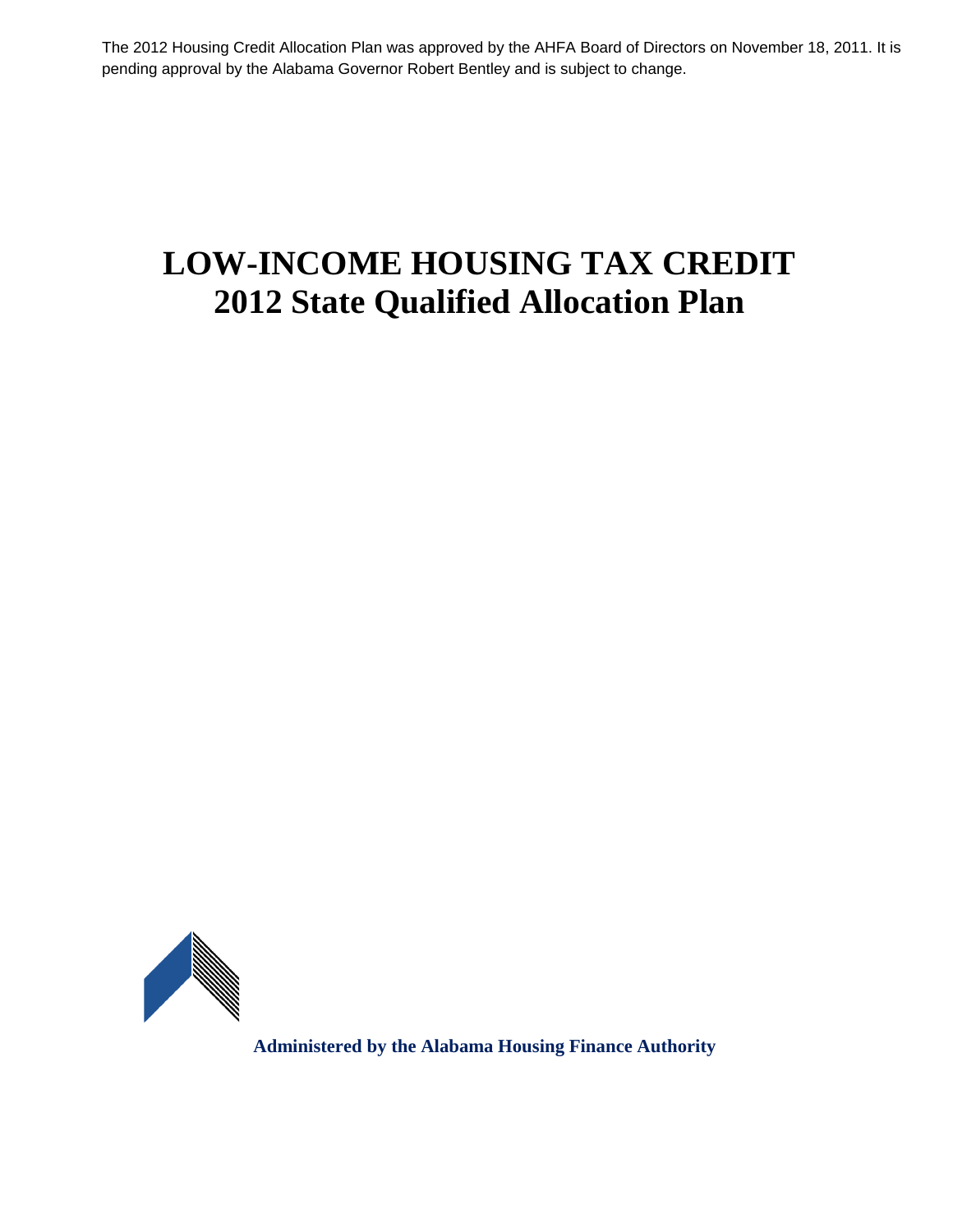The 2012 Housing Credit Allocation Plan was approved by the AHFA Board of Directors on November 18, 2011. It is pending approval by the Alabama Governor Robert Bentley and is subject to change.

# **LOW-INCOME HOUSING TAX CREDIT 2012 State Qualified Allocation Plan**



**Administered by the Alabama Housing Finance Authority**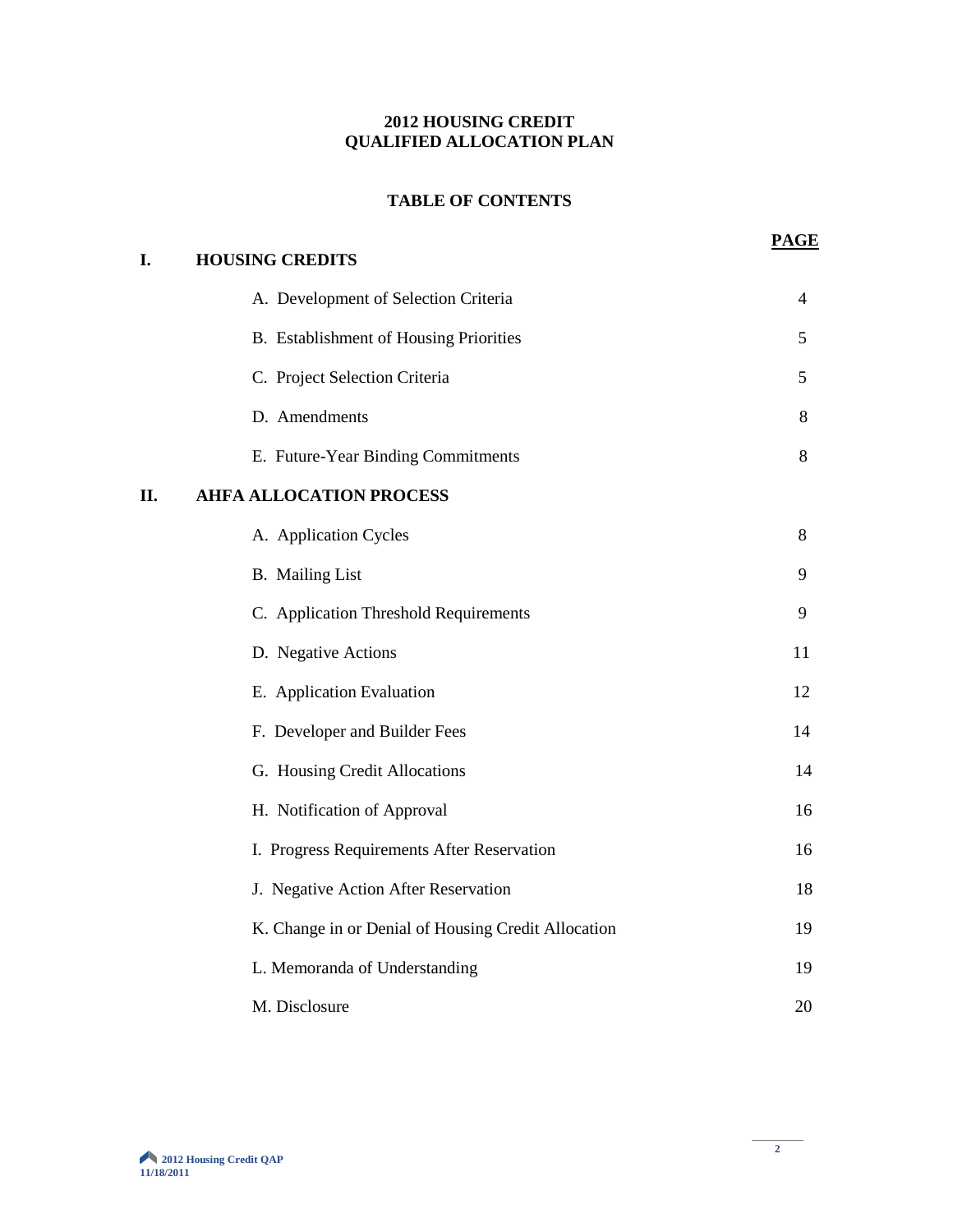# **2012 HOUSING CREDIT QUALIFIED ALLOCATION PLAN**

# **TABLE OF CONTENTS**

| I.  | <b>HOUSING CREDITS</b>                              |    |
|-----|-----------------------------------------------------|----|
|     | A. Development of Selection Criteria                | 4  |
|     | B. Establishment of Housing Priorities              | 5  |
|     | C. Project Selection Criteria                       | 5  |
|     | D. Amendments                                       | 8  |
|     | E. Future-Year Binding Commitments                  | 8  |
| II. | <b>AHFA ALLOCATION PROCESS</b>                      |    |
|     | A. Application Cycles                               | 8  |
|     | <b>B.</b> Mailing List                              | 9  |
|     | C. Application Threshold Requirements               | 9  |
|     | D. Negative Actions                                 | 11 |
|     | E. Application Evaluation                           | 12 |
|     | F. Developer and Builder Fees                       | 14 |
|     | G. Housing Credit Allocations                       | 14 |
|     | H. Notification of Approval                         | 16 |
|     | I. Progress Requirements After Reservation          | 16 |
|     | J. Negative Action After Reservation                | 18 |
|     | K. Change in or Denial of Housing Credit Allocation | 19 |
|     | L. Memoranda of Understanding                       | 19 |
|     | M. Disclosure                                       | 20 |

**PAGE**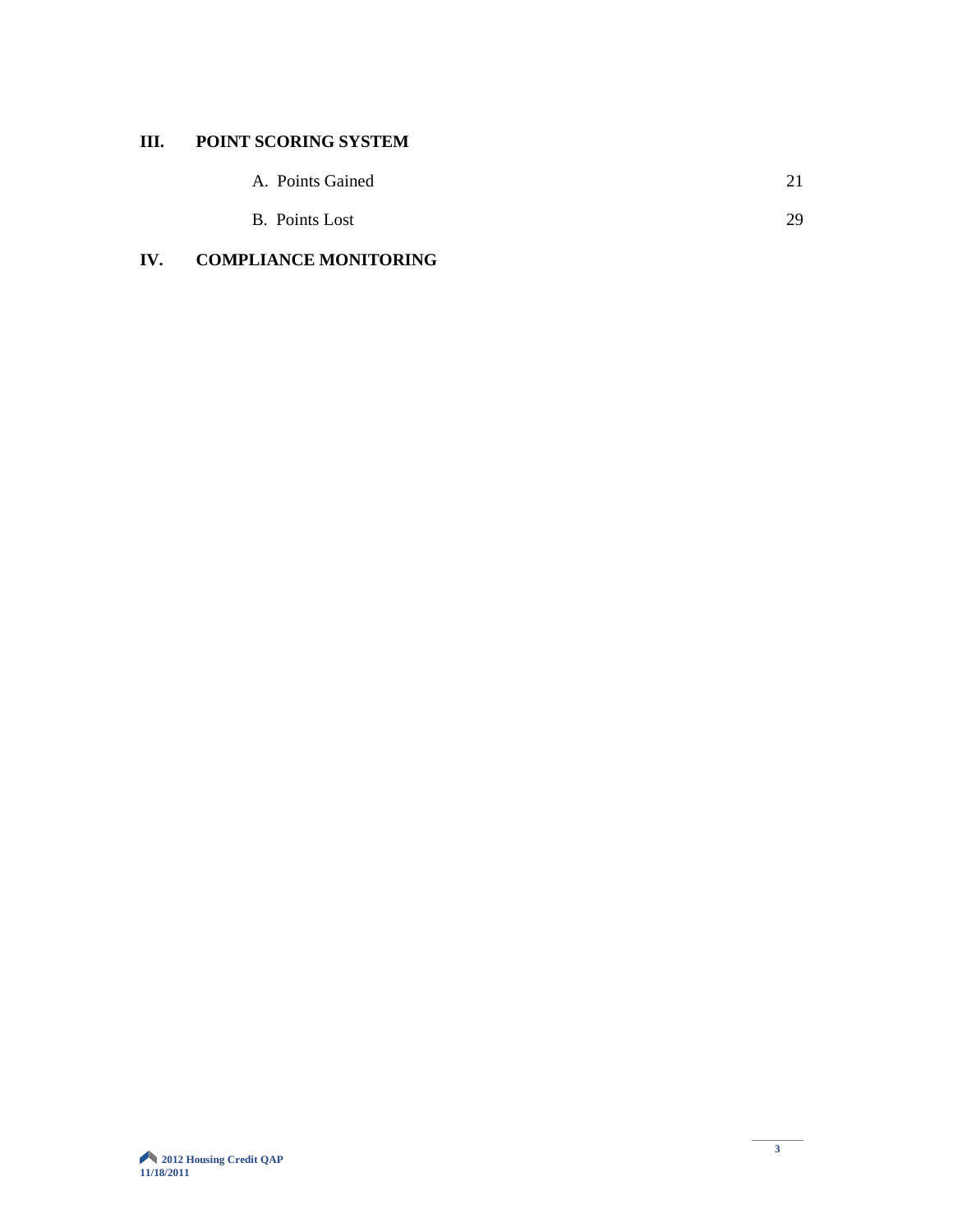# **III. POINT SCORING SYSTEM**

| A. Points Gained |  |
|------------------|--|
|                  |  |

| <b>B.</b> Points Lost |  |
|-----------------------|--|
|                       |  |
|                       |  |
|                       |  |

# **IV. COMPLIANCE MONITORING**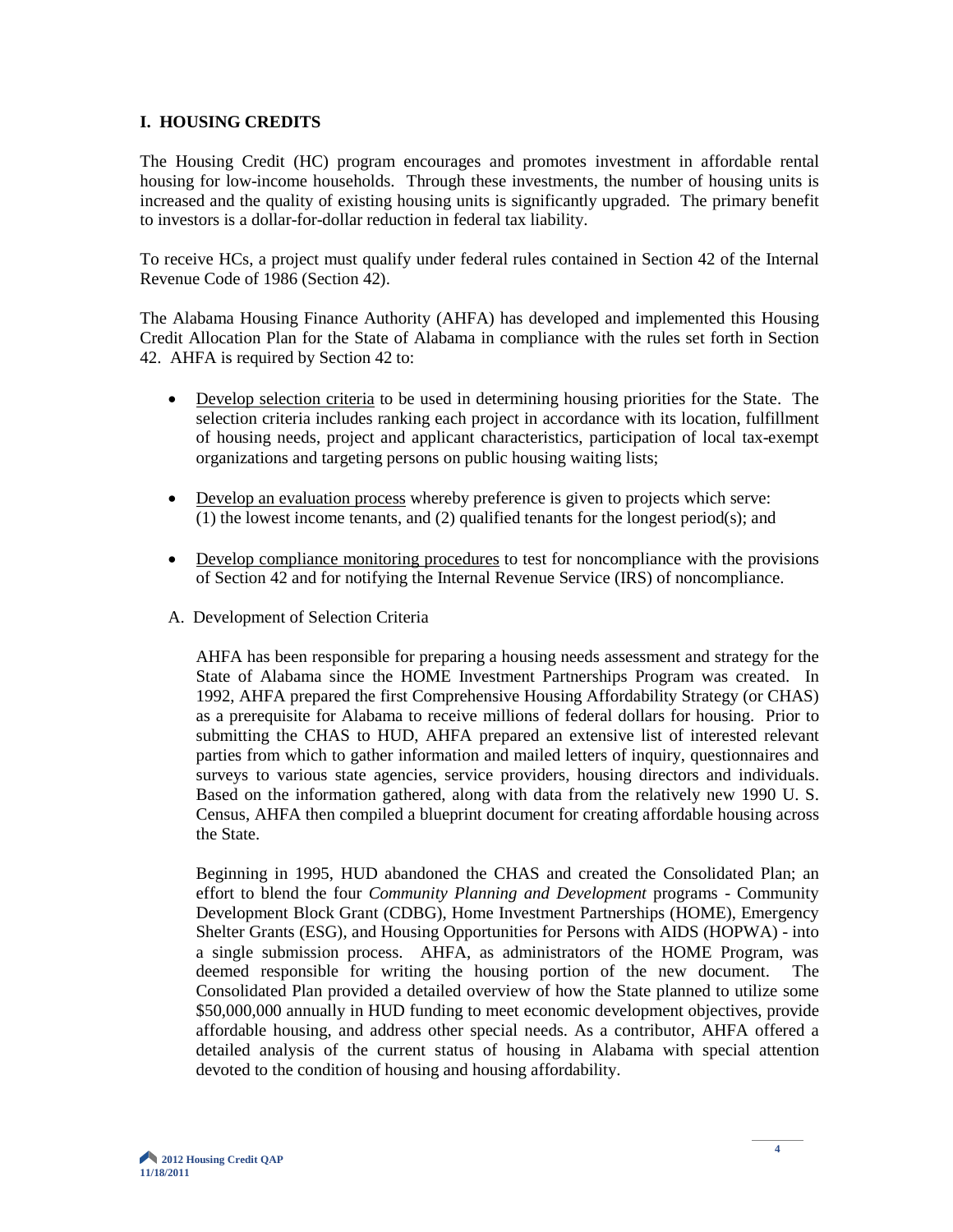#### **I. HOUSING CREDITS**

The Housing Credit (HC) program encourages and promotes investment in affordable rental housing for low-income households. Through these investments, the number of housing units is increased and the quality of existing housing units is significantly upgraded. The primary benefit to investors is a dollar-for-dollar reduction in federal tax liability.

To receive HCs, a project must qualify under federal rules contained in Section 42 of the Internal Revenue Code of 1986 (Section 42).

The Alabama Housing Finance Authority (AHFA) has developed and implemented this Housing Credit Allocation Plan for the State of Alabama in compliance with the rules set forth in Section 42. AHFA is required by Section 42 to:

- Develop selection criteria to be used in determining housing priorities for the State. The selection criteria includes ranking each project in accordance with its location, fulfillment of housing needs, project and applicant characteristics, participation of local tax-exempt organizations and targeting persons on public housing waiting lists;
- Develop an evaluation process whereby preference is given to projects which serve: (1) the lowest income tenants, and (2) qualified tenants for the longest period(s); and
- Develop compliance monitoring procedures to test for noncompliance with the provisions of Section 42 and for notifying the Internal Revenue Service (IRS) of noncompliance.
- A. Development of Selection Criteria

AHFA has been responsible for preparing a housing needs assessment and strategy for the State of Alabama since the HOME Investment Partnerships Program was created. In 1992, AHFA prepared the first Comprehensive Housing Affordability Strategy (or CHAS) as a prerequisite for Alabama to receive millions of federal dollars for housing. Prior to submitting the CHAS to HUD, AHFA prepared an extensive list of interested relevant parties from which to gather information and mailed letters of inquiry, questionnaires and surveys to various state agencies, service providers, housing directors and individuals. Based on the information gathered, along with data from the relatively new 1990 U. S. Census, AHFA then compiled a blueprint document for creating affordable housing across the State.

Beginning in 1995, HUD abandoned the CHAS and created the Consolidated Plan; an effort to blend the four *Community Planning and Development* programs - Community Development Block Grant (CDBG), Home Investment Partnerships (HOME), Emergency Shelter Grants (ESG), and Housing Opportunities for Persons with AIDS (HOPWA) - into a single submission process. AHFA, as administrators of the HOME Program, was deemed responsible for writing the housing portion of the new document. The Consolidated Plan provided a detailed overview of how the State planned to utilize some \$50,000,000 annually in HUD funding to meet economic development objectives, provide affordable housing, and address other special needs. As a contributor, AHFA offered a detailed analysis of the current status of housing in Alabama with special attention devoted to the condition of housing and housing affordability.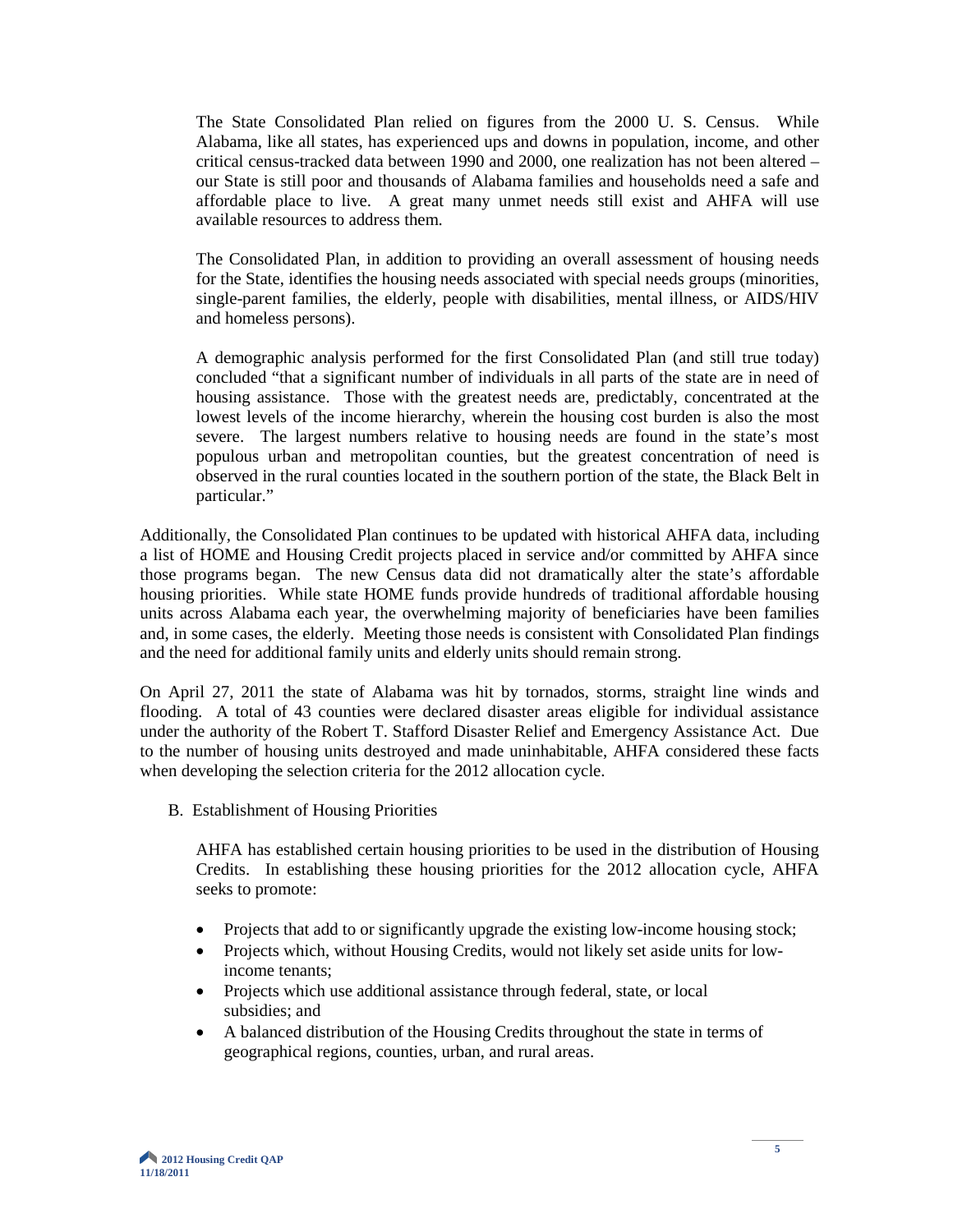The State Consolidated Plan relied on figures from the 2000 U. S. Census. While Alabama, like all states, has experienced ups and downs in population, income, and other critical census-tracked data between 1990 and 2000, one realization has not been altered – our State is still poor and thousands of Alabama families and households need a safe and affordable place to live. A great many unmet needs still exist and AHFA will use available resources to address them.

The Consolidated Plan, in addition to providing an overall assessment of housing needs for the State, identifies the housing needs associated with special needs groups (minorities, single-parent families, the elderly, people with disabilities, mental illness, or AIDS/HIV and homeless persons).

A demographic analysis performed for the first Consolidated Plan (and still true today) concluded "that a significant number of individuals in all parts of the state are in need of housing assistance. Those with the greatest needs are, predictably, concentrated at the lowest levels of the income hierarchy, wherein the housing cost burden is also the most severe. The largest numbers relative to housing needs are found in the state's most populous urban and metropolitan counties, but the greatest concentration of need is observed in the rural counties located in the southern portion of the state, the Black Belt in particular."

Additionally, the Consolidated Plan continues to be updated with historical AHFA data, including a list of HOME and Housing Credit projects placed in service and/or committed by AHFA since those programs began. The new Census data did not dramatically alter the state's affordable housing priorities. While state HOME funds provide hundreds of traditional affordable housing units across Alabama each year, the overwhelming majority of beneficiaries have been families and, in some cases, the elderly. Meeting those needs is consistent with Consolidated Plan findings and the need for additional family units and elderly units should remain strong.

On April 27, 2011 the state of Alabama was hit by tornados, storms, straight line winds and flooding. A total of 43 counties were declared disaster areas eligible for individual assistance under the authority of the Robert T. Stafford Disaster Relief and Emergency Assistance Act. Due to the number of housing units destroyed and made uninhabitable, AHFA considered these facts when developing the selection criteria for the 2012 allocation cycle.

B. Establishment of Housing Priorities

AHFA has established certain housing priorities to be used in the distribution of Housing Credits. In establishing these housing priorities for the 2012 allocation cycle, AHFA seeks to promote:

- Projects that add to or significantly upgrade the existing low-income housing stock;
- Projects which, without Housing Credits, would not likely set aside units for lowincome tenants;
- Projects which use additional assistance through federal, state, or local subsidies; and
- A balanced distribution of the Housing Credits throughout the state in terms of geographical regions, counties, urban, and rural areas.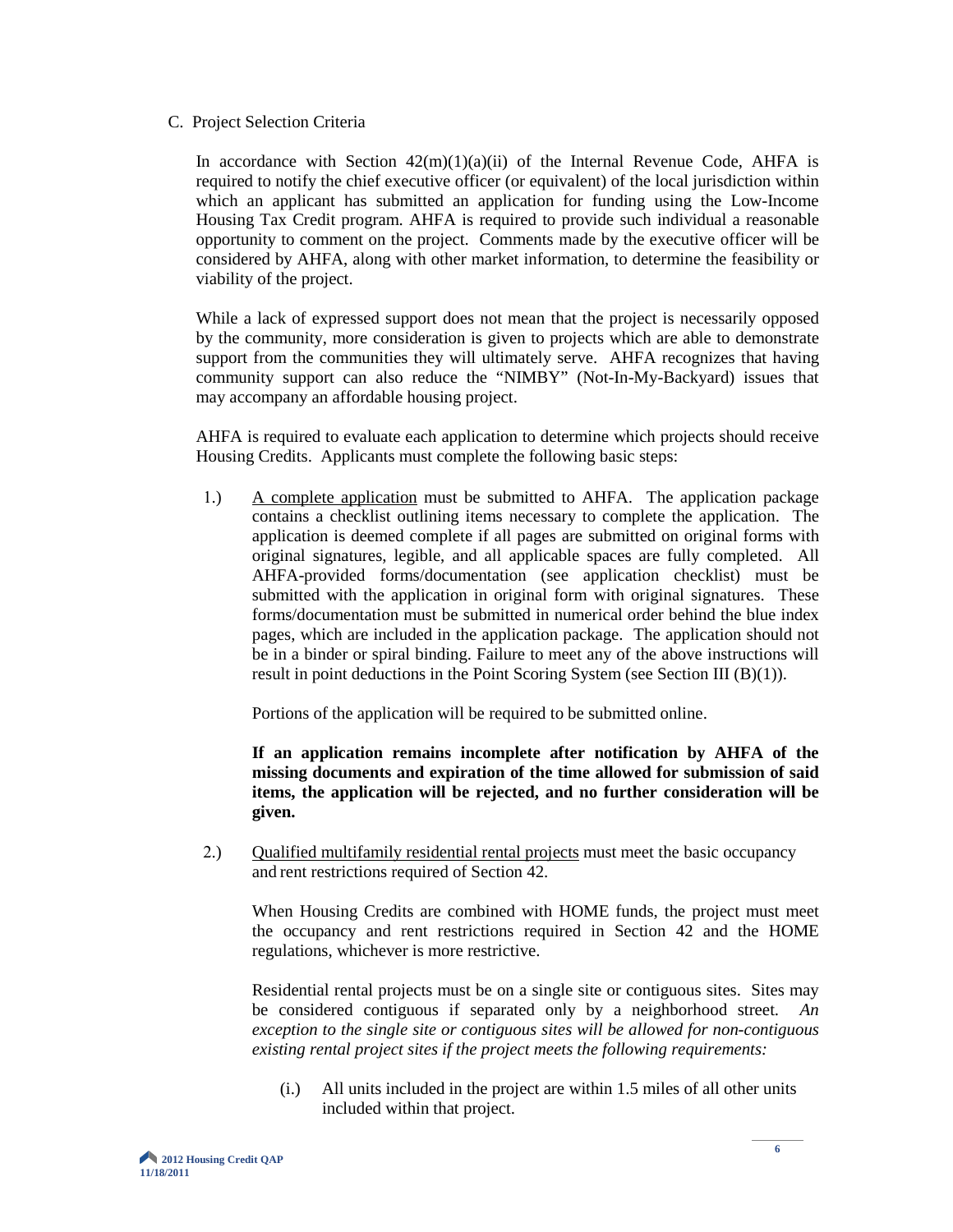C. Project Selection Criteria

In accordance with Section  $42(m)(1)(a)(ii)$  of the Internal Revenue Code, AHFA is required to notify the chief executive officer (or equivalent) of the local jurisdiction within which an applicant has submitted an application for funding using the Low-Income Housing Tax Credit program. AHFA is required to provide such individual a reasonable opportunity to comment on the project. Comments made by the executive officer will be considered by AHFA, along with other market information, to determine the feasibility or viability of the project.

While a lack of expressed support does not mean that the project is necessarily opposed by the community, more consideration is given to projects which are able to demonstrate support from the communities they will ultimately serve. AHFA recognizes that having community support can also reduce the "NIMBY" (Not-In-My-Backyard) issues that may accompany an affordable housing project.

AHFA is required to evaluate each application to determine which projects should receive Housing Credits. Applicants must complete the following basic steps:

1.) A complete application must be submitted to AHFA. The application package contains a checklist outlining items necessary to complete the application. The application is deemed complete if all pages are submitted on original forms with original signatures, legible, and all applicable spaces are fully completed. All AHFA-provided forms/documentation (see application checklist) must be submitted with the application in original form with original signatures. These forms/documentation must be submitted in numerical order behind the blue index pages, which are included in the application package. The application should not be in a binder or spiral binding. Failure to meet any of the above instructions will result in point deductions in the Point Scoring System (see Section III (B)(1)).

Portions of the application will be required to be submitted online.

**If an application remains incomplete after notification by AHFA of the missing documents and expiration of the time allowed for submission of said items, the application will be rejected, and no further consideration will be given.**

2.) Qualified multifamily residential rental projects must meet the basic occupancy and rent restrictions required of Section 42.

When Housing Credits are combined with HOME funds, the project must meet the occupancy and rent restrictions required in Section 42 and the HOME regulations, whichever is more restrictive.

Residential rental projects must be on a single site or contiguous sites. Sites may be considered contiguous if separated only by a neighborhood street. *An exception to the single site or contiguous sites will be allowed for non-contiguous existing rental project sites if the project meets the following requirements:*

(i.) All units included in the project are within 1.5 miles of all other units included within that project.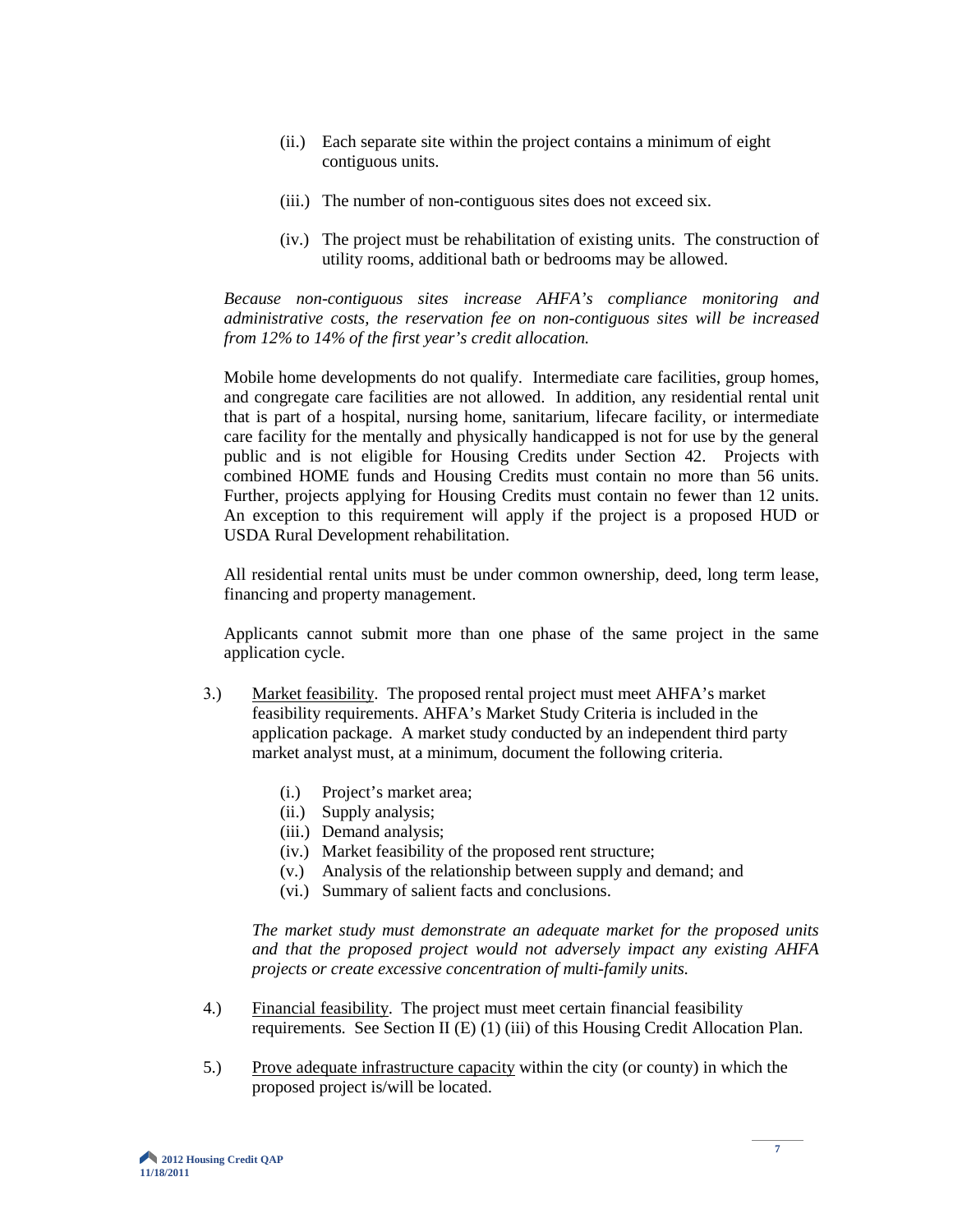- (ii.) Each separate site within the project contains a minimum of eight contiguous units.
- (iii.) The number of non-contiguous sites does not exceed six.
- (iv.) The project must be rehabilitation of existing units. The construction of utility rooms, additional bath or bedrooms may be allowed.

*Because non-contiguous sites increase AHFA's compliance monitoring and administrative costs, the reservation fee on non-contiguous sites will be increased from 12% to 14% of the first year's credit allocation.*

Mobile home developments do not qualify. Intermediate care facilities, group homes, and congregate care facilities are not allowed. In addition, any residential rental unit that is part of a hospital, nursing home, sanitarium, lifecare facility, or intermediate care facility for the mentally and physically handicapped is not for use by the general public and is not eligible for Housing Credits under Section 42. Projects with combined HOME funds and Housing Credits must contain no more than 56 units. Further, projects applying for Housing Credits must contain no fewer than 12 units. An exception to this requirement will apply if the project is a proposed HUD or USDA Rural Development rehabilitation.

All residential rental units must be under common ownership, deed, long term lease, financing and property management.

Applicants cannot submit more than one phase of the same project in the same application cycle.

- 3.) Market feasibility. The proposed rental project must meet AHFA's market feasibility requirements. AHFA's Market Study Criteria is included in the application package. A market study conducted by an independent third party market analyst must, at a minimum, document the following criteria.
	- (i.) Project's market area;
	- (ii.) Supply analysis;
	- (iii.) Demand analysis;
	- (iv.) Market feasibility of the proposed rent structure;
	- (v.) Analysis of the relationship between supply and demand; and
	- (vi.) Summary of salient facts and conclusions.

*The market study must demonstrate an adequate market for the proposed units and that the proposed project would not adversely impact any existing AHFA projects or create excessive concentration of multi-family units.* 

- 4.) Financial feasibility. The project must meet certain financial feasibility requirements. See Section II (E) (1) (iii) of this Housing Credit Allocation Plan.
- 5.) Prove adequate infrastructure capacity within the city (or county) in which the proposed project is/will be located.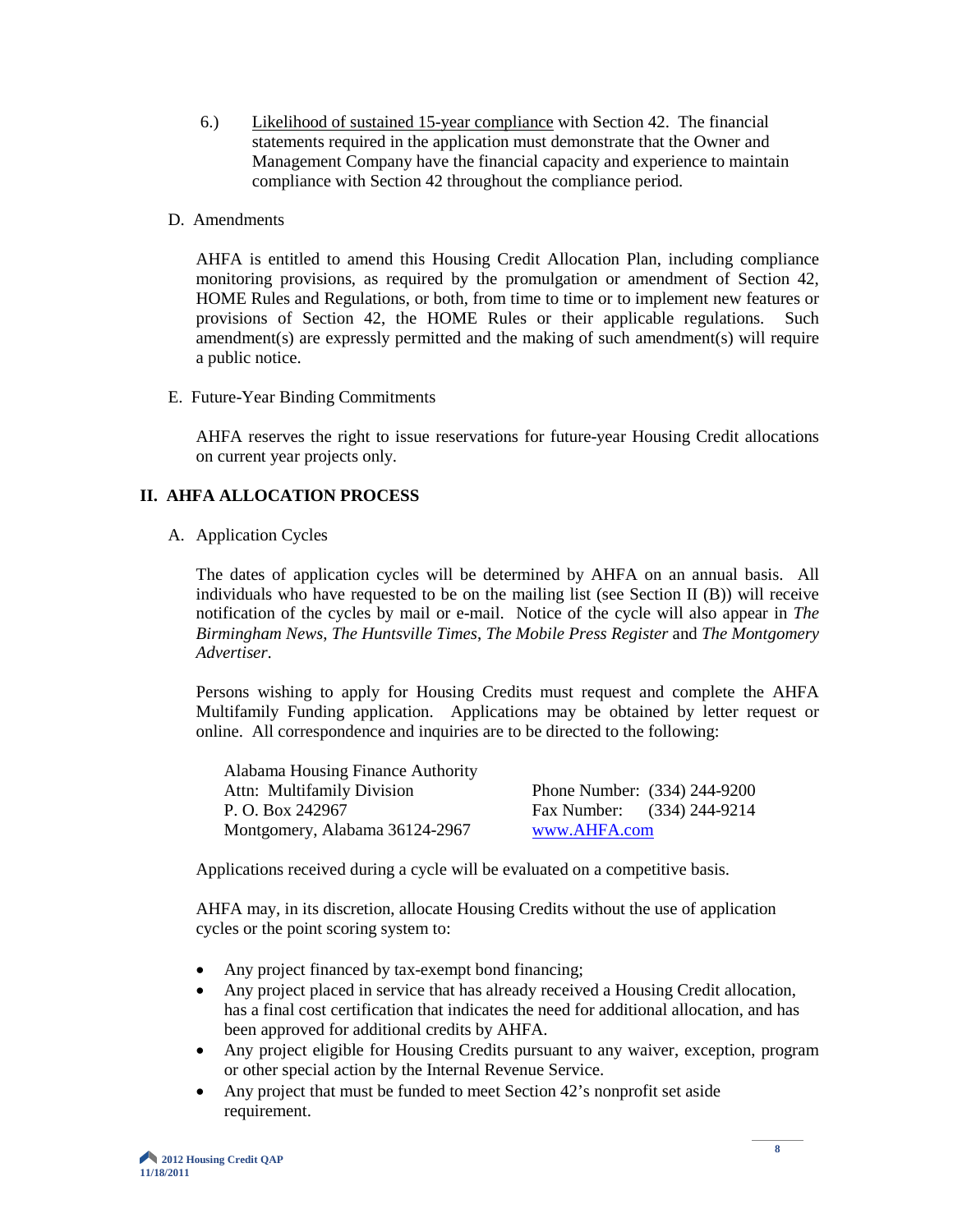6.) Likelihood of sustained 15-year compliance with Section 42. The financial statements required in the application must demonstrate that the Owner and Management Company have the financial capacity and experience to maintain compliance with Section 42 throughout the compliance period.

#### D. Amendments

AHFA is entitled to amend this Housing Credit Allocation Plan, including compliance monitoring provisions, as required by the promulgation or amendment of Section 42, HOME Rules and Regulations, or both, from time to time or to implement new features or provisions of Section 42, the HOME Rules or their applicable regulations. Such amendment(s) are expressly permitted and the making of such amendment(s) will require a public notice.

E. Future-Year Binding Commitments

AHFA reserves the right to issue reservations for future-year Housing Credit allocations on current year projects only.

# **II. AHFA ALLOCATION PROCESS**

A. Application Cycles

The dates of application cycles will be determined by AHFA on an annual basis. All individuals who have requested to be on the mailing list (see Section II (B)) will receive notification of the cycles by mail or e-mail. Notice of the cycle will also appear in *The Birmingham News*, *The Huntsville Times*, *The Mobile Press Register* and *The Montgomery Advertiser*.

Persons wishing to apply for Housing Credits must request and complete the AHFA Multifamily Funding application. Applications may be obtained by letter request or online. All correspondence and inquiries are to be directed to the following:

| Alabama Housing Finance Authority |              |                              |
|-----------------------------------|--------------|------------------------------|
| Attn: Multifamily Division        |              | Phone Number: (334) 244-9200 |
| P. O. Box 242967                  |              | Fax Number: (334) 244-9214   |
| Montgomery, Alabama 36124-2967    | www.AHFA.com |                              |

Applications received during a cycle will be evaluated on a competitive basis.

AHFA may, in its discretion, allocate Housing Credits without the use of application cycles or the point scoring system to:

- Any project financed by tax-exempt bond financing;
- Any project placed in service that has already received a Housing Credit allocation, has a final cost certification that indicates the need for additional allocation, and has been approved for additional credits by AHFA.
- Any project eligible for Housing Credits pursuant to any waiver, exception, program or other special action by the Internal Revenue Service.
- Any project that must be funded to meet Section 42's nonprofit set aside requirement.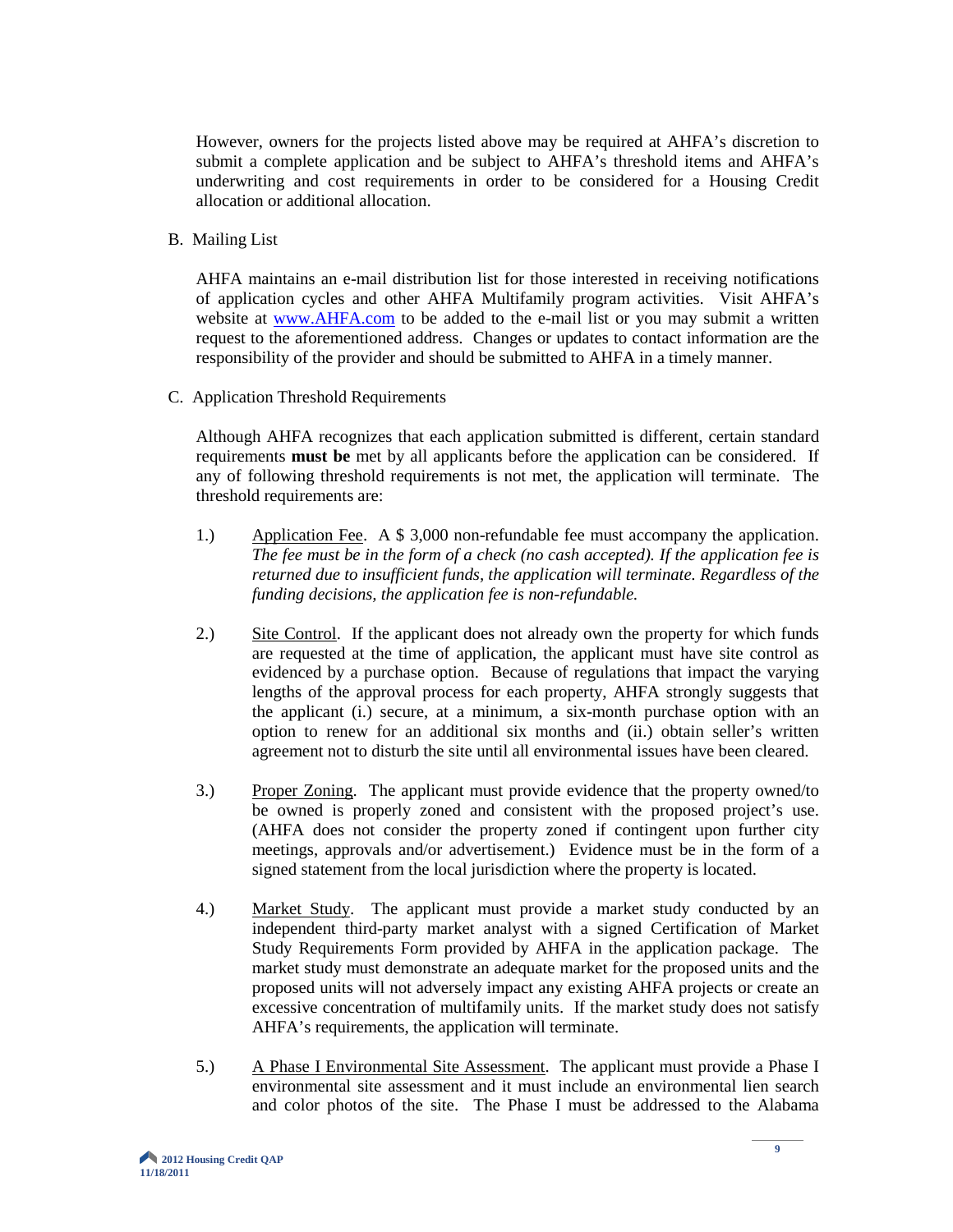However, owners for the projects listed above may be required at AHFA's discretion to submit a complete application and be subject to AHFA's threshold items and AHFA's underwriting and cost requirements in order to be considered for a Housing Credit allocation or additional allocation.

B. Mailing List

AHFA maintains an e-mail distribution list for those interested in receiving notifications of application cycles and other AHFA Multifamily program activities. Visit AHFA's website at [www.AHFA.com](http://www.ahfa.com/) to be added to the e-mail list or you may submit a written request to the aforementioned address. Changes or updates to contact information are the responsibility of the provider and should be submitted to AHFA in a timely manner.

C. Application Threshold Requirements

Although AHFA recognizes that each application submitted is different, certain standard requirements **must be** met by all applicants before the application can be considered. If any of following threshold requirements is not met, the application will terminate. The threshold requirements are:

- 1.) Application Fee. A \$ 3,000 non-refundable fee must accompany the application. *The fee must be in the form of a check (no cash accepted). If the application fee is returned due to insufficient funds, the application will terminate. Regardless of the funding decisions, the application fee is non-refundable.*
- 2.) Site Control. If the applicant does not already own the property for which funds are requested at the time of application, the applicant must have site control as evidenced by a purchase option. Because of regulations that impact the varying lengths of the approval process for each property, AHFA strongly suggests that the applicant (i.) secure, at a minimum, a six-month purchase option with an option to renew for an additional six months and (ii.) obtain seller's written agreement not to disturb the site until all environmental issues have been cleared.
- 3.) Proper Zoning. The applicant must provide evidence that the property owned/to be owned is properly zoned and consistent with the proposed project's use. (AHFA does not consider the property zoned if contingent upon further city meetings, approvals and/or advertisement.) Evidence must be in the form of a signed statement from the local jurisdiction where the property is located.
- 4.) Market Study. The applicant must provide a market study conducted by an independent third-party market analyst with a signed Certification of Market Study Requirements Form provided by AHFA in the application package. The market study must demonstrate an adequate market for the proposed units and the proposed units will not adversely impact any existing AHFA projects or create an excessive concentration of multifamily units. If the market study does not satisfy AHFA's requirements, the application will terminate.
- 5.) A Phase I Environmental Site Assessment. The applicant must provide a Phase I environmental site assessment and it must include an environmental lien search and color photos of the site. The Phase I must be addressed to the Alabama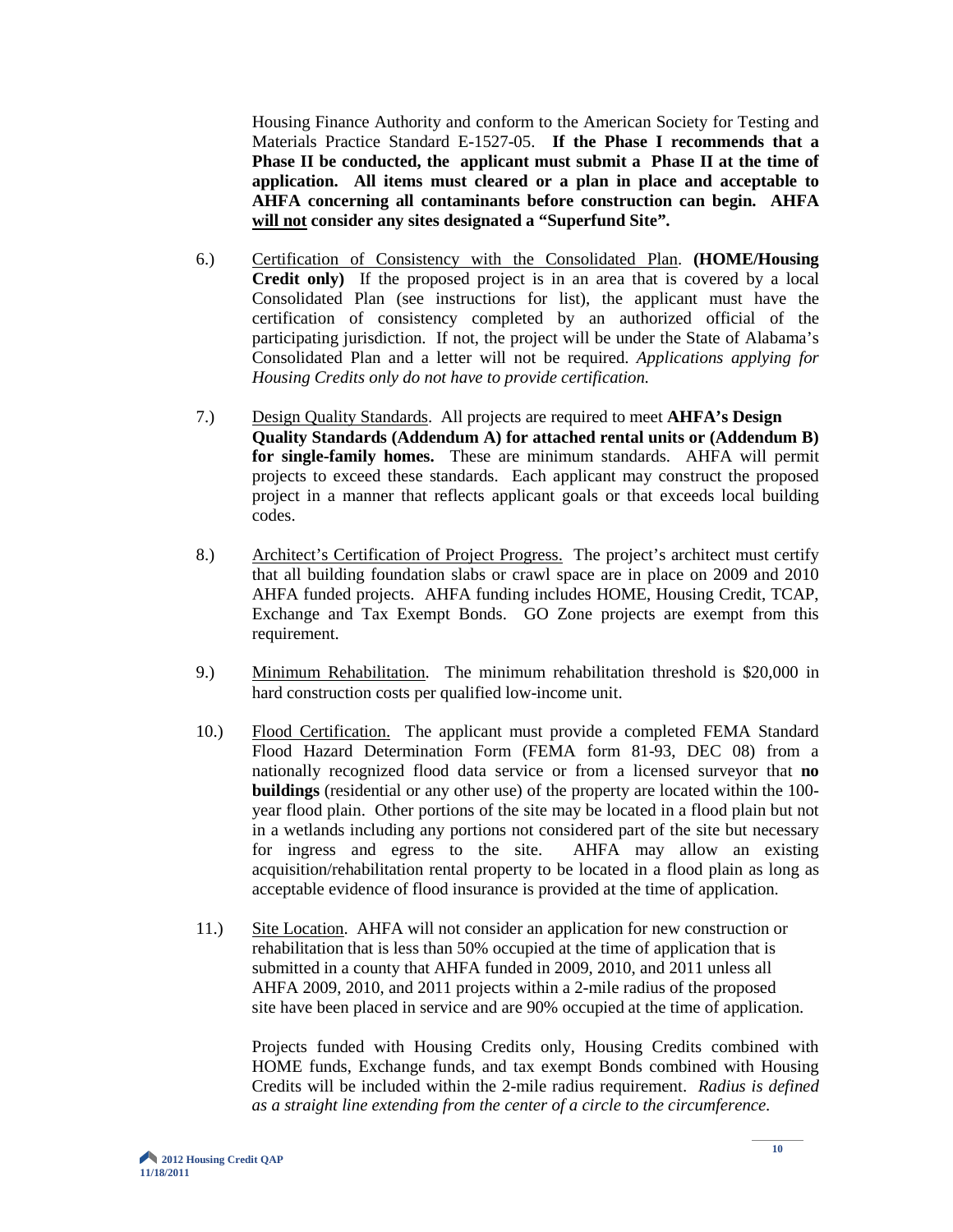Housing Finance Authority and conform to the American Society for Testing and Materials Practice Standard E-1527-05. **If the Phase I recommends that a Phase II be conducted, the applicant must submit a Phase II at the time of application. All items must cleared or a plan in place and acceptable to AHFA concerning all contaminants before construction can begin. AHFA will not consider any sites designated a "Superfund Site".**

- 6.) Certification of Consistency with the Consolidated Plan. **(HOME/Housing Credit only)** If the proposed project is in an area that is covered by a local Consolidated Plan (see instructions for list), the applicant must have the certification of consistency completed by an authorized official of the participating jurisdiction. If not, the project will be under the State of Alabama's Consolidated Plan and a letter will not be required. *Applications applying for Housing Credits only do not have to provide certification.*
- 7.) Design Quality Standards. All projects are required to meet **AHFA's Design Quality Standards (Addendum A) for attached rental units or (Addendum B) for single-family homes.** These are minimum standards. AHFA will permit projects to exceed these standards. Each applicant may construct the proposed project in a manner that reflects applicant goals or that exceeds local building codes.
- 8.) Architect's Certification of Project Progress. The project's architect must certify that all building foundation slabs or crawl space are in place on 2009 and 2010 AHFA funded projects. AHFA funding includes HOME, Housing Credit, TCAP, Exchange and Tax Exempt Bonds. GO Zone projects are exempt from this requirement.
- 9.) Minimum Rehabilitation. The minimum rehabilitation threshold is \$20,000 in hard construction costs per qualified low-income unit.
- 10.) Flood Certification. The applicant must provide a completed FEMA Standard Flood Hazard Determination Form (FEMA form 81-93, DEC 08) from a nationally recognized flood data service or from a licensed surveyor that **no buildings** (residential or any other use) of the property are located within the 100 year flood plain. Other portions of the site may be located in a flood plain but not in a wetlands including any portions not considered part of the site but necessary for ingress and egress to the site. AHFA may allow an existing acquisition/rehabilitation rental property to be located in a flood plain as long as acceptable evidence of flood insurance is provided at the time of application.
- 11.) Site Location. AHFA will not consider an application for new construction or rehabilitation that is less than 50% occupied at the time of application that is submitted in a county that AHFA funded in 2009, 2010, and 2011 unless all AHFA 2009, 2010, and 2011 projects within a 2-mile radius of the proposed site have been placed in service and are 90% occupied at the time of application.

Projects funded with Housing Credits only, Housing Credits combined with HOME funds, Exchange funds, and tax exempt Bonds combined with Housing Credits will be included within the 2-mile radius requirement. *Radius is defined as a straight line extending from the center of a circle to the circumference.*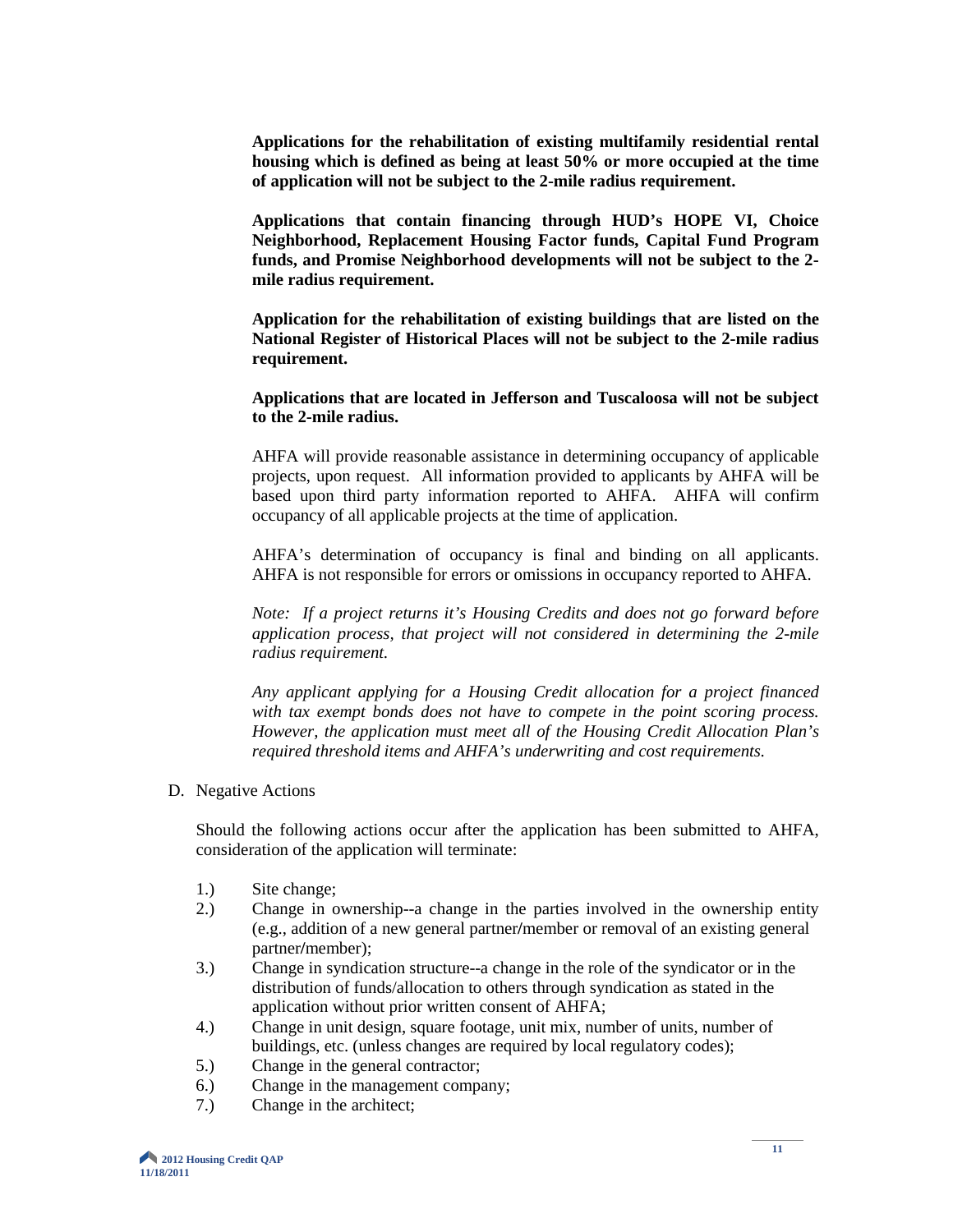**Applications for the rehabilitation of existing multifamily residential rental housing which is defined as being at least 50% or more occupied at the time of application will not be subject to the 2-mile radius requirement.**

**Applications that contain financing through HUD's HOPE VI, Choice Neighborhood, Replacement Housing Factor funds, Capital Fund Program funds, and Promise Neighborhood developments will not be subject to the 2 mile radius requirement.**

**Application for the rehabilitation of existing buildings that are listed on the National Register of Historical Places will not be subject to the 2-mile radius requirement.**

**Applications that are located in Jefferson and Tuscaloosa will not be subject to the 2-mile radius.**

AHFA will provide reasonable assistance in determining occupancy of applicable projects, upon request. All information provided to applicants by AHFA will be based upon third party information reported to AHFA. AHFA will confirm occupancy of all applicable projects at the time of application.

AHFA's determination of occupancy is final and binding on all applicants. AHFA is not responsible for errors or omissions in occupancy reported to AHFA.

*Note: If a project returns it's Housing Credits and does not go forward before application process, that project will not considered in determining the 2-mile radius requirement.*

*Any applicant applying for a Housing Credit allocation for a project financed with tax exempt bonds does not have to compete in the point scoring process. However, the application must meet all of the Housing Credit Allocation Plan's required threshold items and AHFA's underwriting and cost requirements.*

D. Negative Actions

Should the following actions occur after the application has been submitted to AHFA, consideration of the application will terminate:

- 1.) Site change;
- 2.) Change in ownership--a change in the parties involved in the ownership entity (e.g., addition of a new general partner**/**member or removal of an existing general partner**/**member);
- 3.) Change in syndication structure--a change in the role of the syndicator or in the distribution of funds/allocation to others through syndication as stated in the application without prior written consent of AHFA;
- 4.) Change in unit design, square footage, unit mix, number of units, number of buildings, etc. (unless changes are required by local regulatory codes);
- 5.) Change in the general contractor;
- 6.) Change in the management company;
- 7.) Change in the architect;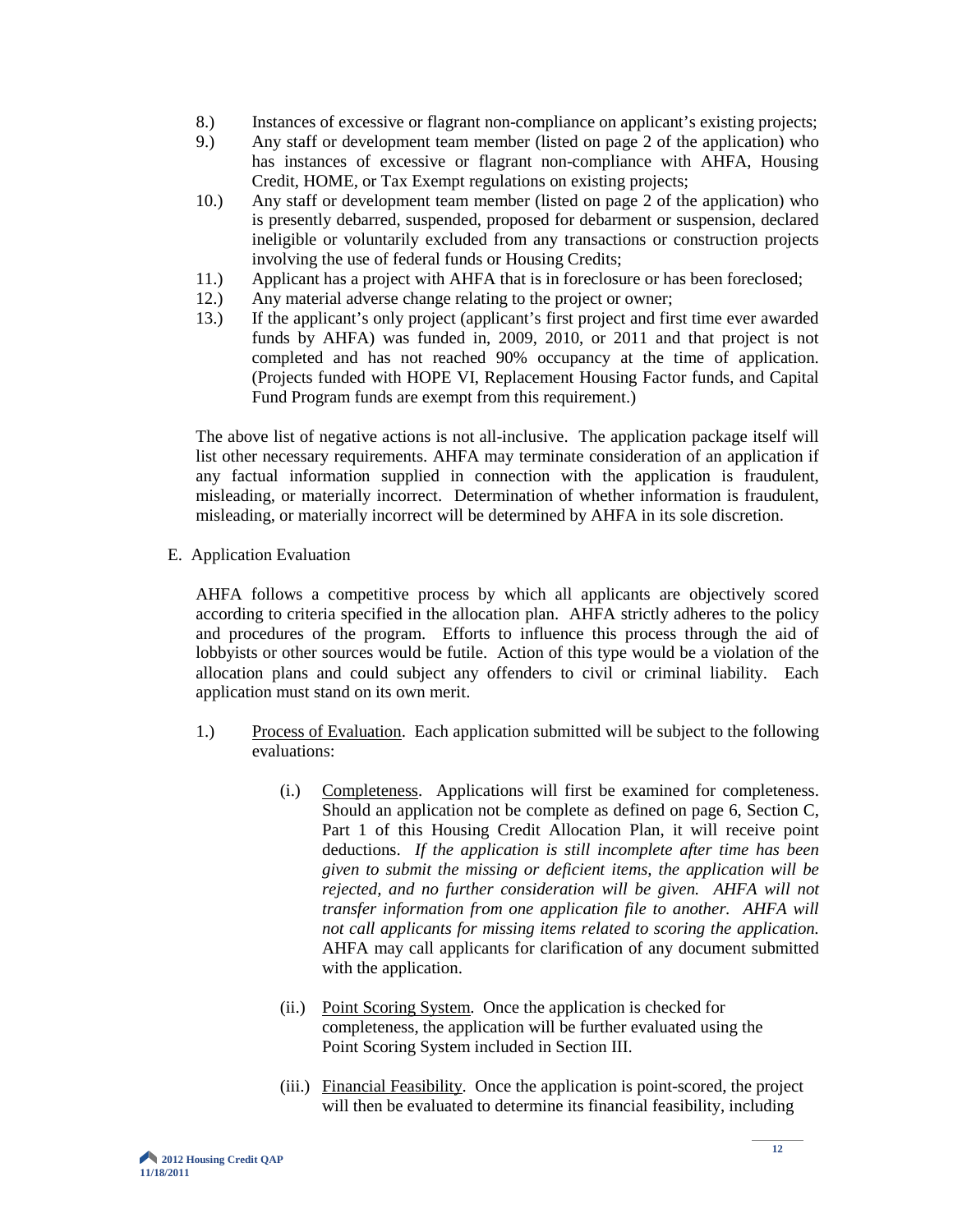- 8.) Instances of excessive or flagrant non-compliance on applicant's existing projects;
- 9.) Any staff or development team member (listed on page 2 of the application) who has instances of excessive or flagrant non-compliance with AHFA, Housing Credit, HOME, or Tax Exempt regulations on existing projects;
- 10.) Any staff or development team member (listed on page 2 of the application) who is presently debarred, suspended, proposed for debarment or suspension, declared ineligible or voluntarily excluded from any transactions or construction projects involving the use of federal funds or Housing Credits;
- 11.) Applicant has a project with AHFA that is in foreclosure or has been foreclosed;
- 12.) Any material adverse change relating to the project or owner;
- 13.) If the applicant's only project (applicant's first project and first time ever awarded funds by AHFA) was funded in, 2009, 2010, or 2011 and that project is not completed and has not reached 90% occupancy at the time of application. (Projects funded with HOPE VI, Replacement Housing Factor funds, and Capital Fund Program funds are exempt from this requirement.)

The above list of negative actions is not all-inclusive. The application package itself will list other necessary requirements. AHFA may terminate consideration of an application if any factual information supplied in connection with the application is fraudulent, misleading, or materially incorrect. Determination of whether information is fraudulent, misleading, or materially incorrect will be determined by AHFA in its sole discretion.

E. Application Evaluation

AHFA follows a competitive process by which all applicants are objectively scored according to criteria specified in the allocation plan. AHFA strictly adheres to the policy and procedures of the program. Efforts to influence this process through the aid of lobbyists or other sources would be futile. Action of this type would be a violation of the allocation plans and could subject any offenders to civil or criminal liability. Each application must stand on its own merit.

- 1.) Process of Evaluation. Each application submitted will be subject to the following evaluations:
	- (i.) Completeness. Applications will first be examined for completeness. Should an application not be complete as defined on page 6, Section C, Part 1 of this Housing Credit Allocation Plan, it will receive point deductions. *If the application is still incomplete after time has been given to submit the missing or deficient items, the application will be rejected, and no further consideration will be given. AHFA will not transfer information from one application file to another. AHFA will not call applicants for missing items related to scoring the application.* AHFA may call applicants for clarification of any document submitted with the application.
	- (ii.) Point Scoring System. Once the application is checked for completeness, the application will be further evaluated using the Point Scoring System included in Section III.
	- (iii.) Financial Feasibility. Once the application is point-scored, the project will then be evaluated to determine its financial feasibility, including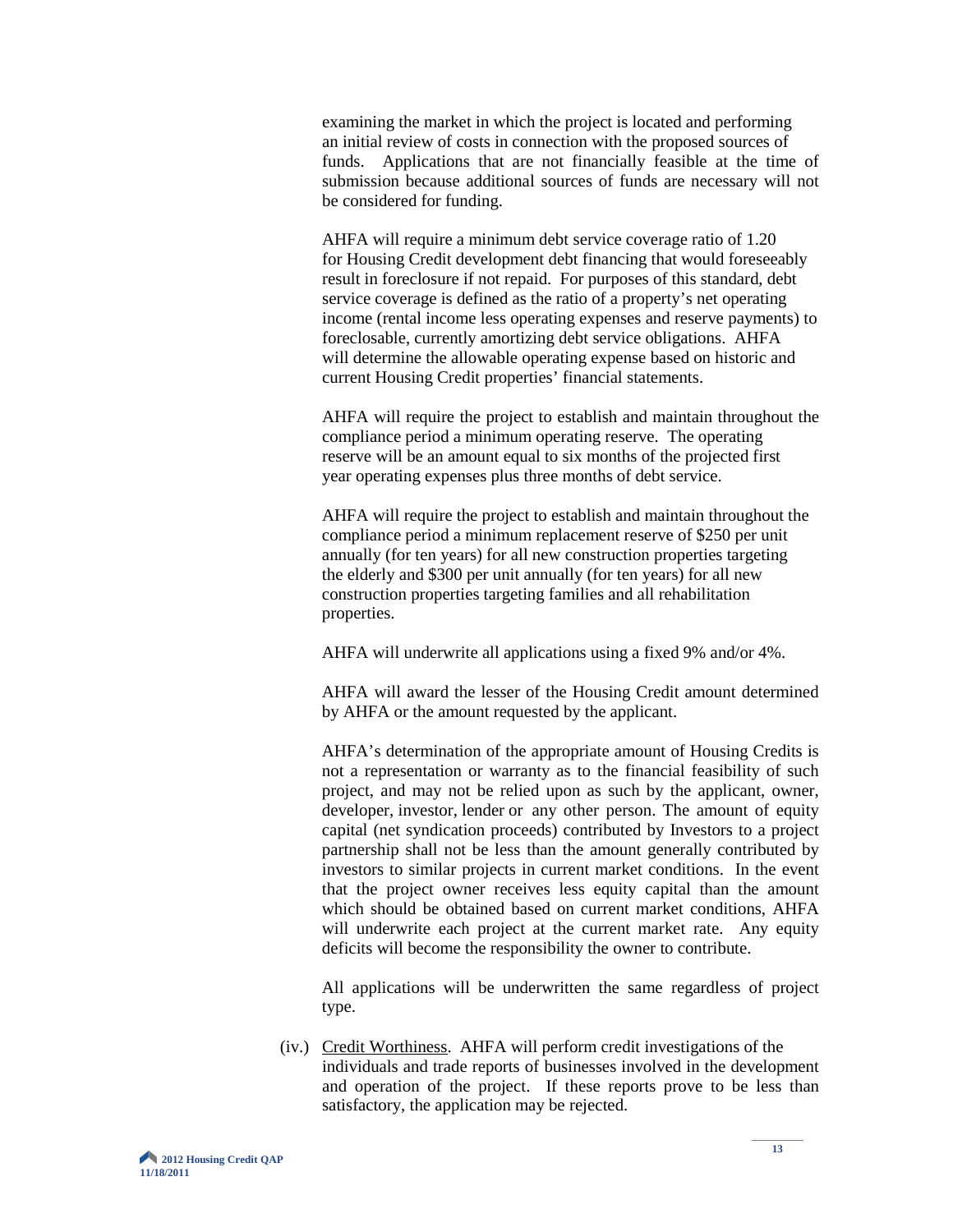examining the market in which the project is located and performing an initial review of costs in connection with the proposed sources of funds. Applications that are not financially feasible at the time of submission because additional sources of funds are necessary will not be considered for funding.

AHFA will require a minimum debt service coverage ratio of 1.20 for Housing Credit development debt financing that would foreseeably result in foreclosure if not repaid. For purposes of this standard, debt service coverage is defined as the ratio of a property's net operating income (rental income less operating expenses and reserve payments) to foreclosable, currently amortizing debt service obligations. AHFA will determine the allowable operating expense based on historic and current Housing Credit properties' financial statements.

AHFA will require the project to establish and maintain throughout the compliance period a minimum operating reserve. The operating reserve will be an amount equal to six months of the projected first year operating expenses plus three months of debt service.

AHFA will require the project to establish and maintain throughout the compliance period a minimum replacement reserve of \$250 per unit annually (for ten years) for all new construction properties targeting the elderly and \$300 per unit annually (for ten years) for all new construction properties targeting families and all rehabilitation properties.

AHFA will underwrite all applications using a fixed 9% and/or 4%.

AHFA will award the lesser of the Housing Credit amount determined by AHFA or the amount requested by the applicant.

AHFA's determination of the appropriate amount of Housing Credits is not a representation or warranty as to the financial feasibility of such project, and may not be relied upon as such by the applicant, owner, developer, investor, lender or any other person. The amount of equity capital (net syndication proceeds) contributed by Investors to a project partnership shall not be less than the amount generally contributed by investors to similar projects in current market conditions. In the event that the project owner receives less equity capital than the amount which should be obtained based on current market conditions, AHFA will underwrite each project at the current market rate. Any equity deficits will become the responsibility the owner to contribute.

All applications will be underwritten the same regardless of project type.

(iv.) Credit Worthiness. AHFA will perform credit investigations of the individuals and trade reports of businesses involved in the development and operation of the project. If these reports prove to be less than satisfactory, the application may be rejected.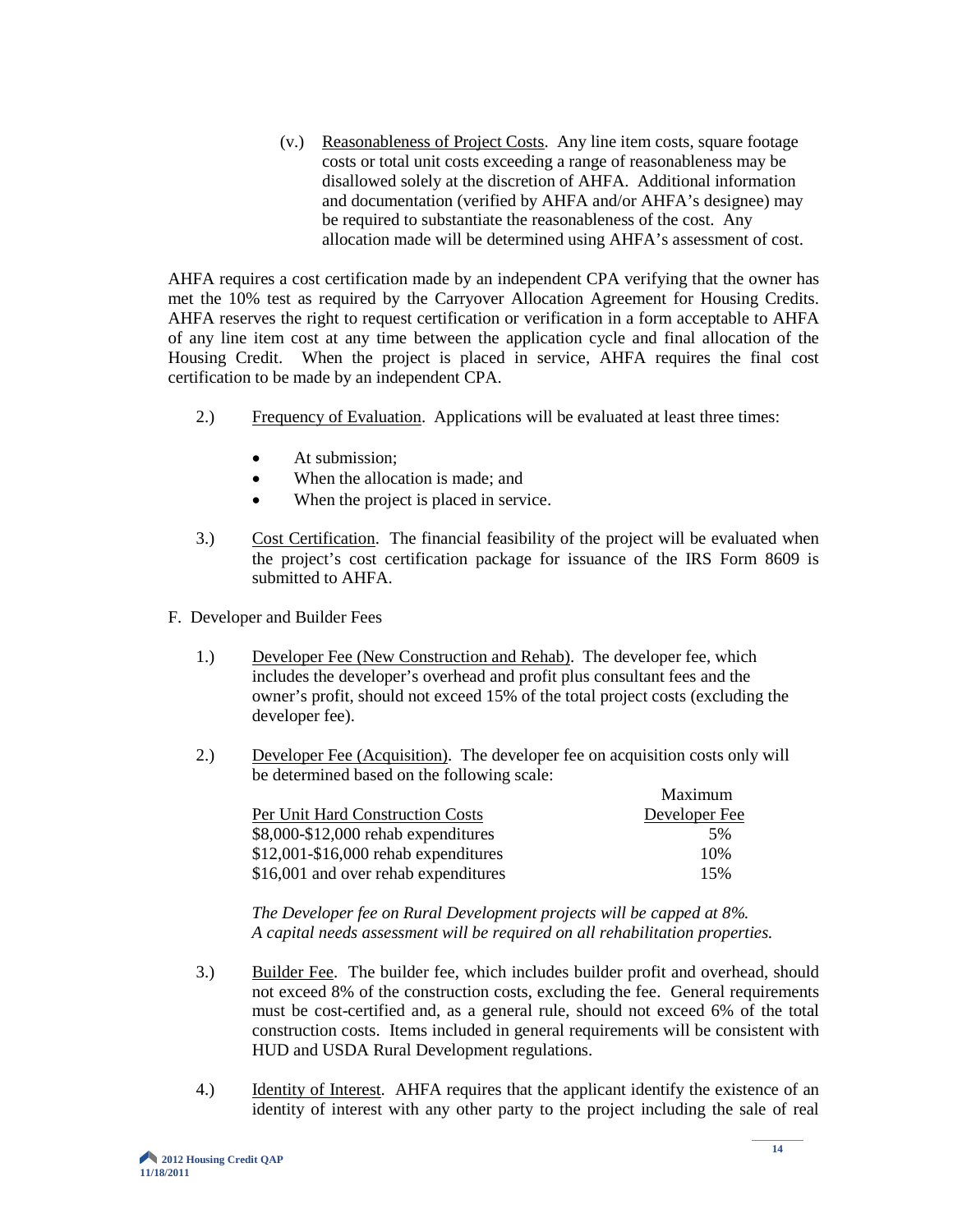(v.) Reasonableness of Project Costs. Any line item costs, square footage costs or total unit costs exceeding a range of reasonableness may be disallowed solely at the discretion of AHFA. Additional information and documentation (verified by AHFA and/or AHFA's designee) may be required to substantiate the reasonableness of the cost. Any allocation made will be determined using AHFA's assessment of cost.

AHFA requires a cost certification made by an independent CPA verifying that the owner has met the 10% test as required by the Carryover Allocation Agreement for Housing Credits. AHFA reserves the right to request certification or verification in a form acceptable to AHFA of any line item cost at any time between the application cycle and final allocation of the Housing Credit. When the project is placed in service, AHFA requires the final cost certification to be made by an independent CPA.

- 2.) Frequency of Evaluation. Applications will be evaluated at least three times:
	- At submission:
	- When the allocation is made; and
	- When the project is placed in service.
- 3.) Cost Certification. The financial feasibility of the project will be evaluated when the project's cost certification package for issuance of the IRS Form 8609 is submitted to AHFA.
- F. Developer and Builder Fees
	- 1.) Developer Fee (New Construction and Rehab). The developer fee, which includes the developer's overhead and profit plus consultant fees and the owner's profit, should not exceed 15% of the total project costs (excluding the developer fee).
	- 2.) Developer Fee (Acquisition). The developer fee on acquisition costs only will be determined based on the following scale:

|                                        | Maximum       |
|----------------------------------------|---------------|
| Per Unit Hard Construction Costs       | Developer Fee |
| \$8,000-\$12,000 rehab expenditures    | 5%            |
| $$12,001 - $16,000$ rehab expenditures | 10%           |
| \$16,001 and over rehab expenditures   | 15%           |

*The Developer fee on Rural Development projects will be capped at 8%. A capital needs assessment will be required on all rehabilitation properties.*

- 3.) Builder Fee. The builder fee, which includes builder profit and overhead, should not exceed 8% of the construction costs, excluding the fee. General requirements must be cost-certified and, as a general rule, should not exceed 6% of the total construction costs. Items included in general requirements will be consistent with HUD and USDA Rural Development regulations.
- 4.) Identity of Interest. AHFA requires that the applicant identify the existence of an identity of interest with any other party to the project including the sale of real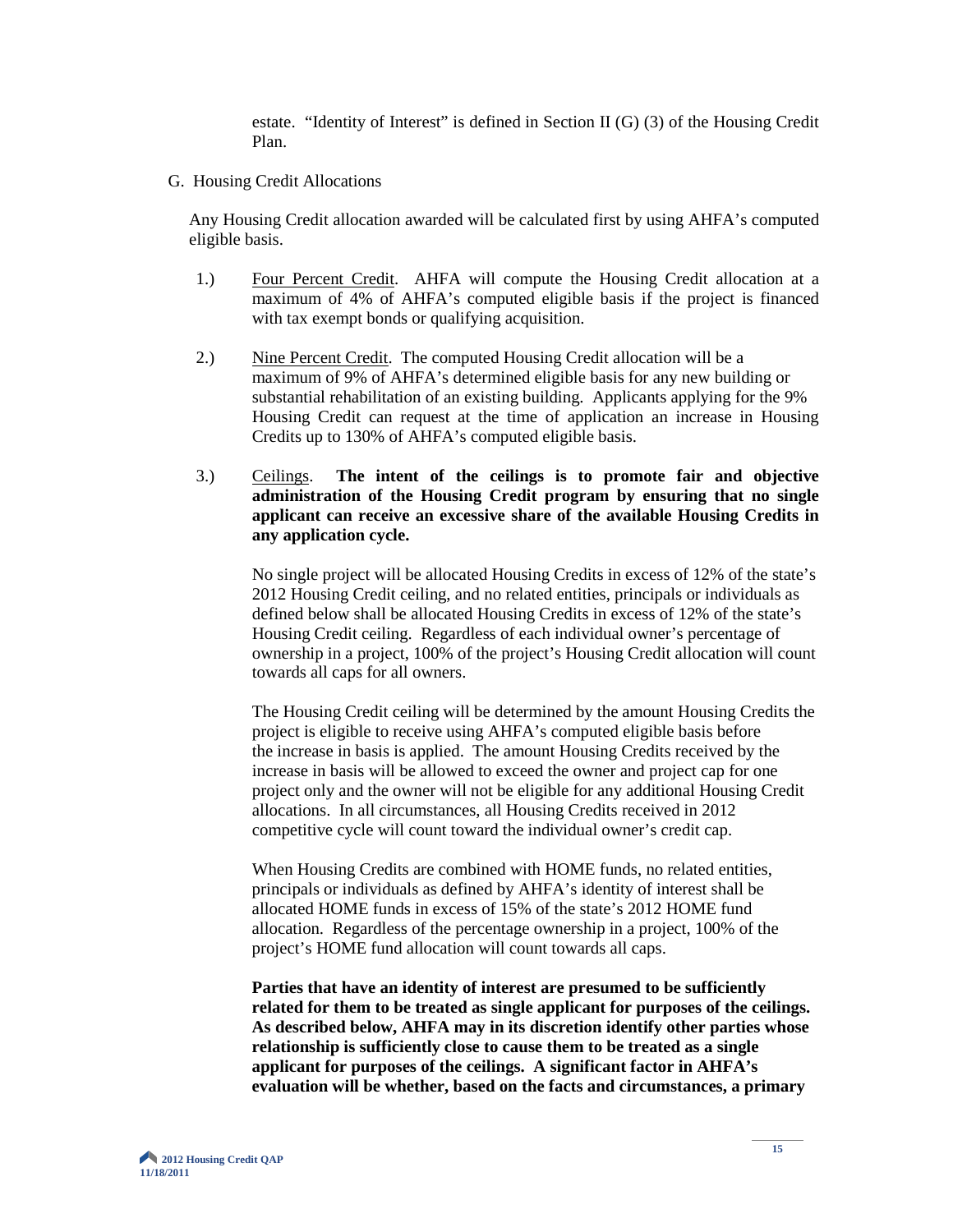estate. "Identity of Interest" is defined in Section II (G) (3) of the Housing Credit Plan.

G. Housing Credit Allocations

Any Housing Credit allocation awarded will be calculated first by using AHFA's computed eligible basis.

- 1.) Four Percent Credit. AHFA will compute the Housing Credit allocation at a maximum of 4% of AHFA's computed eligible basis if the project is financed with tax exempt bonds or qualifying acquisition.
- 2.) Nine Percent Credit. The computed Housing Credit allocation will be a maximum of 9% of AHFA's determined eligible basis for any new building or substantial rehabilitation of an existing building. Applicants applying for the 9% Housing Credit can request at the time of application an increase in Housing Credits up to 130% of AHFA's computed eligible basis.
- 3.) Ceilings. **The intent of the ceilings is to promote fair and objective administration of the Housing Credit program by ensuring that no single applicant can receive an excessive share of the available Housing Credits in any application cycle.**

No single project will be allocated Housing Credits in excess of 12% of the state's 2012 Housing Credit ceiling, and no related entities, principals or individuals as defined below shall be allocated Housing Credits in excess of 12% of the state's Housing Credit ceiling. Regardless of each individual owner's percentage of ownership in a project, 100% of the project's Housing Credit allocation will count towards all caps for all owners.

The Housing Credit ceiling will be determined by the amount Housing Credits the project is eligible to receive using AHFA's computed eligible basis before the increase in basis is applied. The amount Housing Credits received by the increase in basis will be allowed to exceed the owner and project cap for one project only and the owner will not be eligible for any additional Housing Credit allocations. In all circumstances, all Housing Credits received in 2012 competitive cycle will count toward the individual owner's credit cap.

 When Housing Credits are combined with HOME funds, no related entities, principals or individuals as defined by AHFA's identity of interest shall be allocated HOME funds in excess of 15% of the state's 2012 HOME fund allocation. Regardless of the percentage ownership in a project, 100% of the project's HOME fund allocation will count towards all caps.

**Parties that have an identity of interest are presumed to be sufficiently related for them to be treated as single applicant for purposes of the ceilings. As described below, AHFA may in its discretion identify other parties whose relationship is sufficiently close to cause them to be treated as a single applicant for purposes of the ceilings. A significant factor in AHFA's evaluation will be whether, based on the facts and circumstances, a primary**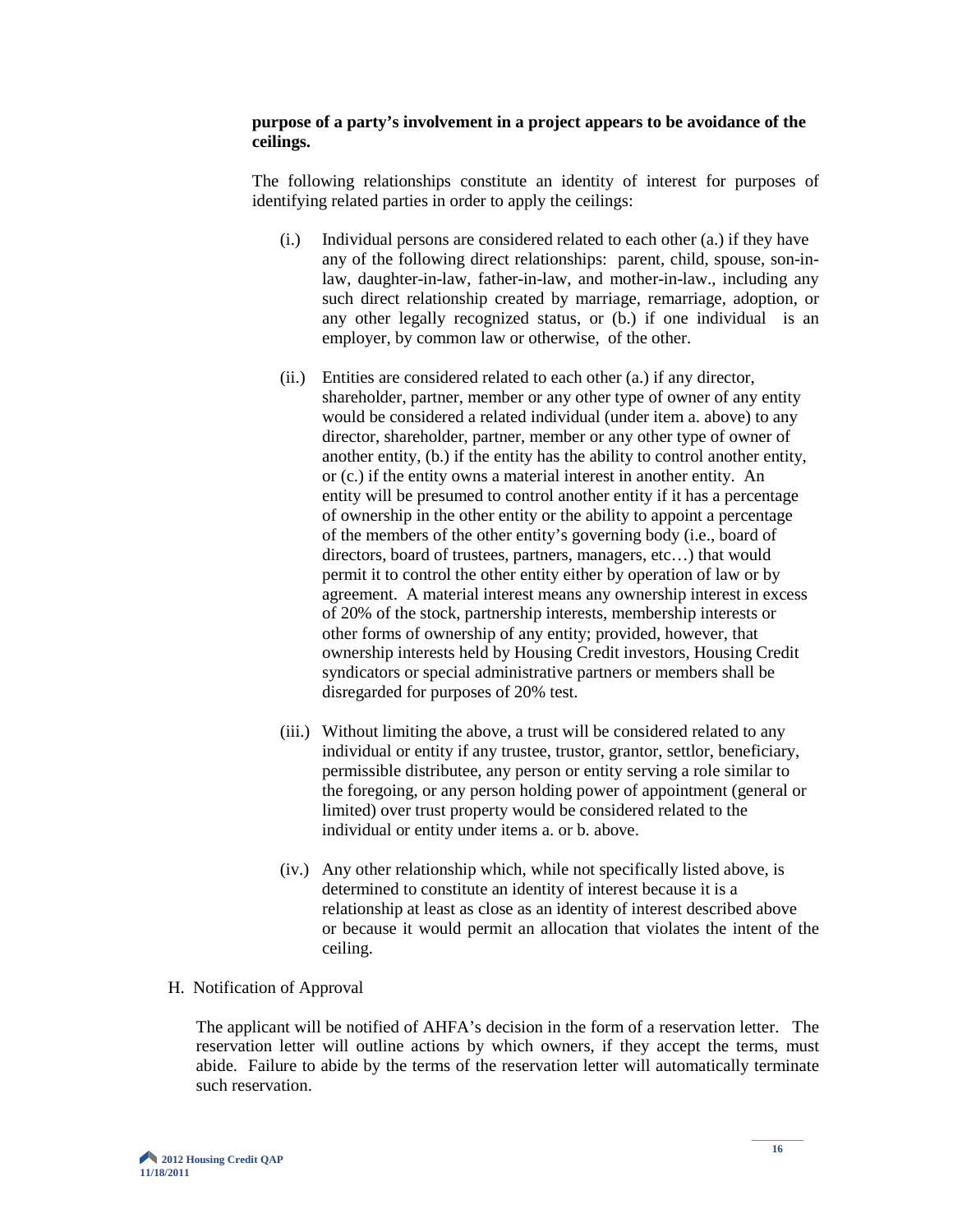#### **purpose of a party's involvement in a project appears to be avoidance of the ceilings.**

The following relationships constitute an identity of interest for purposes of identifying related parties in order to apply the ceilings:

- (i.) Individual persons are considered related to each other (a.) if they have any of the following direct relationships: parent, child, spouse, son-inlaw, daughter-in-law, father-in-law, and mother-in-law., including any such direct relationship created by marriage, remarriage, adoption, or any other legally recognized status, or (b.) if one individual is an employer, by common law or otherwise, of the other.
- (ii.) Entities are considered related to each other (a.) if any director, shareholder, partner, member or any other type of owner of any entity would be considered a related individual (under item a. above) to any director, shareholder, partner, member or any other type of owner of another entity, (b.) if the entity has the ability to control another entity, or (c.) if the entity owns a material interest in another entity. An entity will be presumed to control another entity if it has a percentage of ownership in the other entity or the ability to appoint a percentage of the members of the other entity's governing body (i.e., board of directors, board of trustees, partners, managers, etc…) that would permit it to control the other entity either by operation of law or by agreement. A material interest means any ownership interest in excess of 20% of the stock, partnership interests, membership interests or other forms of ownership of any entity; provided, however, that ownership interests held by Housing Credit investors, Housing Credit syndicators or special administrative partners or members shall be disregarded for purposes of 20% test.
- (iii.) Without limiting the above, a trust will be considered related to any individual or entity if any trustee, trustor, grantor, settlor, beneficiary, permissible distributee, any person or entity serving a role similar to the foregoing, or any person holding power of appointment (general or limited) over trust property would be considered related to the individual or entity under items a. or b. above.
- (iv.) Any other relationship which, while not specifically listed above, is determined to constitute an identity of interest because it is a relationship at least as close as an identity of interest described above or because it would permit an allocation that violates the intent of the ceiling.

#### H. Notification of Approval

The applicant will be notified of AHFA's decision in the form of a reservation letter. The reservation letter will outline actions by which owners, if they accept the terms, must abide. Failure to abide by the terms of the reservation letter will automatically terminate such reservation.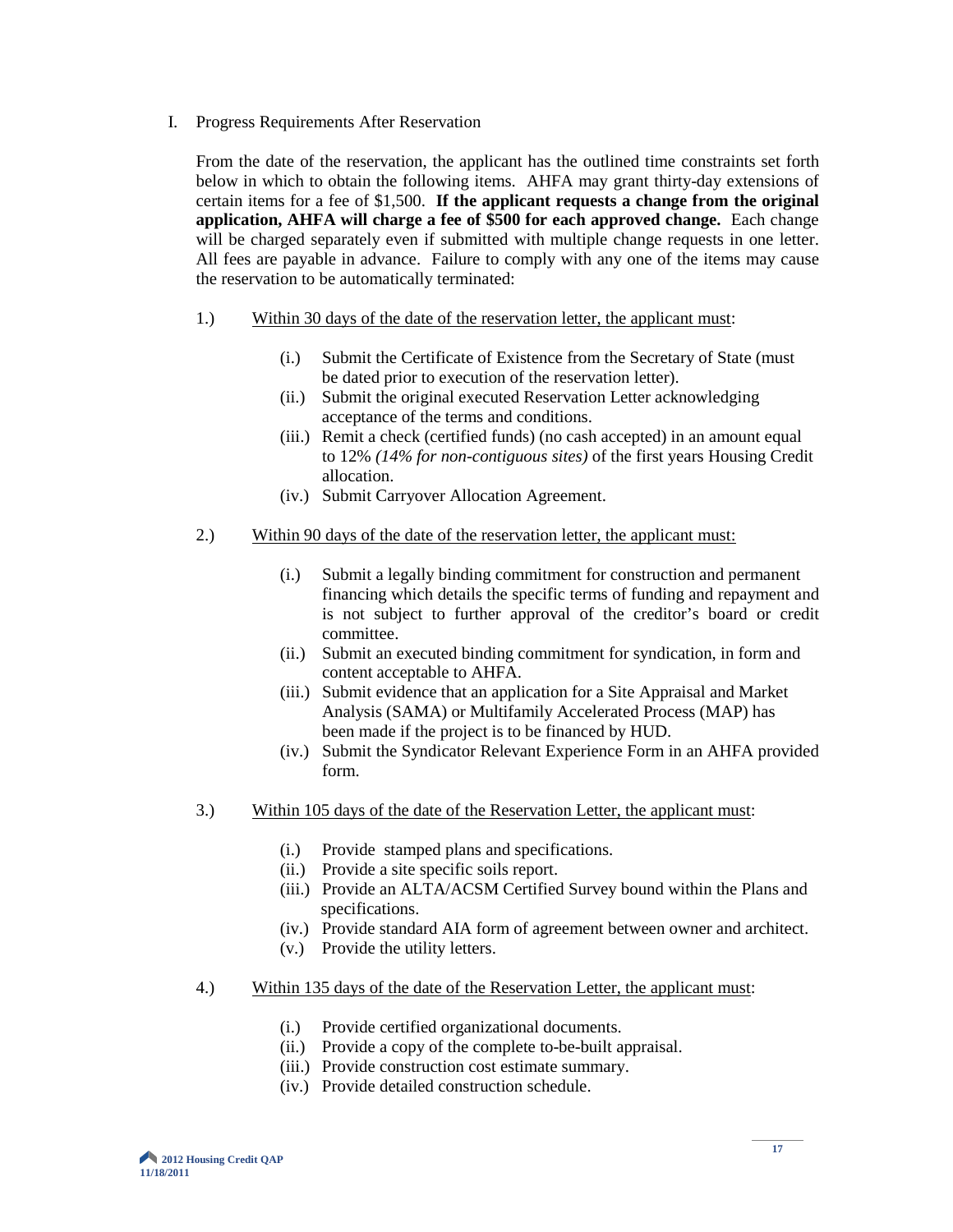I. Progress Requirements After Reservation

From the date of the reservation, the applicant has the outlined time constraints set forth below in which to obtain the following items. AHFA may grant thirty-day extensions of certain items for a fee of \$1,500. **If the applicant requests a change from the original application, AHFA will charge a fee of \$500 for each approved change.** Each change will be charged separately even if submitted with multiple change requests in one letter. All fees are payable in advance. Failure to comply with any one of the items may cause the reservation to be automatically terminated:

- 1.) Within 30 days of the date of the reservation letter, the applicant must:
	- (i.) Submit the Certificate of Existence from the Secretary of State (must be dated prior to execution of the reservation letter).
	- (ii.) Submit the original executed Reservation Letter acknowledging acceptance of the terms and conditions.
	- (iii.) Remit a check (certified funds) (no cash accepted) in an amount equal to 12% *(14% for non-contiguous sites)* of the first years Housing Credit allocation.
	- (iv.) Submit Carryover Allocation Agreement.
- 2.) Within 90 days of the date of the reservation letter, the applicant must:
	- (i.) Submit a legally binding commitment for construction and permanent financing which details the specific terms of funding and repayment and is not subject to further approval of the creditor's board or credit committee.
	- (ii.) Submit an executed binding commitment for syndication, in form and content acceptable to AHFA.
	- (iii.) Submit evidence that an application for a Site Appraisal and Market Analysis (SAMA) or Multifamily Accelerated Process (MAP) has been made if the project is to be financed by HUD.
	- (iv.) Submit the Syndicator Relevant Experience Form in an AHFA provided form.
- 3.) Within 105 days of the date of the Reservation Letter, the applicant must:
	- (i.) Provide stamped plans and specifications.
	- (ii.) Provide a site specific soils report.
	- (iii.) Provide an ALTA/ACSM Certified Survey bound within the Plans and specifications.
	- (iv.) Provide standard AIA form of agreement between owner and architect.
	- (v.) Provide the utility letters.
- 4.) Within 135 days of the date of the Reservation Letter, the applicant must:
	- (i.) Provide certified organizational documents.
	- (ii.) Provide a copy of the complete to-be-built appraisal.
	- (iii.) Provide construction cost estimate summary.
	- (iv.) Provide detailed construction schedule.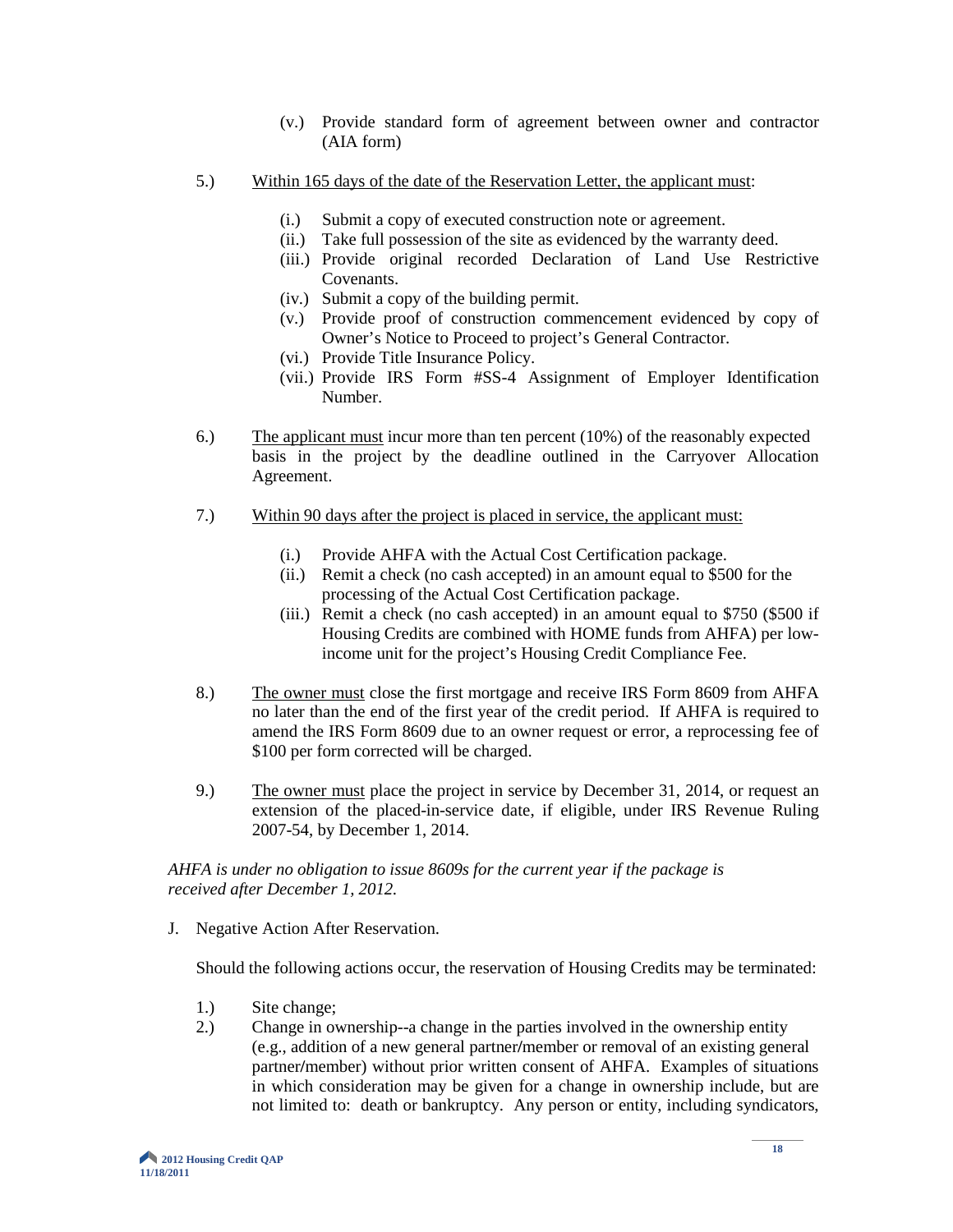- (v.) Provide standard form of agreement between owner and contractor (AIA form)
- 5.) Within 165 days of the date of the Reservation Letter, the applicant must:
	- (i.) Submit a copy of executed construction note or agreement.
	- (ii.) Take full possession of the site as evidenced by the warranty deed.
	- (iii.) Provide original recorded Declaration of Land Use Restrictive Covenants.
	- (iv.) Submit a copy of the building permit.
	- (v.) Provide proof of construction commencement evidenced by copy of Owner's Notice to Proceed to project's General Contractor.
	- (vi.) Provide Title Insurance Policy.
	- (vii.) Provide IRS Form #SS-4 Assignment of Employer Identification Number.
- 6.) The applicant must incur more than ten percent (10%) of the reasonably expected basis in the project by the deadline outlined in the Carryover Allocation Agreement.
- 7.) Within 90 days after the project is placed in service, the applicant must:
	- (i.) Provide AHFA with the Actual Cost Certification package.
	- (ii.) Remit a check (no cash accepted) in an amount equal to \$500 for the processing of the Actual Cost Certification package.
	- (iii.) Remit a check (no cash accepted) in an amount equal to \$750 (\$500 if Housing Credits are combined with HOME funds from AHFA) per lowincome unit for the project's Housing Credit Compliance Fee.
- 8.) The owner must close the first mortgage and receive IRS Form 8609 from AHFA no later than the end of the first year of the credit period. If AHFA is required to amend the IRS Form 8609 due to an owner request or error, a reprocessing fee of \$100 per form corrected will be charged.
- 9.) The owner must place the project in service by December 31, 2014, or request an extension of the placed-in-service date, if eligible, under IRS Revenue Ruling 2007-54, by December 1, 2014.

#### *AHFA is under no obligation to issue 8609s for the current year if the package is received after December 1, 2012.*

J. Negative Action After Reservation.

Should the following actions occur, the reservation of Housing Credits may be terminated:

- 1.) Site change;
- 2.) Change in ownership--a change in the parties involved in the ownership entity (e.g., addition of a new general partner**/**member or removal of an existing general partner**/**member) without prior written consent of AHFA. Examples of situations in which consideration may be given for a change in ownership include, but are not limited to: death or bankruptcy. Any person or entity, including syndicators,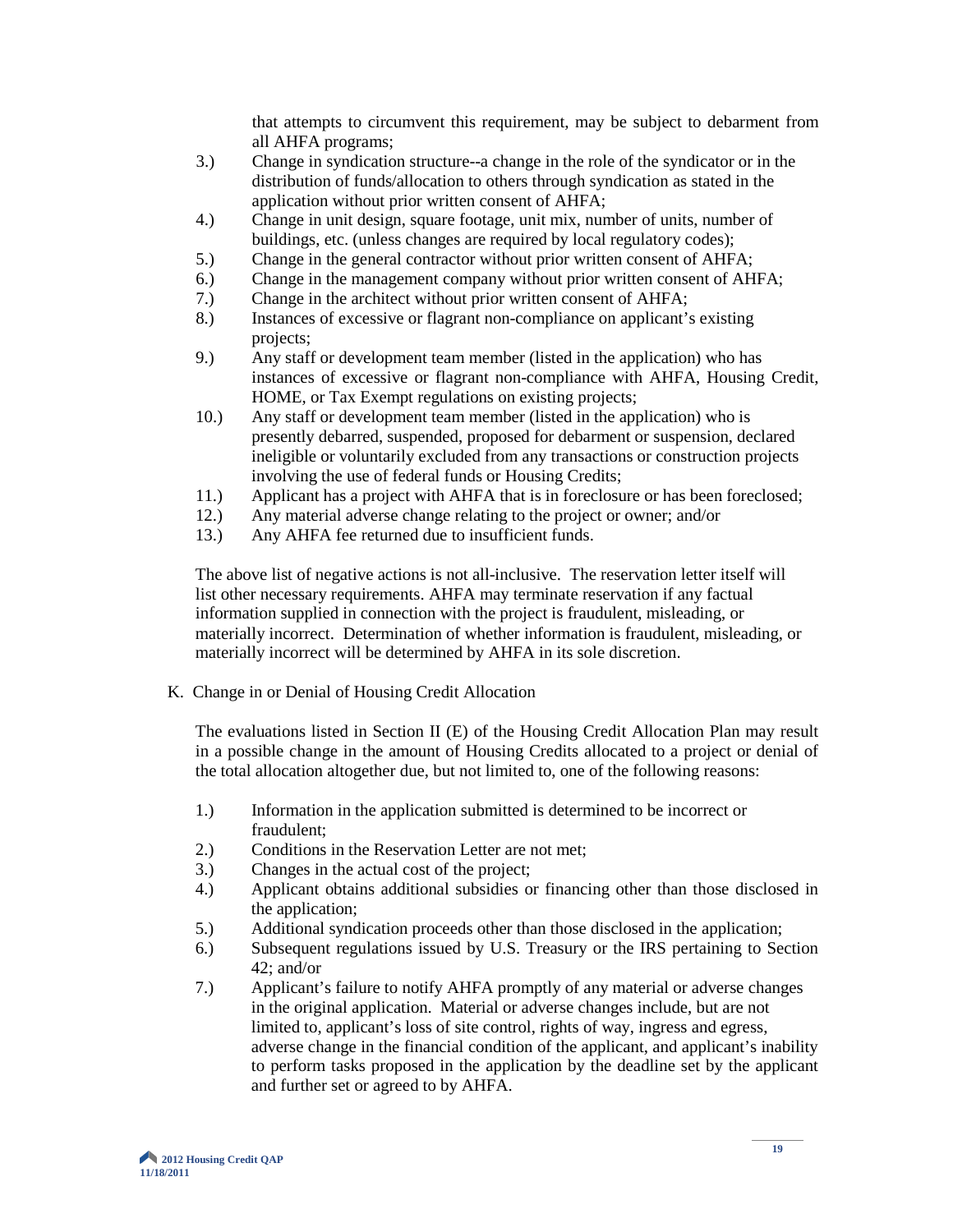that attempts to circumvent this requirement, may be subject to debarment from all AHFA programs;

- 3.) Change in syndication structure--a change in the role of the syndicator or in the distribution of funds/allocation to others through syndication as stated in the application without prior written consent of AHFA;
- 4.) Change in unit design, square footage, unit mix, number of units, number of buildings, etc. (unless changes are required by local regulatory codes);
- 5.) Change in the general contractor without prior written consent of AHFA;
- 6.) Change in the management company without prior written consent of AHFA;
- 7.) Change in the architect without prior written consent of AHFA;
- 8.) Instances of excessive or flagrant non-compliance on applicant's existing projects;
- 9.) Any staff or development team member (listed in the application) who has instances of excessive or flagrant non-compliance with AHFA, Housing Credit, HOME, or Tax Exempt regulations on existing projects;
- 10.) Any staff or development team member (listed in the application) who is presently debarred, suspended, proposed for debarment or suspension, declared ineligible or voluntarily excluded from any transactions or construction projects involving the use of federal funds or Housing Credits;
- 11.) Applicant has a project with AHFA that is in foreclosure or has been foreclosed;<br>12.) Any material adverse change relating to the project or owner; and/or
- 12.) Any material adverse change relating to the project or owner; and/or
- 13.) Any AHFA fee returned due to insufficient funds.

The above list of negative actions is not all-inclusive. The reservation letter itself will list other necessary requirements. AHFA may terminate reservation if any factual information supplied in connection with the project is fraudulent, misleading, or materially incorrect. Determination of whether information is fraudulent, misleading, or materially incorrect will be determined by AHFA in its sole discretion.

K. Change in or Denial of Housing Credit Allocation

The evaluations listed in Section II (E) of the Housing Credit Allocation Plan may result in a possible change in the amount of Housing Credits allocated to a project or denial of the total allocation altogether due, but not limited to, one of the following reasons:

- 1.) Information in the application submitted is determined to be incorrect or fraudulent;
- 2.) Conditions in the Reservation Letter are not met;
- 3.) Changes in the actual cost of the project;
- 4.) Applicant obtains additional subsidies or financing other than those disclosed in the application;
- 5.) Additional syndication proceeds other than those disclosed in the application;
- 6.) Subsequent regulations issued by U.S. Treasury or the IRS pertaining to Section 42; and/or
- 7.) Applicant's failure to notify AHFA promptly of any material or adverse changes in the original application. Material or adverse changes include, but are not limited to, applicant's loss of site control, rights of way, ingress and egress, adverse change in the financial condition of the applicant, and applicant's inability to perform tasks proposed in the application by the deadline set by the applicant and further set or agreed to by AHFA.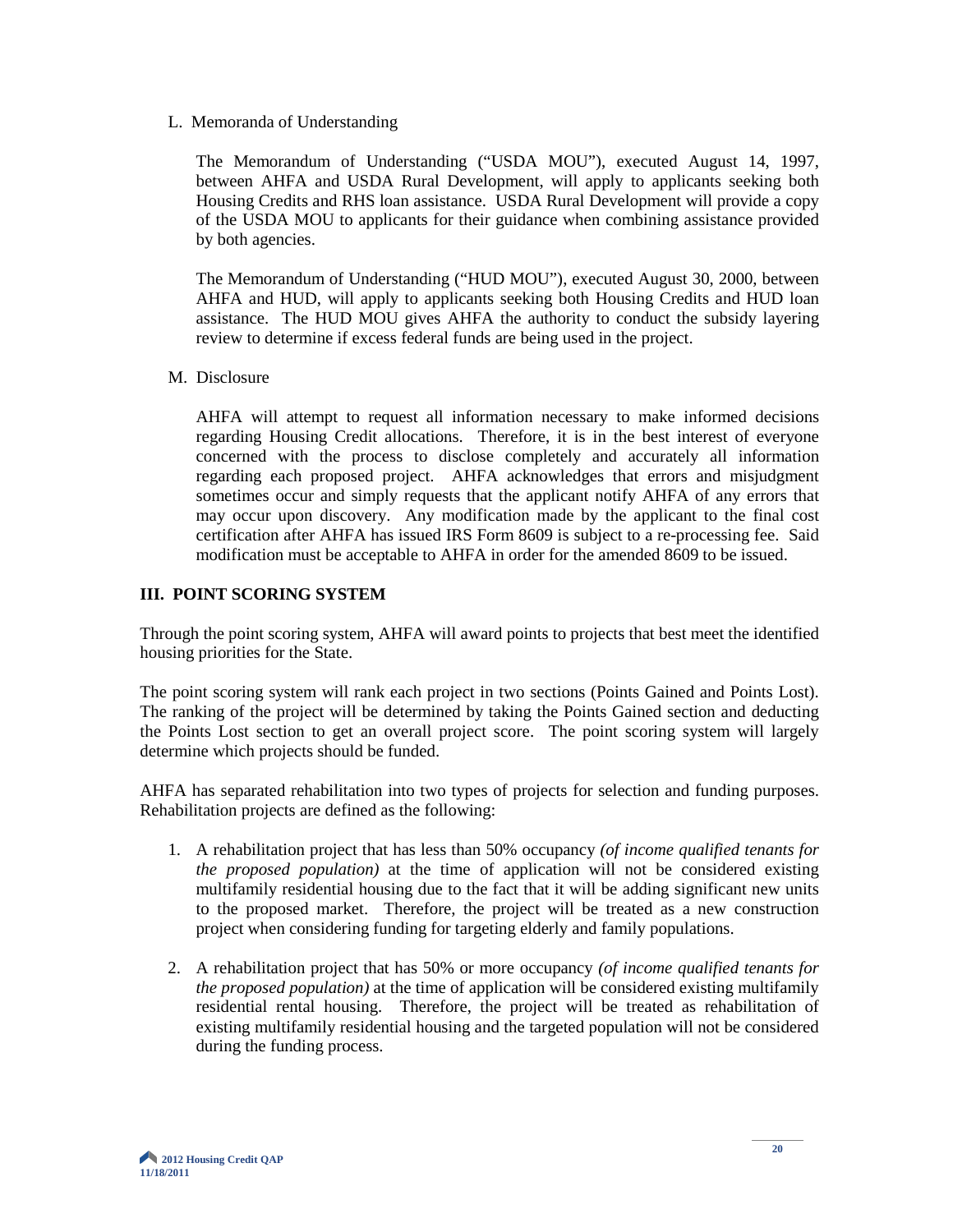L. Memoranda of Understanding

The Memorandum of Understanding ("USDA MOU"), executed August 14, 1997, between AHFA and USDA Rural Development, will apply to applicants seeking both Housing Credits and RHS loan assistance. USDA Rural Development will provide a copy of the USDA MOU to applicants for their guidance when combining assistance provided by both agencies.

The Memorandum of Understanding ("HUD MOU"), executed August 30, 2000, between AHFA and HUD, will apply to applicants seeking both Housing Credits and HUD loan assistance. The HUD MOU gives AHFA the authority to conduct the subsidy layering review to determine if excess federal funds are being used in the project.

M. Disclosure

AHFA will attempt to request all information necessary to make informed decisions regarding Housing Credit allocations. Therefore, it is in the best interest of everyone concerned with the process to disclose completely and accurately all information regarding each proposed project. AHFA acknowledges that errors and misjudgment sometimes occur and simply requests that the applicant notify AHFA of any errors that may occur upon discovery. Any modification made by the applicant to the final cost certification after AHFA has issued IRS Form 8609 is subject to a re-processing fee. Said modification must be acceptable to AHFA in order for the amended 8609 to be issued.

#### **III. POINT SCORING SYSTEM**

Through the point scoring system, AHFA will award points to projects that best meet the identified housing priorities for the State.

The point scoring system will rank each project in two sections (Points Gained and Points Lost). The ranking of the project will be determined by taking the Points Gained section and deducting the Points Lost section to get an overall project score. The point scoring system will largely determine which projects should be funded.

AHFA has separated rehabilitation into two types of projects for selection and funding purposes. Rehabilitation projects are defined as the following:

- 1. A rehabilitation project that has less than 50% occupancy *(of income qualified tenants for the proposed population)* at the time of application will not be considered existing multifamily residential housing due to the fact that it will be adding significant new units to the proposed market. Therefore, the project will be treated as a new construction project when considering funding for targeting elderly and family populations.
- 2. A rehabilitation project that has 50% or more occupancy *(of income qualified tenants for the proposed population)* at the time of application will be considered existing multifamily residential rental housing. Therefore, the project will be treated as rehabilitation of existing multifamily residential housing and the targeted population will not be considered during the funding process.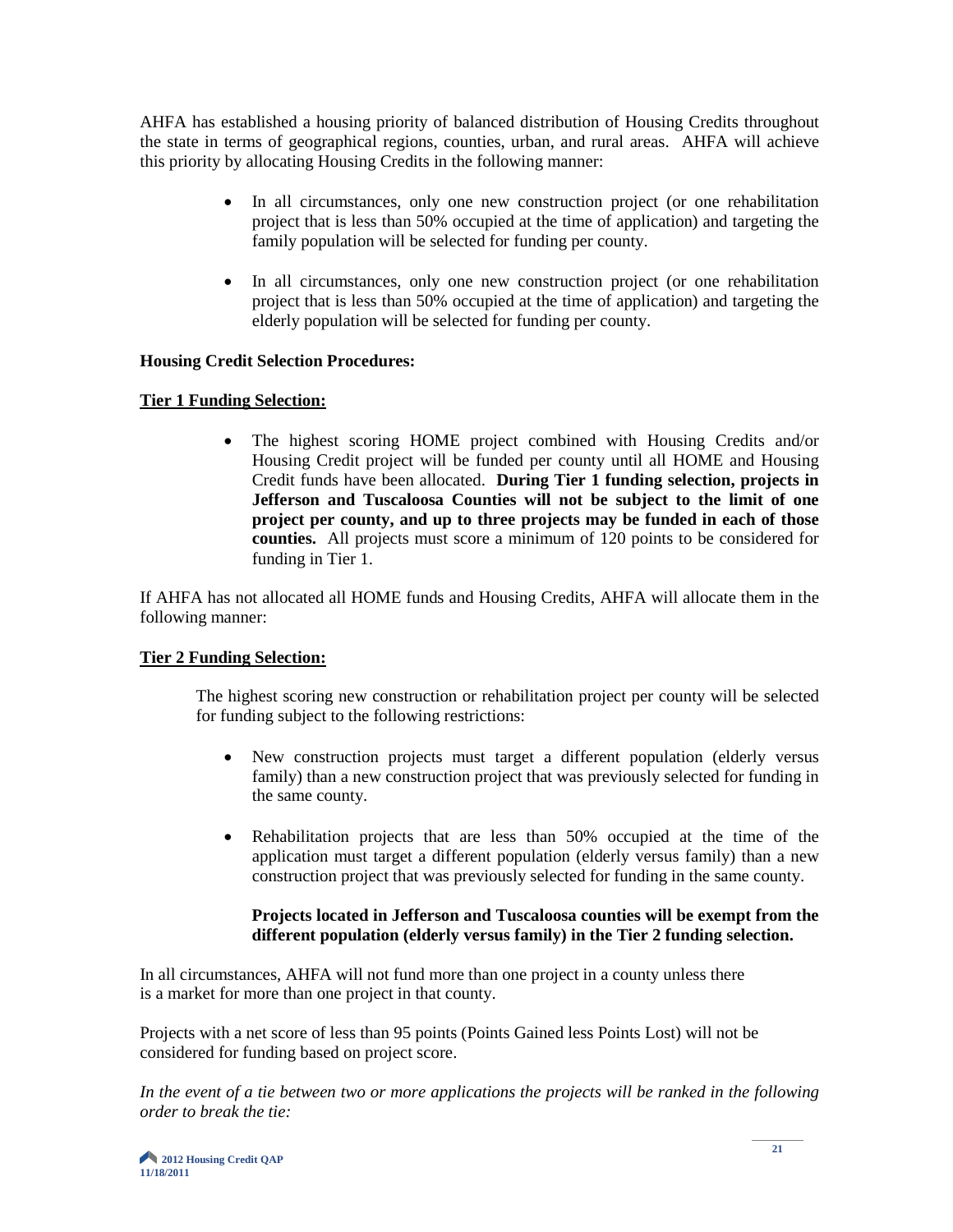AHFA has established a housing priority of balanced distribution of Housing Credits throughout the state in terms of geographical regions, counties, urban, and rural areas. AHFA will achieve this priority by allocating Housing Credits in the following manner:

- In all circumstances, only one new construction project (or one rehabilitation project that is less than 50% occupied at the time of application) and targeting the family population will be selected for funding per county.
- In all circumstances, only one new construction project (or one rehabilitation project that is less than 50% occupied at the time of application) and targeting the elderly population will be selected for funding per county.

#### **Housing Credit Selection Procedures:**

#### **Tier 1 Funding Selection:**

• The highest scoring HOME project combined with Housing Credits and/or Housing Credit project will be funded per county until all HOME and Housing Credit funds have been allocated. **During Tier 1 funding selection, projects in Jefferson and Tuscaloosa Counties will not be subject to the limit of one project per county, and up to three projects may be funded in each of those counties.** All projects must score a minimum of 120 points to be considered for funding in Tier 1.

If AHFA has not allocated all HOME funds and Housing Credits, AHFA will allocate them in the following manner:

# **Tier 2 Funding Selection:**

The highest scoring new construction or rehabilitation project per county will be selected for funding subject to the following restrictions:

- New construction projects must target a different population (elderly versus family) than a new construction project that was previously selected for funding in the same county.
- Rehabilitation projects that are less than 50% occupied at the time of the application must target a different population (elderly versus family) than a new construction project that was previously selected for funding in the same county.

#### **Projects located in Jefferson and Tuscaloosa counties will be exempt from the different population (elderly versus family) in the Tier 2 funding selection.**

In all circumstances, AHFA will not fund more than one project in a county unless there is a market for more than one project in that county.

Projects with a net score of less than 95 points (Points Gained less Points Lost) will not be considered for funding based on project score.

*In the event of a tie between two or more applications the projects will be ranked in the following order to break the tie:*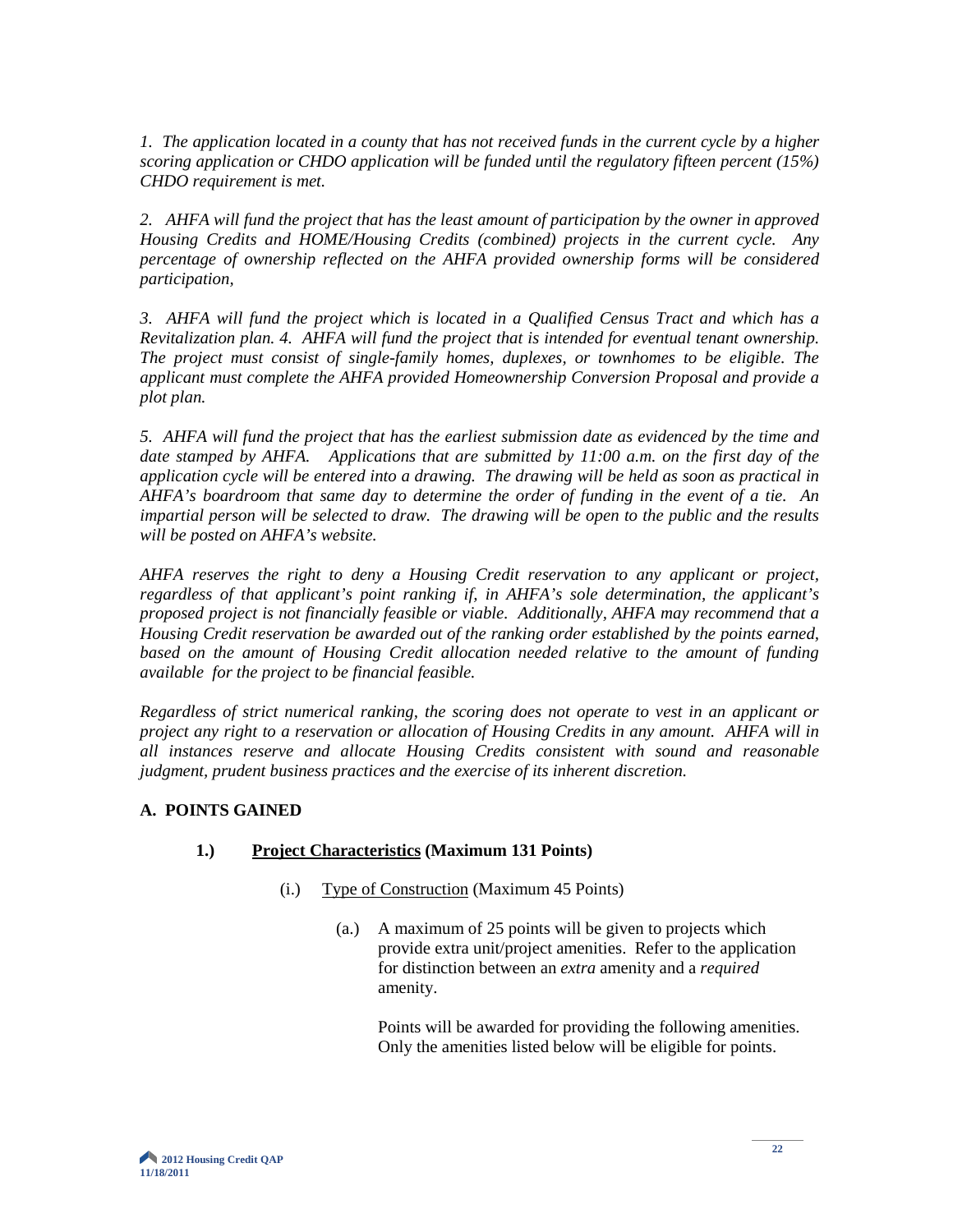*1. The application located in a county that has not received funds in the current cycle by a higher scoring application or CHDO application will be funded until the regulatory fifteen percent (15%) CHDO requirement is met.* 

*2. AHFA will fund the project that has the least amount of participation by the owner in approved Housing Credits and HOME/Housing Credits (combined) projects in the current cycle. Any percentage of ownership reflected on the AHFA provided ownership forms will be considered participation,* 

*3. AHFA will fund the project which is located in a Qualified Census Tract and which has a Revitalization plan. 4. AHFA will fund the project that is intended for eventual tenant ownership. The project must consist of single-family homes, duplexes, or townhomes to be eligible. The applicant must complete the AHFA provided Homeownership Conversion Proposal and provide a plot plan.* 

*5. AHFA will fund the project that has the earliest submission date as evidenced by the time and date stamped by AHFA. Applications that are submitted by 11:00 a.m. on the first day of the application cycle will be entered into a drawing. The drawing will be held as soon as practical in AHFA's boardroom that same day to determine the order of funding in the event of a tie. An impartial person will be selected to draw. The drawing will be open to the public and the results will be posted on AHFA's website.* 

*AHFA reserves the right to deny a Housing Credit reservation to any applicant or project, regardless of that applicant's point ranking if, in AHFA's sole determination, the applicant's proposed project is not financially feasible or viable. Additionally, AHFA may recommend that a Housing Credit reservation be awarded out of the ranking order established by the points earned,*  based on the amount of Housing Credit allocation needed relative to the amount of funding *available for the project to be financial feasible.*

*Regardless of strict numerical ranking, the scoring does not operate to vest in an applicant or project any right to a reservation or allocation of Housing Credits in any amount. AHFA will in all instances reserve and allocate Housing Credits consistent with sound and reasonable judgment, prudent business practices and the exercise of its inherent discretion.*

# **A. POINTS GAINED**

# **1.) Project Characteristics (Maximum 131 Points)**

- (i.) Type of Construction (Maximum 45 Points)
	- (a.) A maximum of 25 points will be given to projects which provide extra unit/project amenities. Refer to the application for distinction between an *extra* amenity and a *required*  amenity.

Points will be awarded for providing the following amenities. Only the amenities listed below will be eligible for points.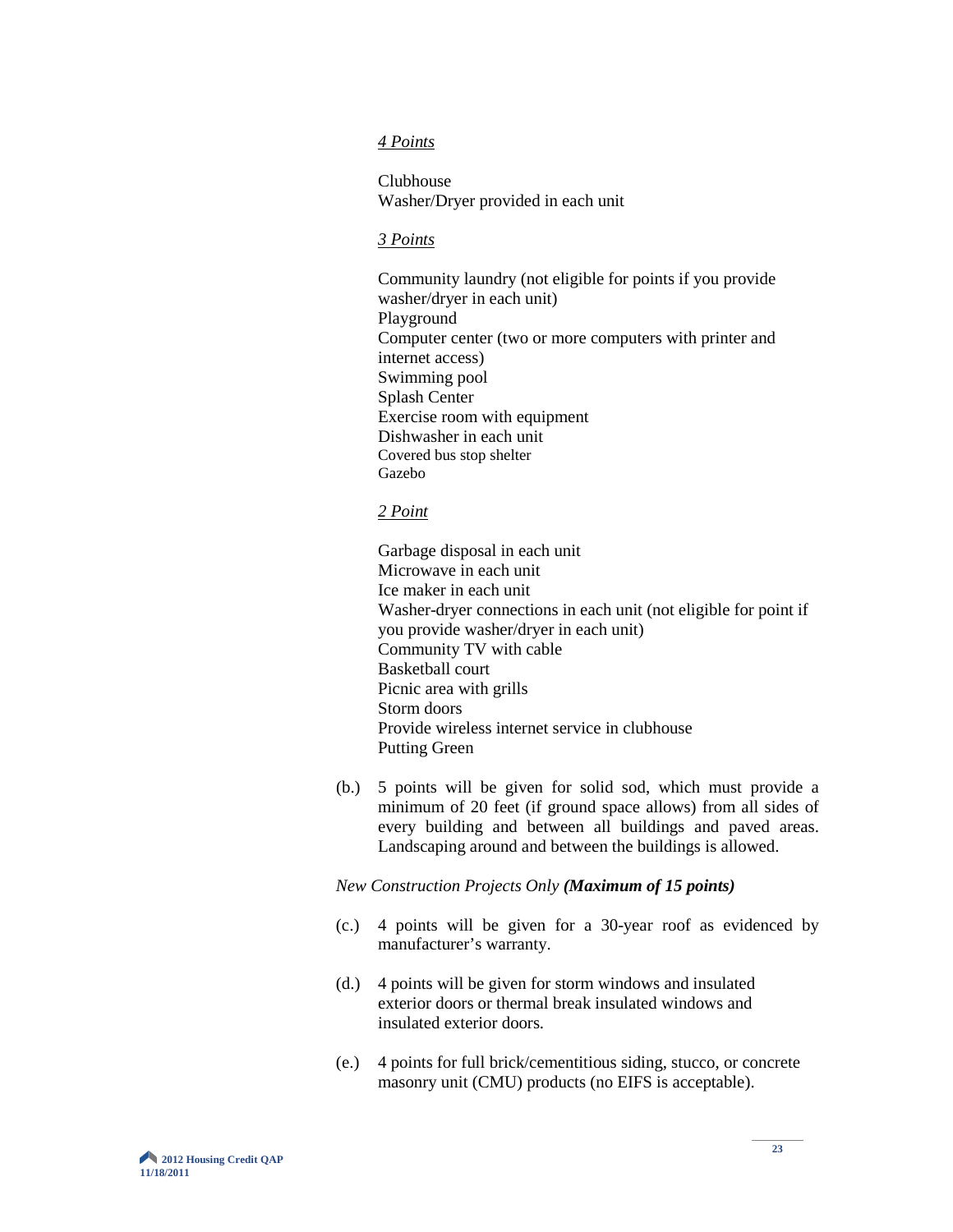#### *4 Points*

Clubhouse Washer/Dryer provided in each unit

#### *3 Points*

Community laundry (not eligible for points if you provide washer/dryer in each unit) Playground Computer center (two or more computers with printer and internet access) Swimming pool Splash Center Exercise room with equipment Dishwasher in each unit Covered bus stop shelter Gazebo

#### *2 Point*

Garbage disposal in each unit Microwave in each unit Ice maker in each unit Washer-dryer connections in each unit (not eligible for point if you provide washer/dryer in each unit) Community TV with cable Basketball court Picnic area with grills Storm doors Provide wireless internet service in clubhouse Putting Green

(b.) 5 points will be given for solid sod, which must provide a minimum of 20 feet (if ground space allows) from all sides of every building and between all buildings and paved areas. Landscaping around and between the buildings is allowed.

#### *New Construction Projects Only (Maximum of 15 points)*

- (c.) 4 points will be given for a 30-year roof as evidenced by manufacturer's warranty.
- (d.) 4 points will be given for storm windows and insulated exterior doors or thermal break insulated windows and insulated exterior doors.
- (e.) 4 points for full brick/cementitious siding, stucco, or concrete masonry unit (CMU) products (no EIFS is acceptable).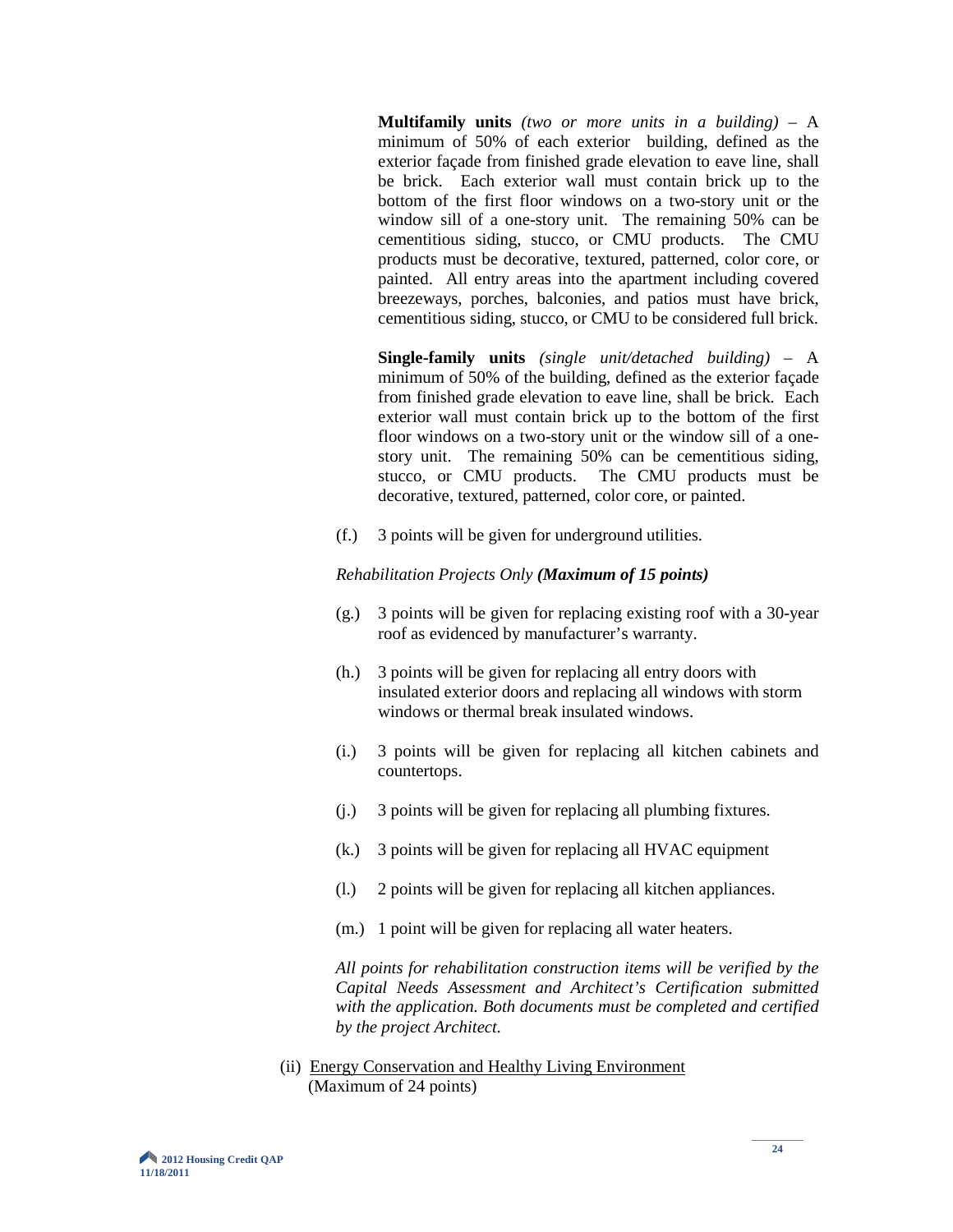**Multifamily units** *(two or more units in a building)* – A minimum of 50% of each exterior building, defined as the exterior façade from finished grade elevation to eave line, shall be brick. Each exterior wall must contain brick up to the bottom of the first floor windows on a two-story unit or the window sill of a one-story unit. The remaining 50% can be cementitious siding, stucco, or CMU products. The CMU products must be decorative, textured, patterned, color core, or painted. All entry areas into the apartment including covered breezeways, porches, balconies, and patios must have brick, cementitious siding, stucco, or CMU to be considered full brick.

**Single-family units** *(single unit/detached building)* – A minimum of 50% of the building, defined as the exterior façade from finished grade elevation to eave line, shall be brick. Each exterior wall must contain brick up to the bottom of the first floor windows on a two-story unit or the window sill of a onestory unit. The remaining 50% can be cementitious siding, stucco, or CMU products. The CMU products must be decorative, textured, patterned, color core, or painted.

(f.) 3 points will be given for underground utilities.

#### *Rehabilitation Projects Only (Maximum of 15 points)*

- (g.) 3 points will be given for replacing existing roof with a 30-year roof as evidenced by manufacturer's warranty.
- (h.) 3 points will be given for replacing all entry doors with insulated exterior doors and replacing all windows with storm windows or thermal break insulated windows.
- (i.) 3 points will be given for replacing all kitchen cabinets and countertops.
- (j.) 3 points will be given for replacing all plumbing fixtures.
- (k.) 3 points will be given for replacing all HVAC equipment
- (l.) 2 points will be given for replacing all kitchen appliances.
- (m.) 1 point will be given for replacing all water heaters.

*All points for rehabilitation construction items will be verified by the Capital Needs Assessment and Architect's Certification submitted with the application. Both documents must be completed and certified by the project Architect.*

(ii) Energy Conservation and Healthy Living Environment (Maximum of 24 points)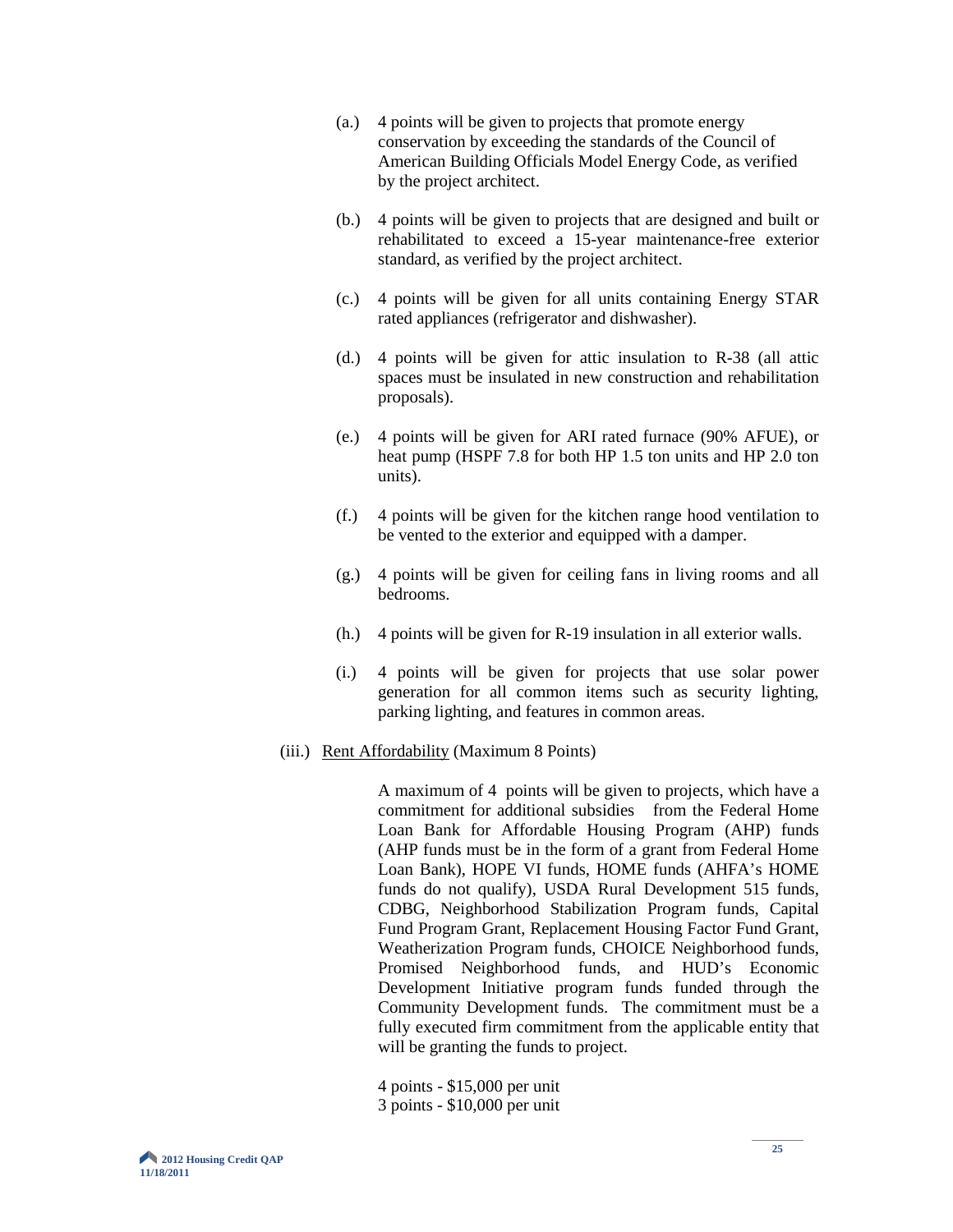- (a.) 4 points will be given to projects that promote energy conservation by exceeding the standards of the Council of American Building Officials Model Energy Code, as verified by the project architect.
- (b.) 4 points will be given to projects that are designed and built or rehabilitated to exceed a 15-year maintenance-free exterior standard, as verified by the project architect.
- (c.) 4 points will be given for all units containing Energy STAR rated appliances (refrigerator and dishwasher).
- (d.) 4 points will be given for attic insulation to R-38 (all attic spaces must be insulated in new construction and rehabilitation proposals).
- (e.) 4 points will be given for ARI rated furnace (90% AFUE), or heat pump (HSPF 7.8 for both HP 1.5 ton units and HP 2.0 ton units).
- (f.) 4 points will be given for the kitchen range hood ventilation to be vented to the exterior and equipped with a damper.
- (g.) 4 points will be given for ceiling fans in living rooms and all bedrooms.
- (h.) 4 points will be given for R-19 insulation in all exterior walls.
- (i.) 4 points will be given for projects that use solar power generation for all common items such as security lighting, parking lighting, and features in common areas.
- (iii.) Rent Affordability (Maximum 8 Points)

A maximum of 4 points will be given to projects, which have a commitment for additional subsidies from the Federal Home Loan Bank for Affordable Housing Program (AHP) funds (AHP funds must be in the form of a grant from Federal Home Loan Bank), HOPE VI funds, HOME funds (AHFA's HOME funds do not qualify), USDA Rural Development 515 funds, CDBG, Neighborhood Stabilization Program funds, Capital Fund Program Grant, Replacement Housing Factor Fund Grant, Weatherization Program funds, CHOICE Neighborhood funds, Promised Neighborhood funds, and HUD's Economic Development Initiative program funds funded through the Community Development funds. The commitment must be a fully executed firm commitment from the applicable entity that will be granting the funds to project.

- 4 points \$15,000 per unit
- 3 points \$10,000 per unit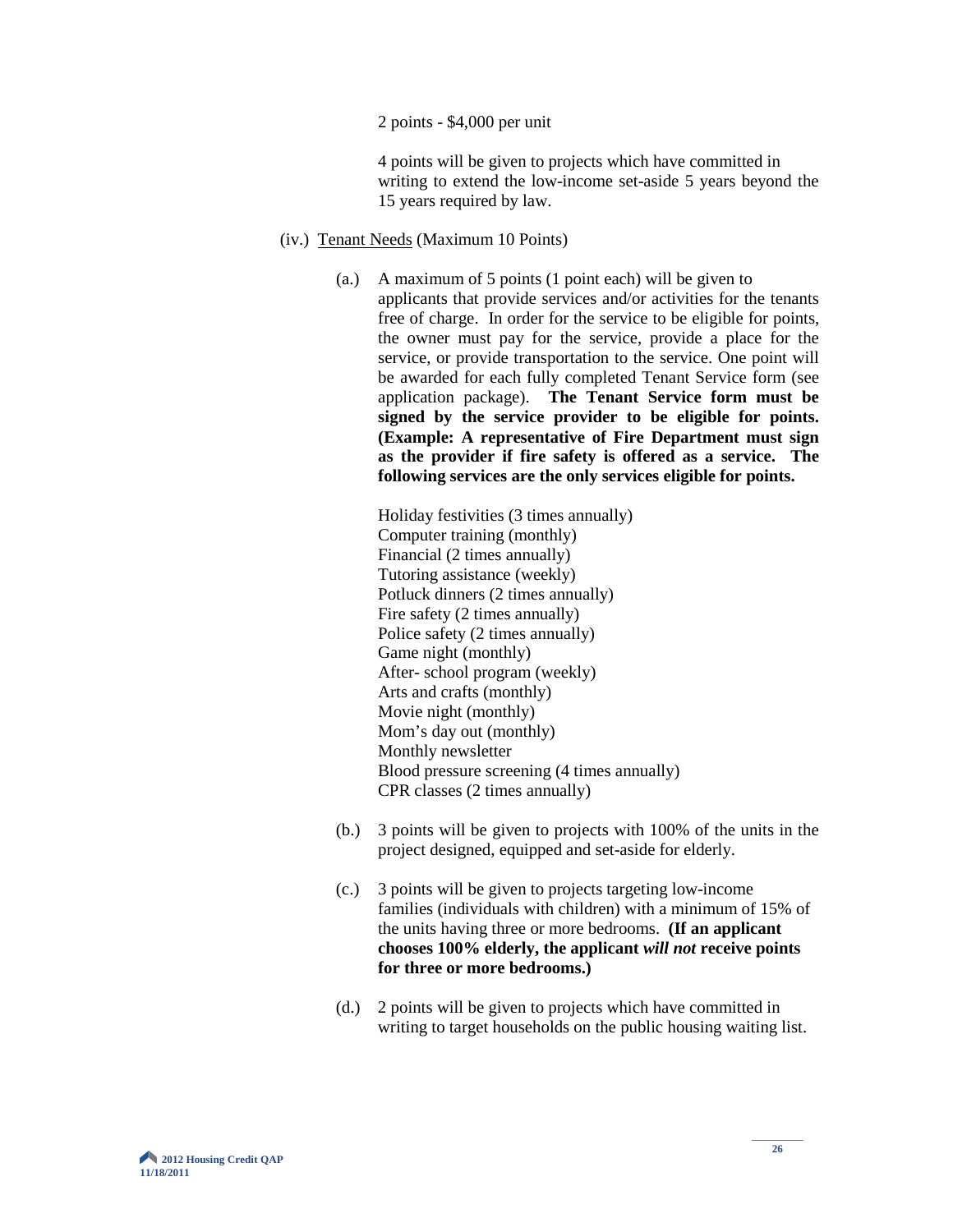2 points - \$4,000 per unit

 4 points will be given to projects which have committed in writing to extend the low-income set-aside 5 years beyond the 15 years required by law.

- (iv.) Tenant Needs (Maximum 10 Points)
	- (a.) A maximum of 5 points (1 point each) will be given to applicants that provide services and/or activities for the tenants free of charge. In order for the service to be eligible for points, the owner must pay for the service, provide a place for the service, or provide transportation to the service. One point will be awarded for each fully completed Tenant Service form (see application package). **The Tenant Service form must be signed by the service provider to be eligible for points. (Example: A representative of Fire Department must sign as the provider if fire safety is offered as a service. The following services are the only services eligible for points.**

Holiday festivities (3 times annually) Computer training (monthly) Financial (2 times annually) Tutoring assistance (weekly) Potluck dinners (2 times annually) Fire safety (2 times annually) Police safety (2 times annually) Game night (monthly) After- school program (weekly) Arts and crafts (monthly) Movie night (monthly) Mom's day out (monthly) Monthly newsletter Blood pressure screening (4 times annually) CPR classes (2 times annually)

- (b.) 3 points will be given to projects with 100% of the units in the project designed, equipped and set-aside for elderly.
- (c.) 3 points will be given to projects targeting low-income families (individuals with children) with a minimum of 15% of the units having three or more bedrooms. **(If an applicant chooses 100% elderly, the applicant** *will not* **receive points for three or more bedrooms.)**
- (d.) 2 points will be given to projects which have committed in writing to target households on the public housing waiting list.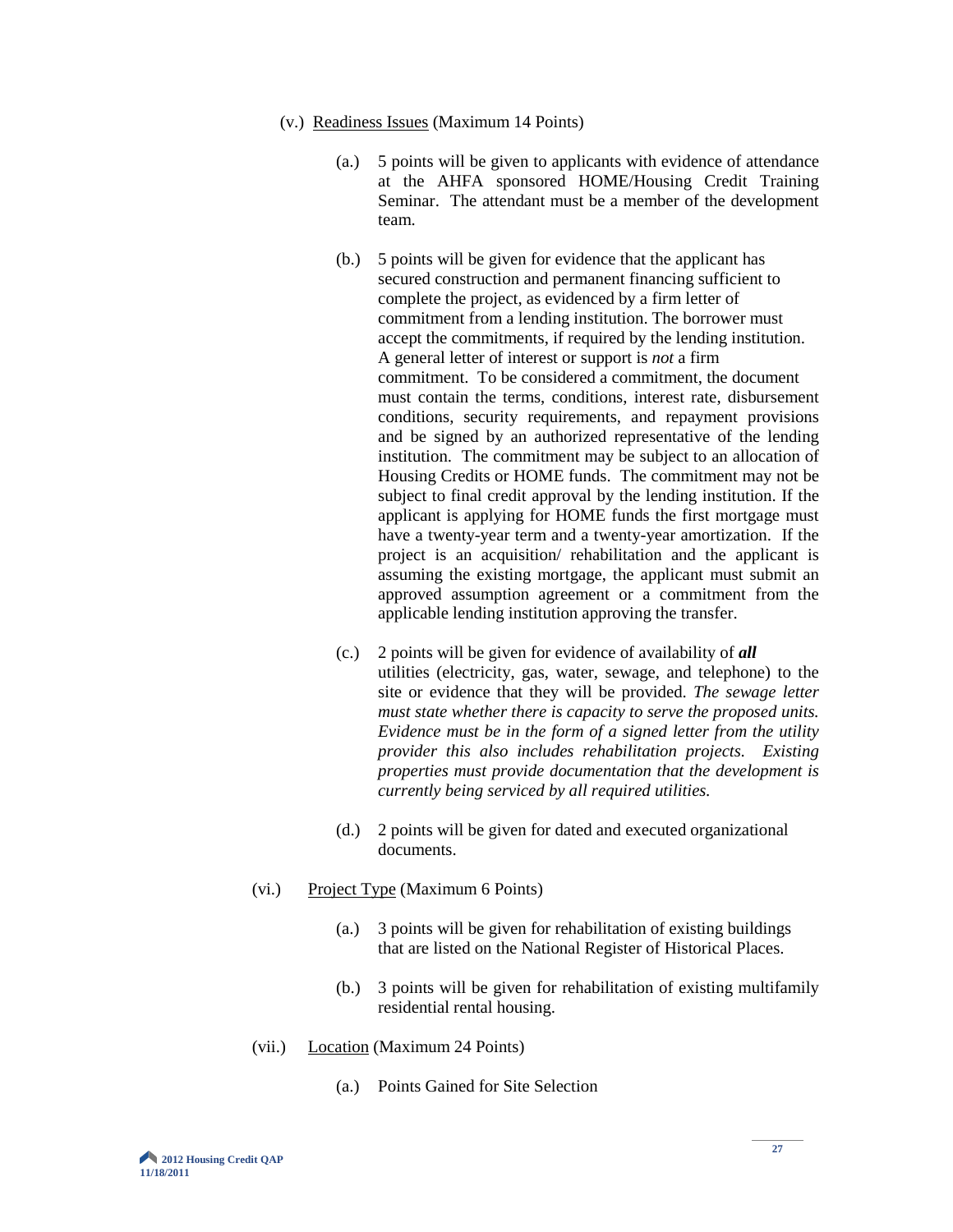- (v.) Readiness Issues (Maximum 14 Points)
	- (a.) 5 points will be given to applicants with evidence of attendance at the AHFA sponsored HOME/Housing Credit Training Seminar. The attendant must be a member of the development team.
	- (b.) 5 points will be given for evidence that the applicant has secured construction and permanent financing sufficient to complete the project, as evidenced by a firm letter of commitment from a lending institution. The borrower must accept the commitments, if required by the lending institution. A general letter of interest or support is *not* a firm commitment. To be considered a commitment, the document must contain the terms, conditions, interest rate, disbursement conditions, security requirements, and repayment provisions and be signed by an authorized representative of the lending institution. The commitment may be subject to an allocation of Housing Credits or HOME funds. The commitment may not be subject to final credit approval by the lending institution. If the applicant is applying for HOME funds the first mortgage must have a twenty-year term and a twenty-year amortization. If the project is an acquisition/ rehabilitation and the applicant is assuming the existing mortgage, the applicant must submit an approved assumption agreement or a commitment from the applicable lending institution approving the transfer.
	- (c.) 2 points will be given for evidence of availability of *all* utilities (electricity, gas, water, sewage, and telephone) to the site or evidence that they will be provided. *The sewage letter must state whether there is capacity to serve the proposed units. Evidence must be in the form of a signed letter from the utility provider this also includes rehabilitation projects. Existing properties must provide documentation that the development is currently being serviced by all required utilities.*
	- (d.) 2 points will be given for dated and executed organizational documents.
- (vi.) Project Type (Maximum 6 Points)
	- (a.) 3 points will be given for rehabilitation of existing buildings that are listed on the National Register of Historical Places.
	- (b.) 3 points will be given for rehabilitation of existing multifamily residential rental housing.
- (vii.) Location (Maximum 24 Points)
	- (a.) Points Gained for Site Selection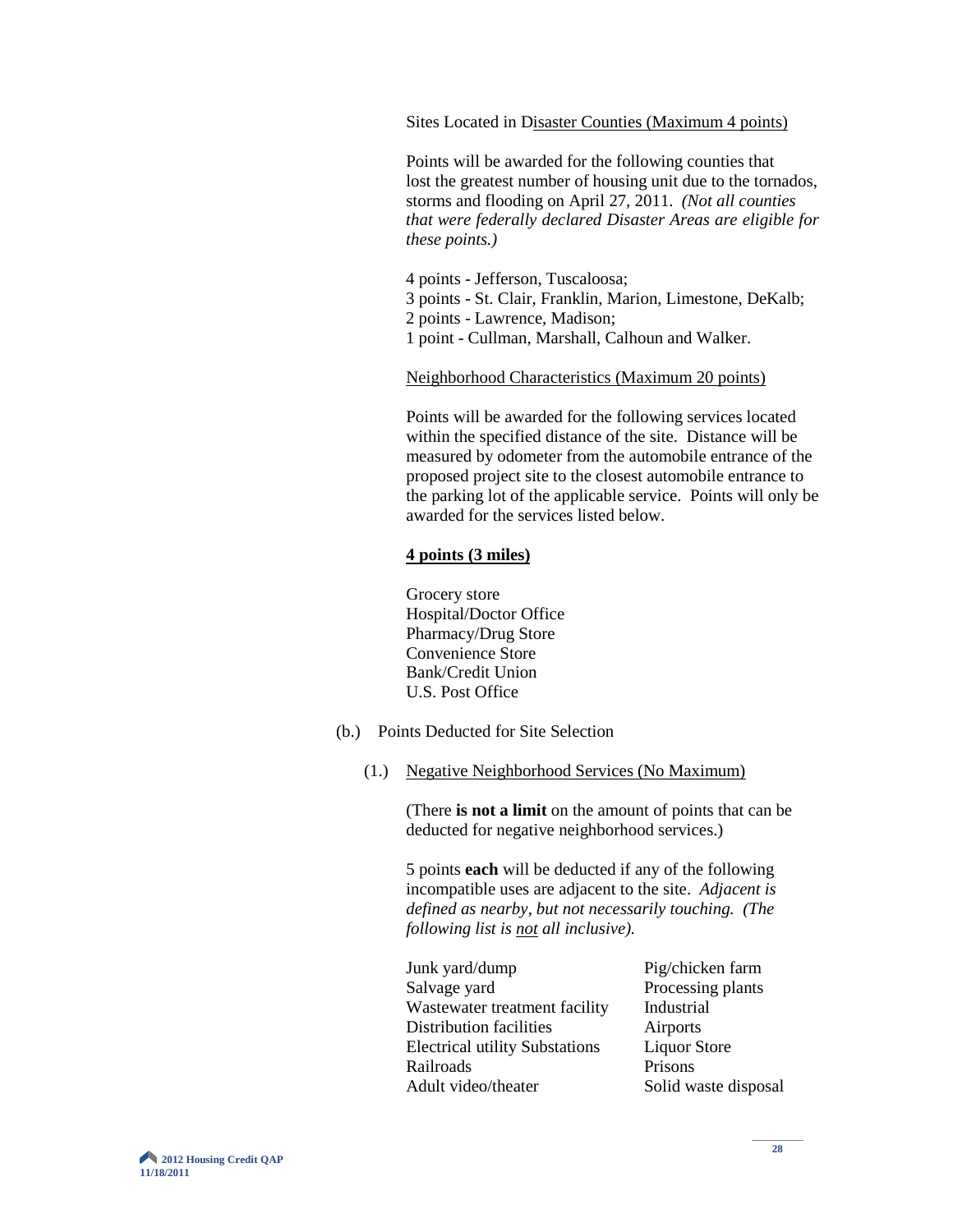Sites Located in Disaster Counties (Maximum 4 points)

Points will be awarded for the following counties that lost the greatest number of housing unit due to the tornados, storms and flooding on April 27, 2011. *(Not all counties that were federally declared Disaster Areas are eligible for these points.)*

4 points - Jefferson, Tuscaloosa; 3 points - St. Clair, Franklin, Marion, Limestone, DeKalb; 2 points - Lawrence, Madison; 1 point - Cullman, Marshall, Calhoun and Walker.

Neighborhood Characteristics (Maximum 20 points)

Points will be awarded for the following services located within the specified distance of the site. Distance will be measured by odometer from the automobile entrance of the proposed project site to the closest automobile entrance to the parking lot of the applicable service. Points will only be awarded for the services listed below.

#### **4 points (3 miles)**

Grocery store Hospital/Doctor Office Pharmacy/Drug Store Convenience Store Bank/Credit Union U.S. Post Office

- (b.) Points Deducted for Site Selection
	- (1.) Negative Neighborhood Services (No Maximum)

(There **is not a limit** on the amount of points that can be deducted for negative neighborhood services.)

5 points **each** will be deducted if any of the following incompatible uses are adjacent to the site. *Adjacent is defined as nearby, but not necessarily touching. (The following list is not all inclusive).*

| Junk yard/dump                        | Pig/chicken farm     |
|---------------------------------------|----------------------|
| Salvage yard                          | Processing plants    |
| Wastewater treatment facility         | Industrial           |
| Distribution facilities               | Airports             |
| <b>Electrical utility Substations</b> | <b>Liquor Store</b>  |
| Railroads                             | Prisons              |
| Adult video/theater                   | Solid waste disposal |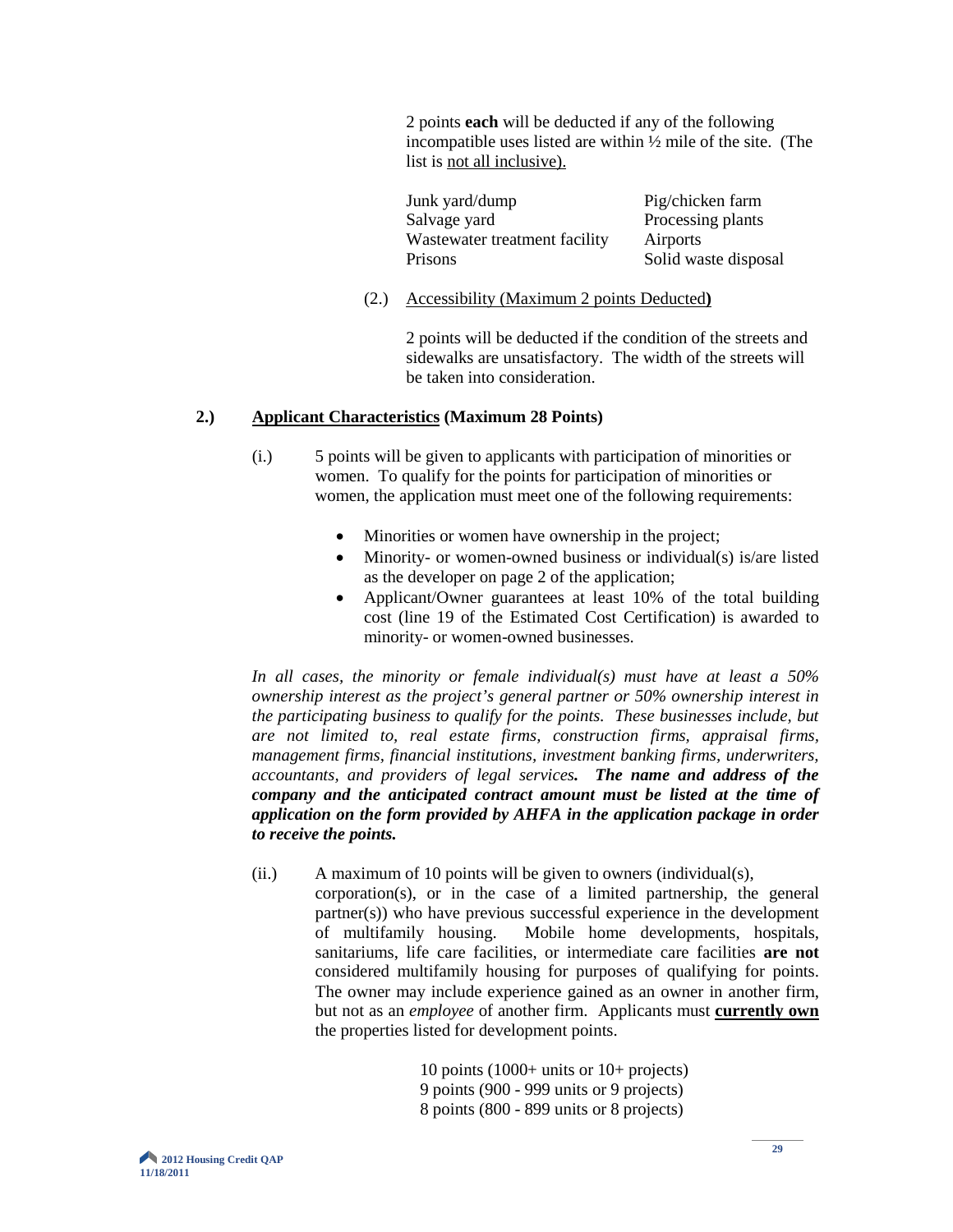2 points **each** will be deducted if any of the following incompatible uses listed are within ½ mile of the site. (The list is not all inclusive).

| Junk yard/dump                | Pig/chicken farm     |
|-------------------------------|----------------------|
| Salvage yard                  | Processing plants    |
| Wastewater treatment facility | Airports             |
| Prisons                       | Solid waste disposal |

(2.) Accessibility (Maximum 2 points Deducted**)**

2 points will be deducted if the condition of the streets and sidewalks are unsatisfactory. The width of the streets will be taken into consideration.

#### **2.) Applicant Characteristics (Maximum 28 Points)**

- (i.) 5 points will be given to applicants with participation of minorities or women. To qualify for the points for participation of minorities or women, the application must meet one of the following requirements:
	- Minorities or women have ownership in the project;
	- Minority- or women-owned business or individual(s) is/are listed as the developer on page 2 of the application;
	- Applicant/Owner guarantees at least 10% of the total building cost (line 19 of the Estimated Cost Certification) is awarded to minority- or women-owned businesses.

*In all cases, the minority or female individual(s) must have at least a 50% ownership interest as the project's general partner or 50% ownership interest in the participating business to qualify for the points. These businesses include, but are not limited to, real estate firms, construction firms, appraisal firms, management firms, financial institutions, investment banking firms, underwriters, accountants, and providers of legal services. The name and address of the company and the anticipated contract amount must be listed at the time of application on the form provided by AHFA in the application package in order to receive the points.*

(ii.) A maximum of 10 points will be given to owners (individual(s), corporation(s), or in the case of a limited partnership, the general partner(s)) who have previous successful experience in the development of multifamily housing. Mobile home developments, hospitals, sanitariums, life care facilities, or intermediate care facilities **are not** considered multifamily housing for purposes of qualifying for points. The owner may include experience gained as an owner in another firm, but not as an *employee* of another firm. Applicants must **currently own** the properties listed for development points.

> 10 points (1000+ units or 10+ projects) 9 points (900 - 999 units or 9 projects) 8 points (800 - 899 units or 8 projects)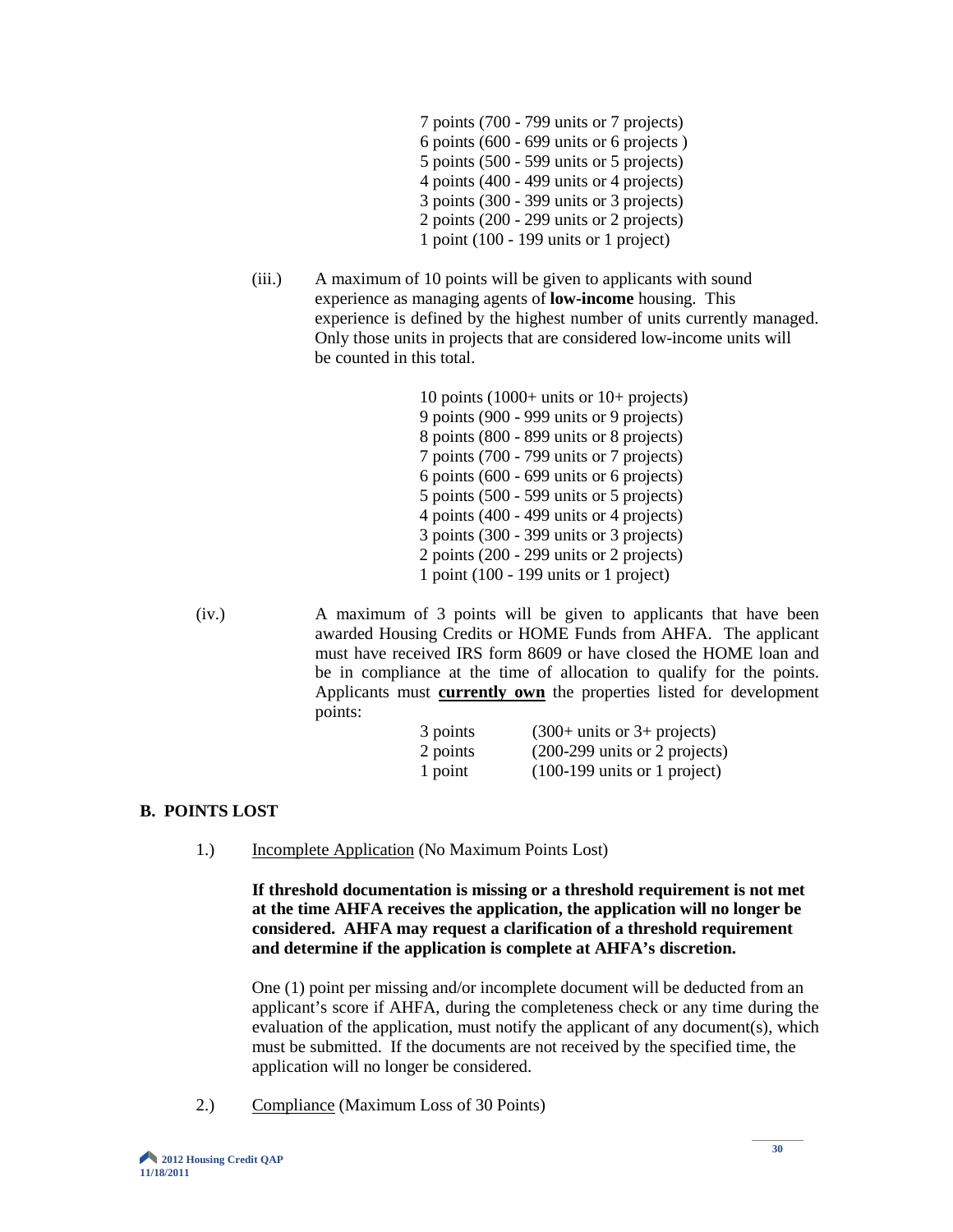- 7 points (700 799 units or 7 projects) 6 points (600 - 699 units or 6 projects ) 5 points (500 - 599 units or 5 projects) 4 points (400 - 499 units or 4 projects) 3 points (300 - 399 units or 3 projects) 2 points (200 - 299 units or 2 projects) 1 point (100 - 199 units or 1 project)
- (iii.) A maximum of 10 points will be given to applicants with sound experience as managing agents of **low-income** housing. This experience is defined by the highest number of units currently managed. Only those units in projects that are considered low-income units will be counted in this total.

10 points (1000+ units or 10+ projects) 9 points (900 - 999 units or 9 projects) 8 points (800 - 899 units or 8 projects) 7 points (700 - 799 units or 7 projects) 6 points (600 - 699 units or 6 projects) 5 points (500 - 599 units or 5 projects) 4 points (400 - 499 units or 4 projects) 3 points (300 - 399 units or 3 projects) 2 points (200 - 299 units or 2 projects) 1 point (100 - 199 units or 1 project)

(iv.) A maximum of 3 points will be given to applicants that have been awarded Housing Credits or HOME Funds from AHFA. The applicant must have received IRS form 8609 or have closed the HOME loan and be in compliance at the time of allocation to qualify for the points. Applicants must **currently own** the properties listed for development points:

| 3 points | $(300+$ units or 3+ projects)                    |
|----------|--------------------------------------------------|
| 2 points | $(200-299 \text{ units or } 2 \text{ projects})$ |
| 1 point  | $(100-199 \text{ units or } 1 \text{ project})$  |

#### **B. POINTS LOST**

1.) Incomplete Application (No Maximum Points Lost)

**If threshold documentation is missing or a threshold requirement is not met at the time AHFA receives the application, the application will no longer be considered. AHFA may request a clarification of a threshold requirement and determine if the application is complete at AHFA's discretion.** 

One (1) point per missing and/or incomplete document will be deducted from an applicant's score if AHFA, during the completeness check or any time during the evaluation of the application, must notify the applicant of any document(s), which must be submitted. If the documents are not received by the specified time, the application will no longer be considered.

2.) Compliance (Maximum Loss of 30 Points)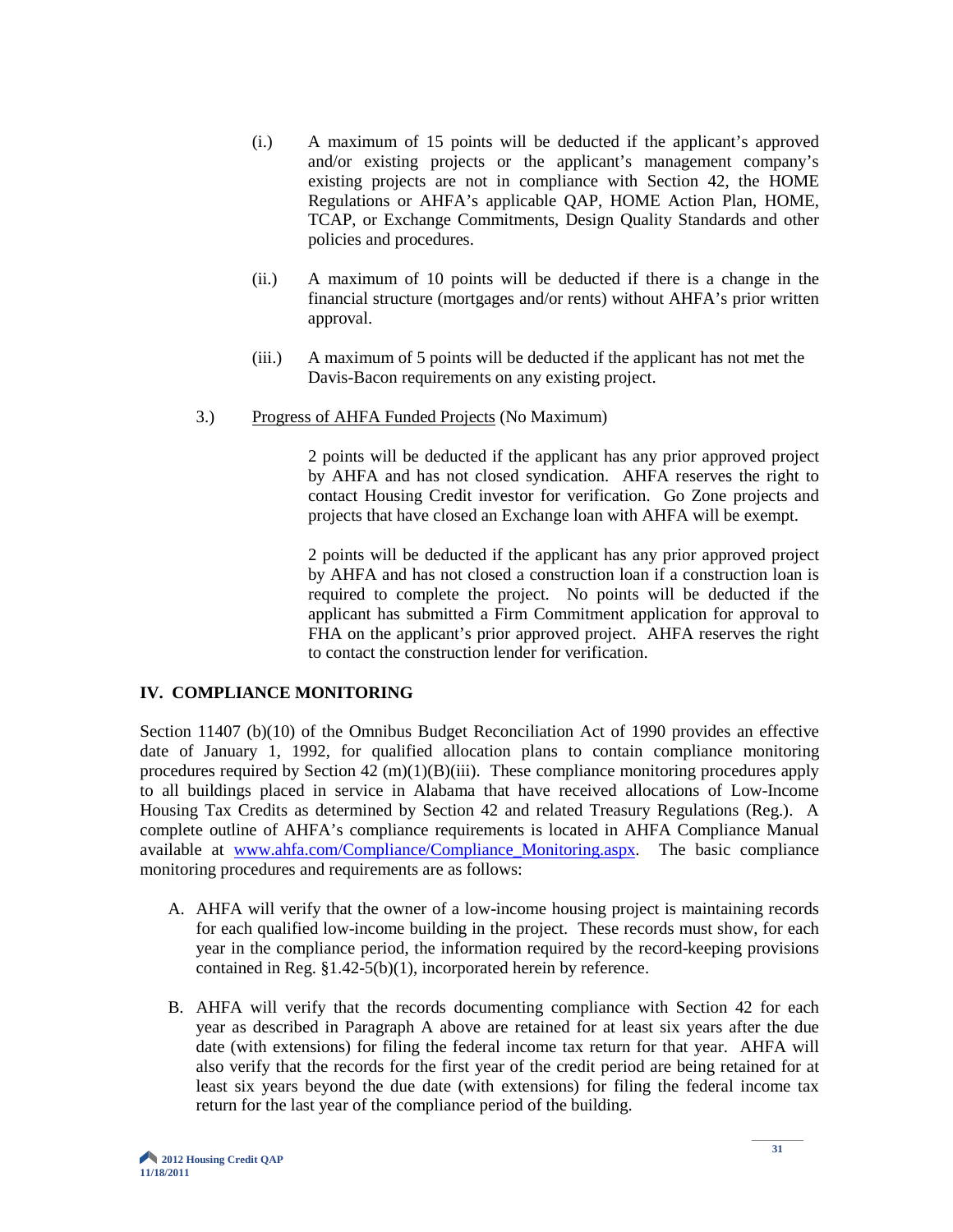- (i.) A maximum of 15 points will be deducted if the applicant's approved and/or existing projects or the applicant's management company's existing projects are not in compliance with Section 42, the HOME Regulations or AHFA's applicable QAP, HOME Action Plan, HOME, TCAP, or Exchange Commitments, Design Quality Standards and other policies and procedures.
- (ii.) A maximum of 10 points will be deducted if there is a change in the financial structure (mortgages and/or rents) without AHFA's prior written approval.
- (iii.) A maximum of 5 points will be deducted if the applicant has not met the Davis-Bacon requirements on any existing project.
- 3.) Progress of AHFA Funded Projects (No Maximum)

2 points will be deducted if the applicant has any prior approved project by AHFA and has not closed syndication. AHFA reserves the right to contact Housing Credit investor for verification. Go Zone projects and projects that have closed an Exchange loan with AHFA will be exempt.

2 points will be deducted if the applicant has any prior approved project by AHFA and has not closed a construction loan if a construction loan is required to complete the project. No points will be deducted if the applicant has submitted a Firm Commitment application for approval to FHA on the applicant's prior approved project. AHFA reserves the right to contact the construction lender for verification.

#### **IV. COMPLIANCE MONITORING**

Section 11407 (b)(10) of the Omnibus Budget Reconciliation Act of 1990 provides an effective date of January 1, 1992, for qualified allocation plans to contain compliance monitoring procedures required by Section  $42 \text{ (m)}(1)(B)(iii)$ . These compliance monitoring procedures apply to all buildings placed in service in Alabama that have received allocations of Low-Income Housing Tax Credits as determined by Section 42 and related Treasury Regulations (Reg.). A complete outline of AHFA's compliance requirements is located in AHFA Compliance Manual available at [www.ahfa.com/Compliance/Compliance\\_Monitoring.aspx.](http://www.ahfa.com/Compliance/Compliance_Monitoring.aspx) The basic compliance monitoring procedures and requirements are as follows:

- A. AHFA will verify that the owner of a low-income housing project is maintaining records for each qualified low-income building in the project. These records must show, for each year in the compliance period, the information required by the record-keeping provisions contained in Reg. §1.42-5(b)(1), incorporated herein by reference.
- B. AHFA will verify that the records documenting compliance with Section 42 for each year as described in Paragraph A above are retained for at least six years after the due date (with extensions) for filing the federal income tax return for that year. AHFA will also verify that the records for the first year of the credit period are being retained for at least six years beyond the due date (with extensions) for filing the federal income tax return for the last year of the compliance period of the building.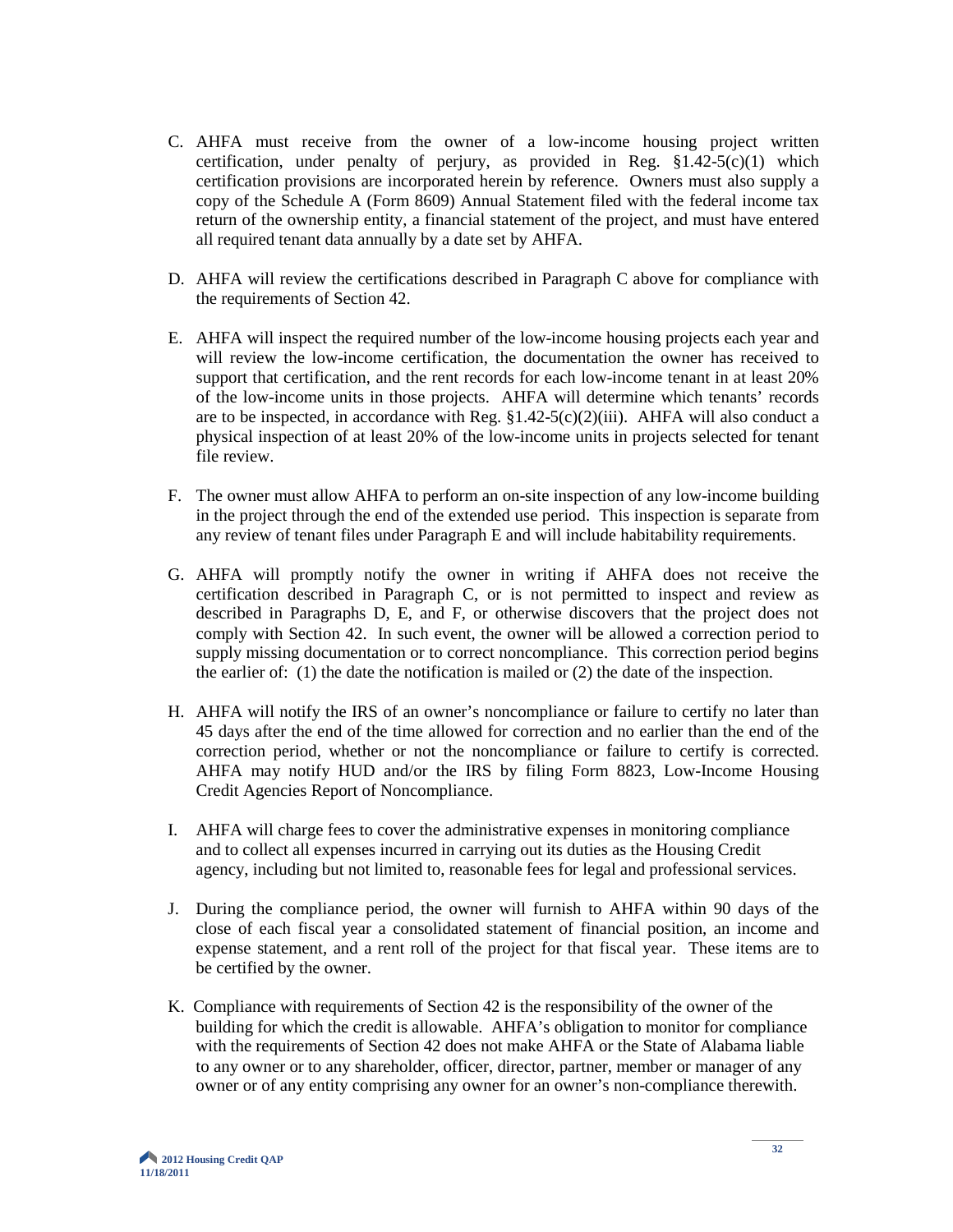- C. AHFA must receive from the owner of a low-income housing project written certification, under penalty of perjury, as provided in Reg.  $\S1.42-5(c)(1)$  which certification provisions are incorporated herein by reference. Owners must also supply a copy of the Schedule A (Form 8609) Annual Statement filed with the federal income tax return of the ownership entity, a financial statement of the project, and must have entered all required tenant data annually by a date set by AHFA.
- D. AHFA will review the certifications described in Paragraph C above for compliance with the requirements of Section 42.
- E. AHFA will inspect the required number of the low-income housing projects each year and will review the low-income certification, the documentation the owner has received to support that certification, and the rent records for each low-income tenant in at least 20% of the low-income units in those projects. AHFA will determine which tenants' records are to be inspected, in accordance with Reg.  $$1.42-5(c)(2)(iii)$ . AHFA will also conduct a physical inspection of at least 20% of the low-income units in projects selected for tenant file review.
- F. The owner must allow AHFA to perform an on-site inspection of any low-income building in the project through the end of the extended use period. This inspection is separate from any review of tenant files under Paragraph E and will include habitability requirements.
- G. AHFA will promptly notify the owner in writing if AHFA does not receive the certification described in Paragraph C, or is not permitted to inspect and review as described in Paragraphs D, E, and F, or otherwise discovers that the project does not comply with Section 42. In such event, the owner will be allowed a correction period to supply missing documentation or to correct noncompliance. This correction period begins the earlier of: (1) the date the notification is mailed or (2) the date of the inspection.
- H. AHFA will notify the IRS of an owner's noncompliance or failure to certify no later than 45 days after the end of the time allowed for correction and no earlier than the end of the correction period, whether or not the noncompliance or failure to certify is corrected. AHFA may notify HUD and/or the IRS by filing Form 8823, Low-Income Housing Credit Agencies Report of Noncompliance.
- I. AHFA will charge fees to cover the administrative expenses in monitoring compliance and to collect all expenses incurred in carrying out its duties as the Housing Credit agency, including but not limited to, reasonable fees for legal and professional services.
- J. During the compliance period, the owner will furnish to AHFA within 90 days of the close of each fiscal year a consolidated statement of financial position, an income and expense statement, and a rent roll of the project for that fiscal year. These items are to be certified by the owner.
- K. Compliance with requirements of Section 42 is the responsibility of the owner of the building for which the credit is allowable. AHFA's obligation to monitor for compliance with the requirements of Section 42 does not make AHFA or the State of Alabama liable to any owner or to any shareholder, officer, director, partner, member or manager of any owner or of any entity comprising any owner for an owner's non-compliance therewith.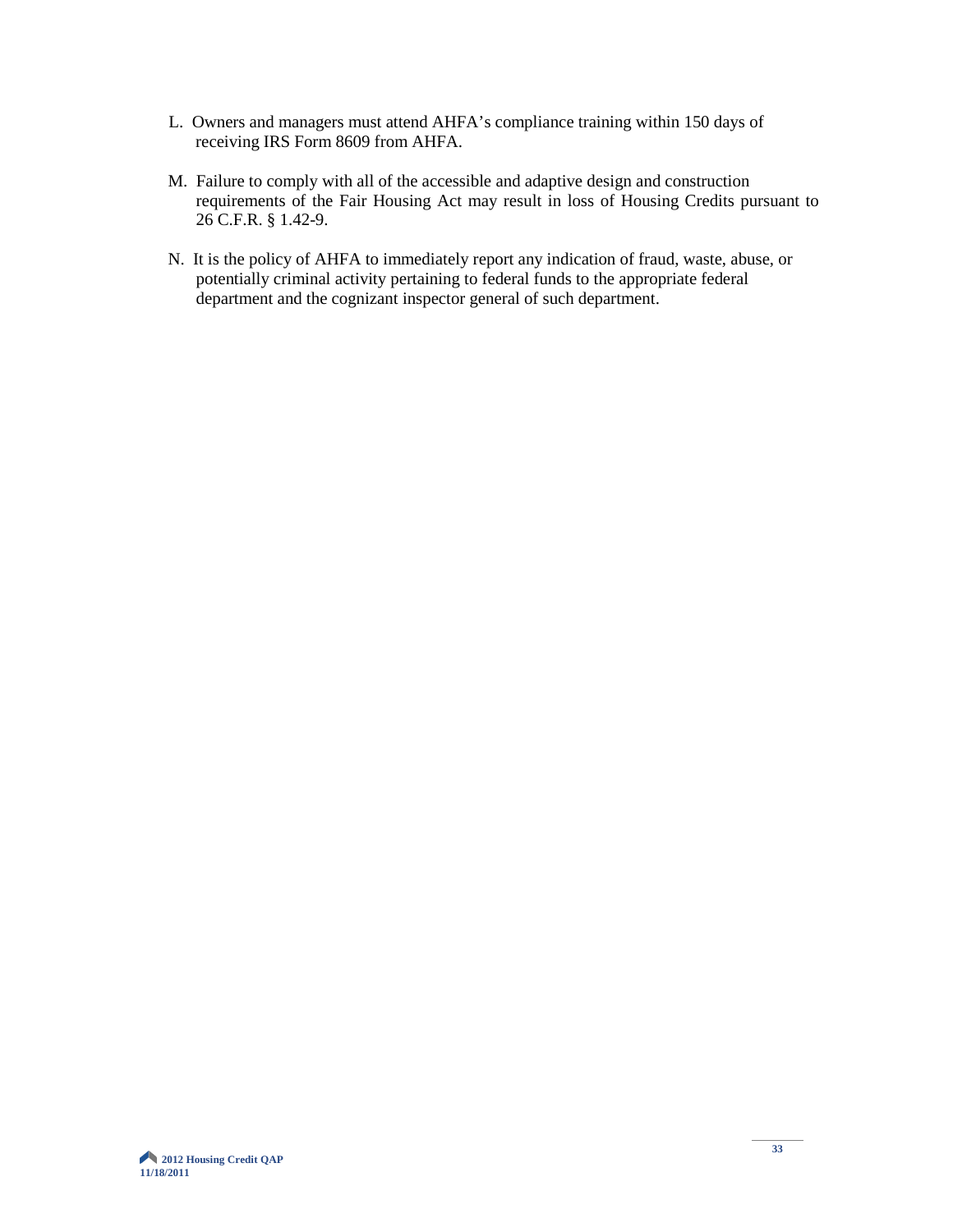- L. Owners and managers must attend AHFA's compliance training within 150 days of receiving IRS Form 8609 from AHFA.
- M. Failure to comply with all of the accessible and adaptive design and construction requirements of the Fair Housing Act may result in loss of Housing Credits pursuant to 26 C.F.R. § 1.42-9.
- N. It is the policy of AHFA to immediately report any indication of fraud, waste, abuse, or potentially criminal activity pertaining to federal funds to the appropriate federal department and the cognizant inspector general of such department.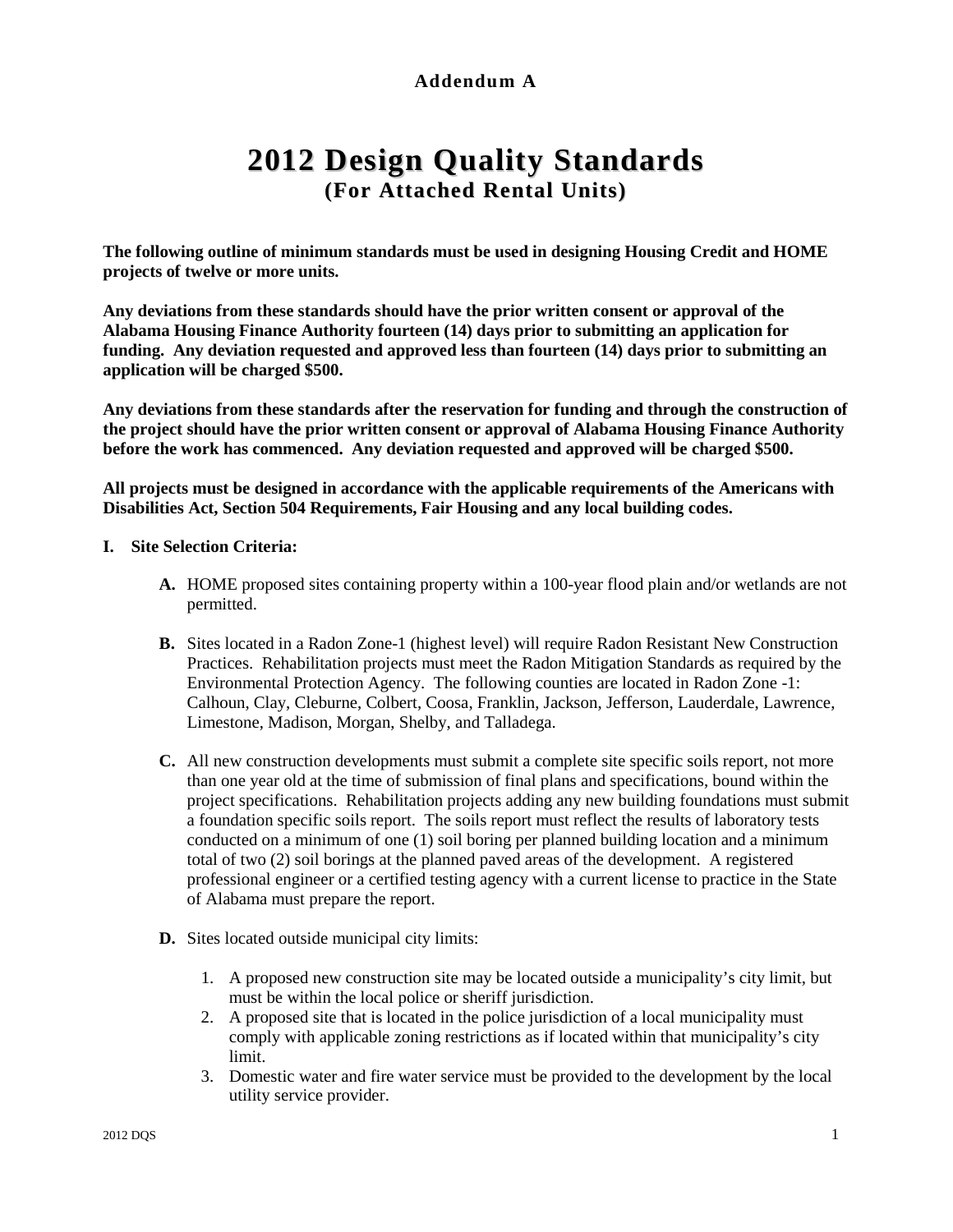# **Addendum A**

# **2012 Design Quality Standards (For Attached Rental Units)**

**The following outline of minimum standards must be used in designing Housing Credit and HOME projects of twelve or more units.**

**Any deviations from these standards should have the prior written consent or approval of the Alabama Housing Finance Authority fourteen (14) days prior to submitting an application for funding. Any deviation requested and approved less than fourteen (14) days prior to submitting an application will be charged \$500.**

**Any deviations from these standards after the reservation for funding and through the construction of the project should have the prior written consent or approval of Alabama Housing Finance Authority before the work has commenced. Any deviation requested and approved will be charged \$500.**

**All projects must be designed in accordance with the applicable requirements of the Americans with Disabilities Act, Section 504 Requirements, Fair Housing and any local building codes.**

#### **I. Site Selection Criteria:**

- **A.** HOME proposed sites containing property within a 100-year flood plain and/or wetlands are not permitted.
- **B.** Sites located in a Radon Zone-1 (highest level) will require Radon Resistant New Construction Practices. Rehabilitation projects must meet the Radon Mitigation Standards as required by the Environmental Protection Agency. The following counties are located in Radon Zone -1: Calhoun, Clay, Cleburne, Colbert, Coosa, Franklin, Jackson, Jefferson, Lauderdale, Lawrence, Limestone, Madison, Morgan, Shelby, and Talladega.
- **C.** All new construction developments must submit a complete site specific soils report, not more than one year old at the time of submission of final plans and specifications, bound within the project specifications. Rehabilitation projects adding any new building foundations must submit a foundation specific soils report. The soils report must reflect the results of laboratory tests conducted on a minimum of one (1) soil boring per planned building location and a minimum total of two (2) soil borings at the planned paved areas of the development. A registered professional engineer or a certified testing agency with a current license to practice in the State of Alabama must prepare the report.
- **D.** Sites located outside municipal city limits:
	- 1. A proposed new construction site may be located outside a municipality's city limit, but must be within the local police or sheriff jurisdiction.
	- 2. A proposed site that is located in the police jurisdiction of a local municipality must comply with applicable zoning restrictions as if located within that municipality's city limit.
	- 3. Domestic water and fire water service must be provided to the development by the local utility service provider.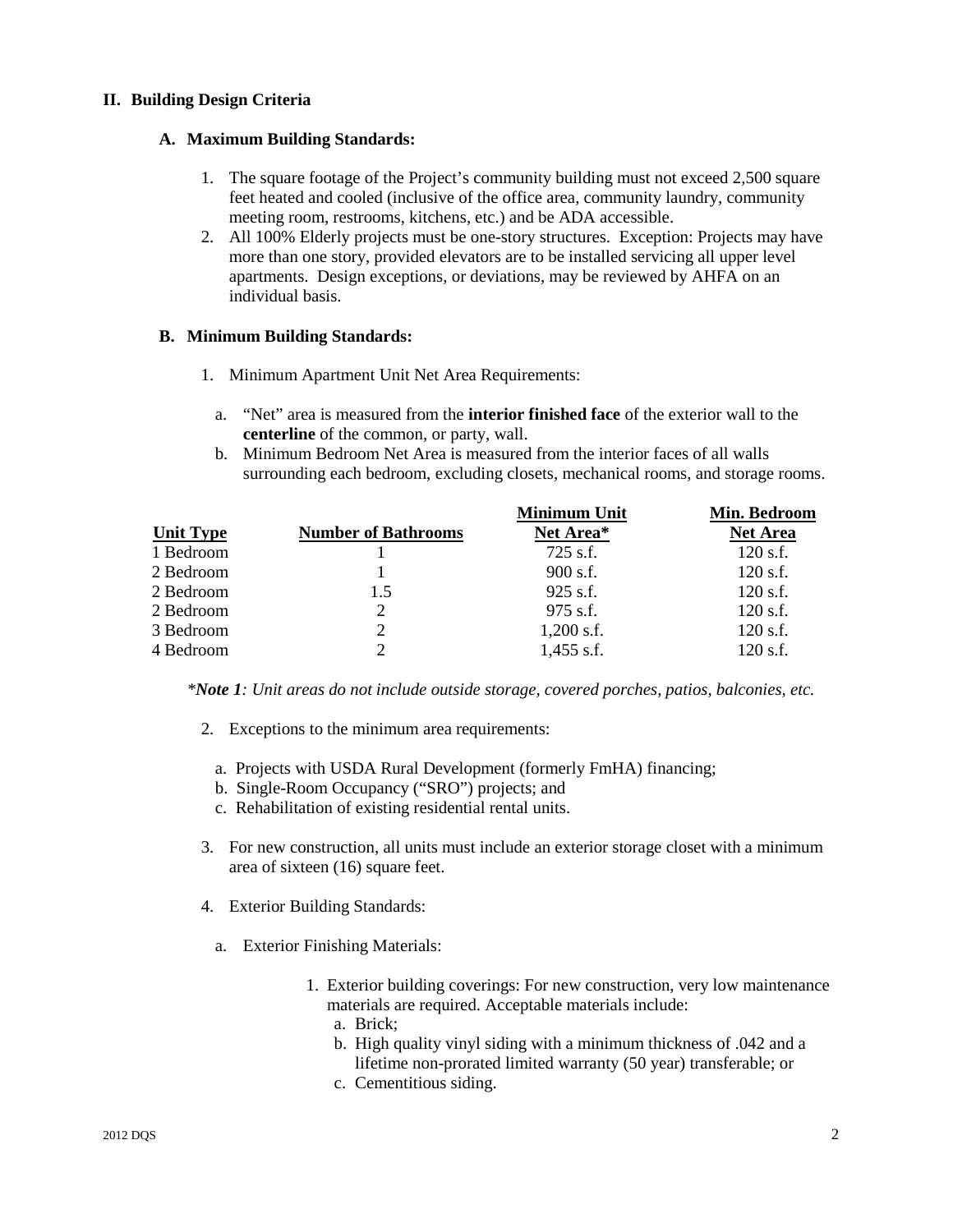#### **II. Building Design Criteria**

#### **A. Maximum Building Standards:**

- 1. The square footage of the Project's community building must not exceed 2,500 square feet heated and cooled (inclusive of the office area, community laundry, community meeting room, restrooms, kitchens, etc.) and be ADA accessible.
- 2. All 100% Elderly projects must be one-story structures. Exception: Projects may have more than one story, provided elevators are to be installed servicing all upper level apartments. Design exceptions, or deviations, may be reviewed by AHFA on an individual basis.

#### **B. Minimum Building Standards:**

- 1. Minimum Apartment Unit Net Area Requirements:
	- a. "Net" area is measured from the **interior finished face** of the exterior wall to the **centerline** of the common, or party, wall.
	- b. Minimum Bedroom Net Area is measured from the interior faces of all walls surrounding each bedroom, excluding closets, mechanical rooms, and storage rooms.

|                  |                            | <b>Minimum Unit</b> | Min. Bedroom    |
|------------------|----------------------------|---------------------|-----------------|
| <b>Unit Type</b> | <b>Number of Bathrooms</b> | Net Area*           | <b>Net Area</b> |
| 1 Bedroom        |                            | 725 s.f.            | $120$ s.f.      |
| 2 Bedroom        |                            | $900$ s.f.          | $120$ s.f.      |
| 2 Bedroom        | 1.5                        | $925$ s.f.          | $120$ s.f.      |
| 2 Bedroom        | 2                          | 975 s.f.            | $120$ s.f.      |
| 3 Bedroom        | 2                          | $1,200$ s.f.        | $120$ s.f.      |
| 4 Bedroom        | $\mathcal{D}$              | $1,455$ s.f.        | $120$ s.f.      |

*\*Note 1: Unit areas do not include outside storage, covered porches, patios, balconies, etc.* 

- 2. Exceptions to the minimum area requirements:
	- a. Projects with USDA Rural Development (formerly FmHA) financing;
	- b. Single-Room Occupancy ("SRO") projects; and
	- c. Rehabilitation of existing residential rental units.
- 3. For new construction, all units must include an exterior storage closet with a minimum area of sixteen (16) square feet.
- 4. Exterior Building Standards:
	- a. Exterior Finishing Materials:
		- 1. Exterior building coverings: For new construction, very low maintenance materials are required. Acceptable materials include:
			- a. Brick;
			- b. High quality vinyl siding with a minimum thickness of .042 and a lifetime non-prorated limited warranty (50 year) transferable; or
			- c. Cementitious siding.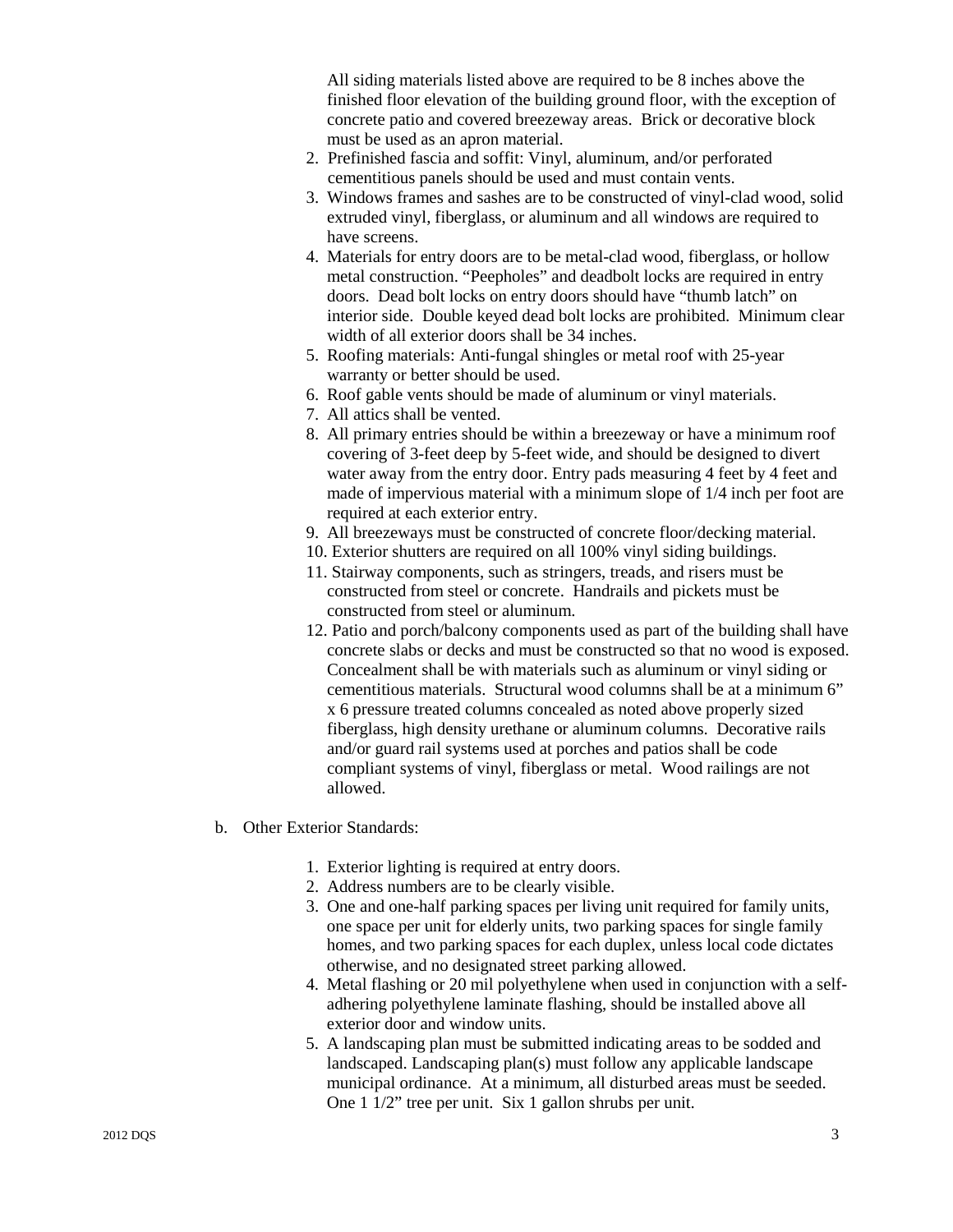All siding materials listed above are required to be 8 inches above the finished floor elevation of the building ground floor, with the exception of concrete patio and covered breezeway areas. Brick or decorative block must be used as an apron material.

- 2. Prefinished fascia and soffit: Vinyl, aluminum, and/or perforated cementitious panels should be used and must contain vents.
- 3. Windows frames and sashes are to be constructed of vinyl-clad wood, solid extruded vinyl, fiberglass, or aluminum and all windows are required to have screens.
- 4. Materials for entry doors are to be metal-clad wood, fiberglass, or hollow metal construction. "Peepholes" and deadbolt locks are required in entry doors. Dead bolt locks on entry doors should have "thumb latch" on interior side. Double keyed dead bolt locks are prohibited. Minimum clear width of all exterior doors shall be 34 inches.
- 5. Roofing materials: Anti-fungal shingles or metal roof with 25-year warranty or better should be used.
- 6. Roof gable vents should be made of aluminum or vinyl materials.
- 7. All attics shall be vented.
- 8. All primary entries should be within a breezeway or have a minimum roof covering of 3-feet deep by 5-feet wide, and should be designed to divert water away from the entry door. Entry pads measuring 4 feet by 4 feet and made of impervious material with a minimum slope of 1/4 inch per foot are required at each exterior entry.
- 9. All breezeways must be constructed of concrete floor/decking material.
- 10. Exterior shutters are required on all 100% vinyl siding buildings.
- 11. Stairway components, such as stringers, treads, and risers must be constructed from steel or concrete. Handrails and pickets must be constructed from steel or aluminum.
- 12. Patio and porch/balcony components used as part of the building shall have concrete slabs or decks and must be constructed so that no wood is exposed. Concealment shall be with materials such as aluminum or vinyl siding or cementitious materials. Structural wood columns shall be at a minimum 6" x 6 pressure treated columns concealed as noted above properly sized fiberglass, high density urethane or aluminum columns. Decorative rails and/or guard rail systems used at porches and patios shall be code compliant systems of vinyl, fiberglass or metal. Wood railings are not allowed.
- b. Other Exterior Standards:
	- 1. Exterior lighting is required at entry doors.
	- 2. Address numbers are to be clearly visible.
	- 3. One and one-half parking spaces per living unit required for family units, one space per unit for elderly units, two parking spaces for single family homes, and two parking spaces for each duplex, unless local code dictates otherwise, and no designated street parking allowed.
	- 4. Metal flashing or 20 mil polyethylene when used in conjunction with a selfadhering polyethylene laminate flashing, should be installed above all exterior door and window units.
	- 5. A landscaping plan must be submitted indicating areas to be sodded and landscaped. Landscaping plan(s) must follow any applicable landscape municipal ordinance. At a minimum, all disturbed areas must be seeded. One 1 1/2" tree per unit. Six 1 gallon shrubs per unit.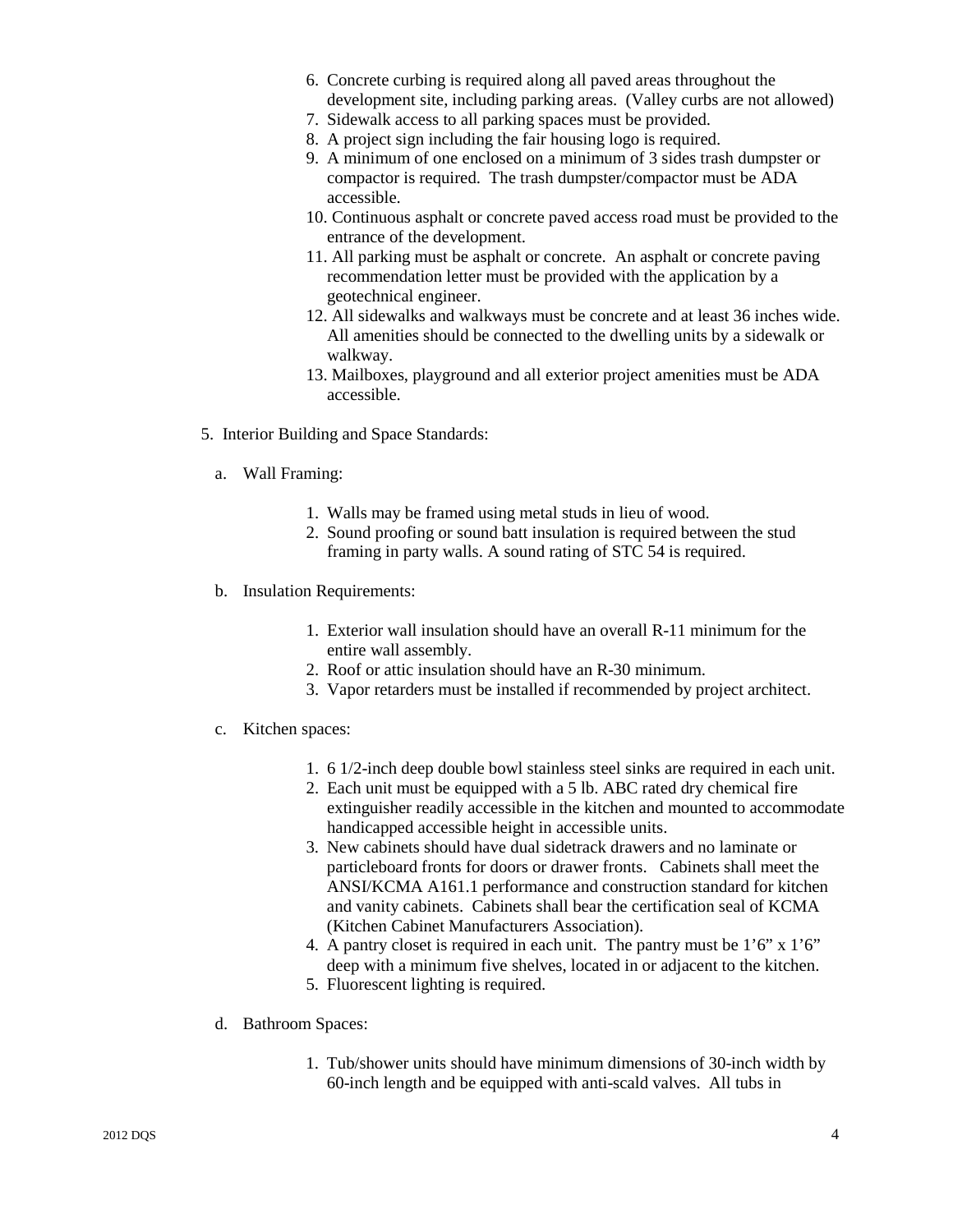- 6. Concrete curbing is required along all paved areas throughout the development site, including parking areas. (Valley curbs are not allowed)
- 7. Sidewalk access to all parking spaces must be provided.
- 8. A project sign including the fair housing logo is required.
- 9. A minimum of one enclosed on a minimum of 3 sides trash dumpster or compactor is required. The trash dumpster/compactor must be ADA accessible.
- 10. Continuous asphalt or concrete paved access road must be provided to the entrance of the development.
- 11. All parking must be asphalt or concrete. An asphalt or concrete paving recommendation letter must be provided with the application by a geotechnical engineer.
- 12. All sidewalks and walkways must be concrete and at least 36 inches wide. All amenities should be connected to the dwelling units by a sidewalk or walkway.
- 13. Mailboxes, playground and all exterior project amenities must be ADA accessible.
- 5. Interior Building and Space Standards:
	- a. Wall Framing:
		- 1. Walls may be framed using metal studs in lieu of wood.
		- 2. Sound proofing or sound batt insulation is required between the stud framing in party walls. A sound rating of STC 54 is required.
	- b. Insulation Requirements:
		- 1. Exterior wall insulation should have an overall R-11 minimum for the entire wall assembly.
		- 2. Roof or attic insulation should have an R-30 minimum.
		- 3. Vapor retarders must be installed if recommended by project architect.
	- c. Kitchen spaces:
		- 1. 6 1/2-inch deep double bowl stainless steel sinks are required in each unit.
		- 2. Each unit must be equipped with a 5 lb. ABC rated dry chemical fire extinguisher readily accessible in the kitchen and mounted to accommodate handicapped accessible height in accessible units.
		- 3. New cabinets should have dual sidetrack drawers and no laminate or particleboard fronts for doors or drawer fronts. Cabinets shall meet the ANSI/KCMA A161.1 performance and construction standard for kitchen and vanity cabinets. Cabinets shall bear the certification seal of KCMA (Kitchen Cabinet Manufacturers Association).
		- 4. A pantry closet is required in each unit. The pantry must be 1'6" x 1'6" deep with a minimum five shelves, located in or adjacent to the kitchen.
		- 5. Fluorescent lighting is required.
	- d. Bathroom Spaces:
		- 1. Tub/shower units should have minimum dimensions of 30-inch width by 60-inch length and be equipped with anti-scald valves. All tubs in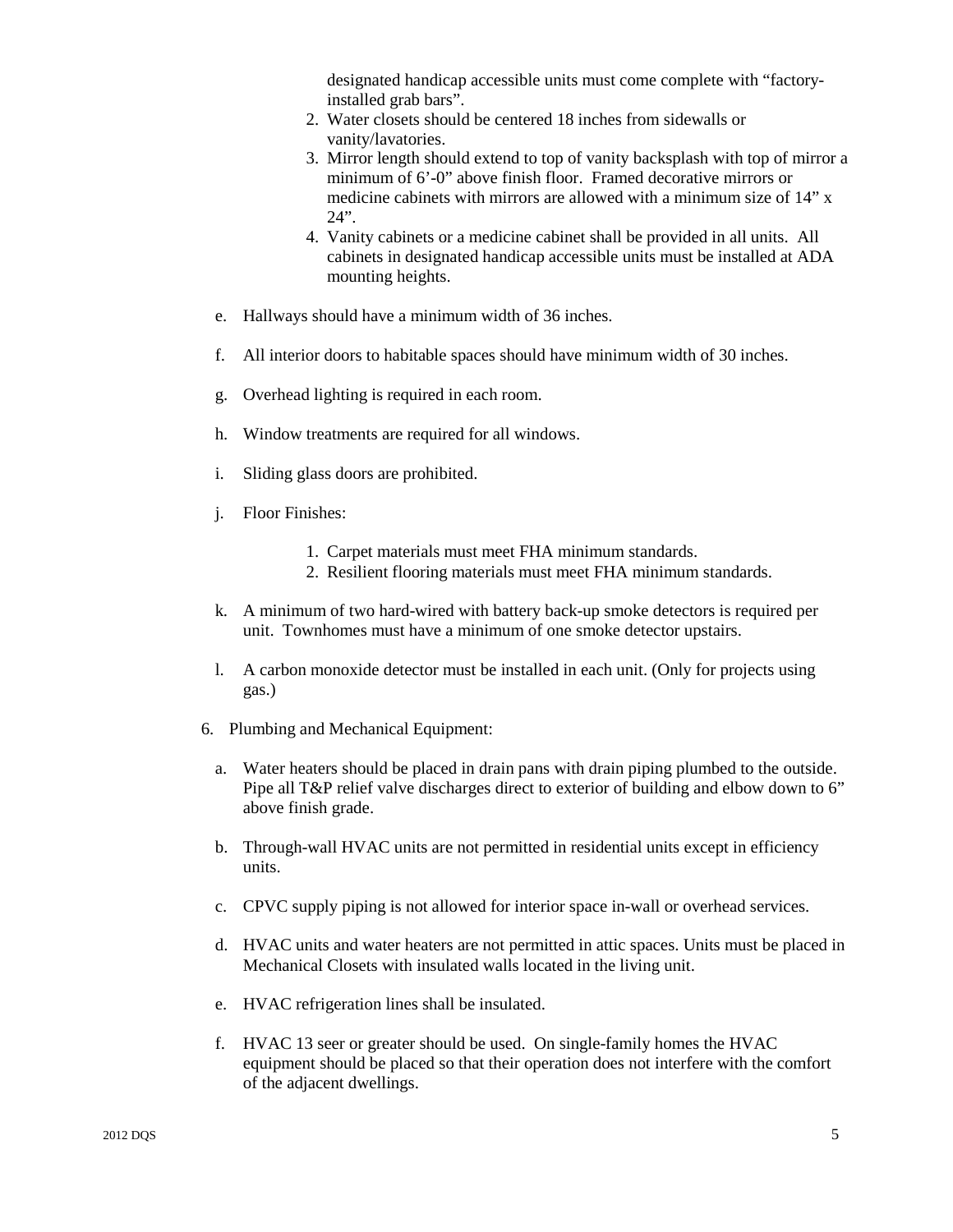designated handicap accessible units must come complete with "factoryinstalled grab bars".

- 2. Water closets should be centered 18 inches from sidewalls or vanity/lavatories.
- 3. Mirror length should extend to top of vanity backsplash with top of mirror a minimum of 6'-0" above finish floor. Framed decorative mirrors or medicine cabinets with mirrors are allowed with a minimum size of 14" x  $24"$
- 4. Vanity cabinets or a medicine cabinet shall be provided in all units. All cabinets in designated handicap accessible units must be installed at ADA mounting heights.
- e. Hallways should have a minimum width of 36 inches.
- f. All interior doors to habitable spaces should have minimum width of 30 inches.
- g. Overhead lighting is required in each room.
- h. Window treatments are required for all windows.
- i. Sliding glass doors are prohibited.
- j. Floor Finishes:
	- 1. Carpet materials must meet FHA minimum standards.
	- 2. Resilient flooring materials must meet FHA minimum standards.
- k. A minimum of two hard-wired with battery back-up smoke detectors is required per unit. Townhomes must have a minimum of one smoke detector upstairs.
- l. A carbon monoxide detector must be installed in each unit. (Only for projects using gas.)
- 6. Plumbing and Mechanical Equipment:
	- a. Water heaters should be placed in drain pans with drain piping plumbed to the outside. Pipe all T&P relief valve discharges direct to exterior of building and elbow down to 6" above finish grade.
	- b. Through-wall HVAC units are not permitted in residential units except in efficiency units.
	- c. CPVC supply piping is not allowed for interior space in-wall or overhead services.
	- d. HVAC units and water heaters are not permitted in attic spaces. Units must be placed in Mechanical Closets with insulated walls located in the living unit.
	- e. HVAC refrigeration lines shall be insulated.
	- f. HVAC 13 seer or greater should be used. On single-family homes the HVAC equipment should be placed so that their operation does not interfere with the comfort of the adjacent dwellings.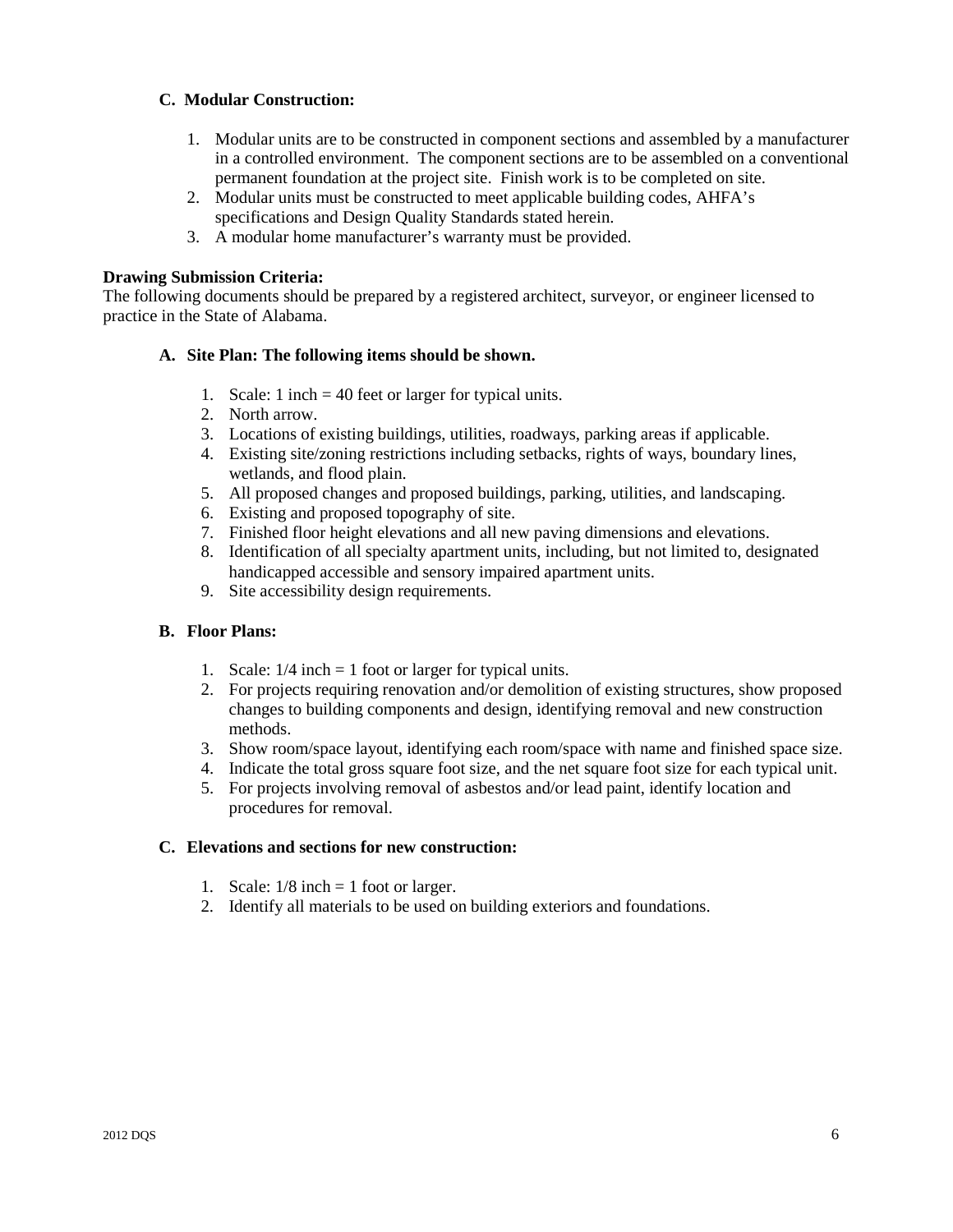#### **C. Modular Construction:**

- 1. Modular units are to be constructed in component sections and assembled by a manufacturer in a controlled environment. The component sections are to be assembled on a conventional permanent foundation at the project site. Finish work is to be completed on site.
- 2. Modular units must be constructed to meet applicable building codes, AHFA's specifications and Design Quality Standards stated herein.
- 3. A modular home manufacturer's warranty must be provided.

#### **Drawing Submission Criteria:**

The following documents should be prepared by a registered architect, surveyor, or engineer licensed to practice in the State of Alabama.

#### **A. Site Plan: The following items should be shown.**

- 1. Scale: 1 inch = 40 feet or larger for typical units.
- 2. North arrow.
- 3. Locations of existing buildings, utilities, roadways, parking areas if applicable.
- 4. Existing site/zoning restrictions including setbacks, rights of ways, boundary lines, wetlands, and flood plain.
- 5. All proposed changes and proposed buildings, parking, utilities, and landscaping.
- 6. Existing and proposed topography of site.
- 7. Finished floor height elevations and all new paving dimensions and elevations.
- 8. Identification of all specialty apartment units, including, but not limited to, designated handicapped accessible and sensory impaired apartment units.
- 9. Site accessibility design requirements.

#### **B. Floor Plans:**

- 1. Scale:  $1/4$  inch = 1 foot or larger for typical units.
- 2. For projects requiring renovation and/or demolition of existing structures, show proposed changes to building components and design, identifying removal and new construction methods.
- 3. Show room/space layout, identifying each room/space with name and finished space size.
- 4. Indicate the total gross square foot size, and the net square foot size for each typical unit.
- 5. For projects involving removal of asbestos and/or lead paint, identify location and procedures for removal.

#### **C. Elevations and sections for new construction:**

- 1. Scale:  $1/8$  inch = 1 foot or larger.
- 2. Identify all materials to be used on building exteriors and foundations.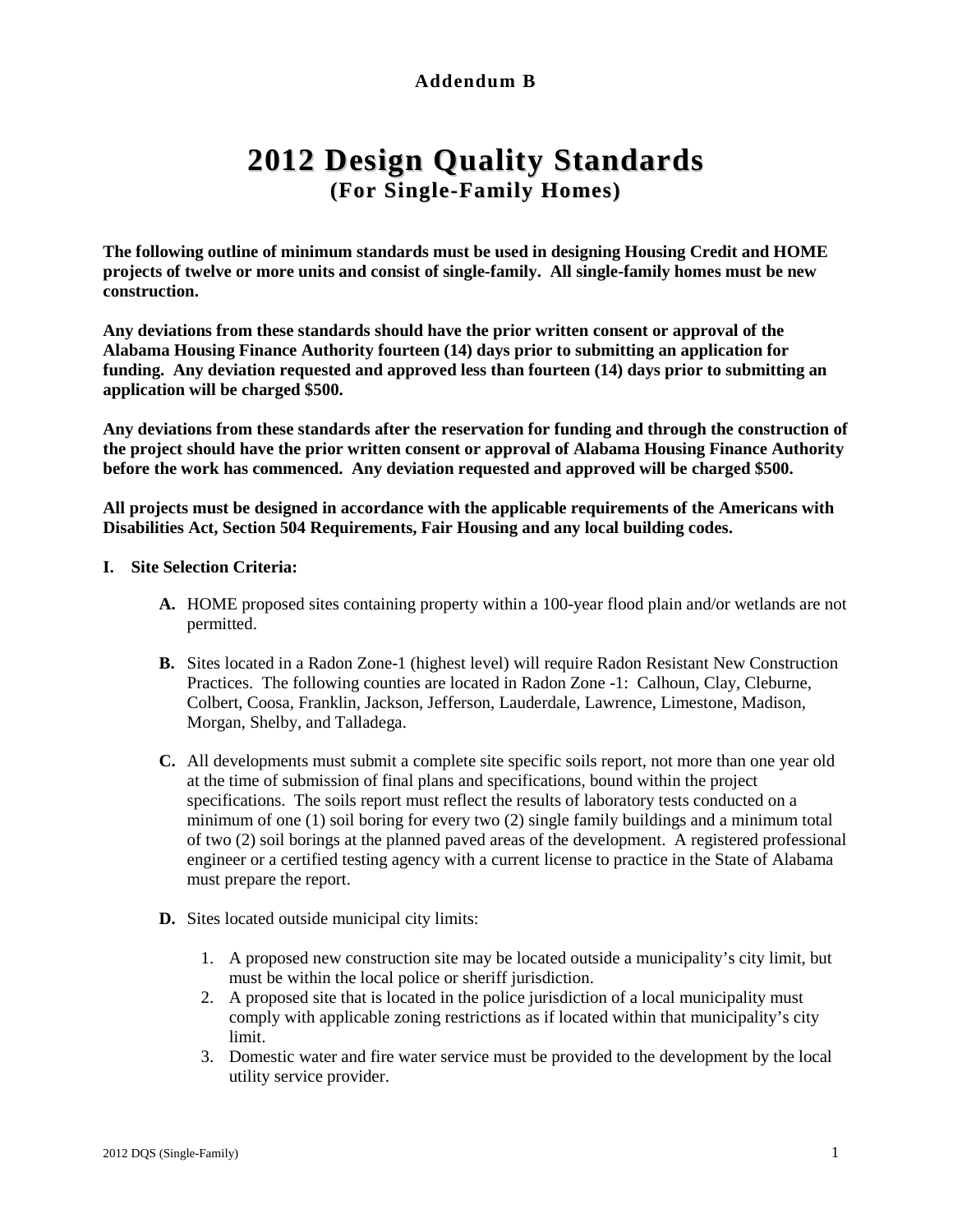# **Addendum B**

# **2012 Design Quality Standards (For Single-Family Homes)**

**The following outline of minimum standards must be used in designing Housing Credit and HOME projects of twelve or more units and consist of single-family. All single-family homes must be new construction.**

**Any deviations from these standards should have the prior written consent or approval of the Alabama Housing Finance Authority fourteen (14) days prior to submitting an application for funding. Any deviation requested and approved less than fourteen (14) days prior to submitting an application will be charged \$500.**

**Any deviations from these standards after the reservation for funding and through the construction of the project should have the prior written consent or approval of Alabama Housing Finance Authority before the work has commenced. Any deviation requested and approved will be charged \$500.**

**All projects must be designed in accordance with the applicable requirements of the Americans with Disabilities Act, Section 504 Requirements, Fair Housing and any local building codes.**

#### **I. Site Selection Criteria:**

- **A.** HOME proposed sites containing property within a 100-year flood plain and/or wetlands are not permitted.
- **B.** Sites located in a Radon Zone-1 (highest level) will require Radon Resistant New Construction Practices. The following counties are located in Radon Zone -1: Calhoun, Clay, Cleburne, Colbert, Coosa, Franklin, Jackson, Jefferson, Lauderdale, Lawrence, Limestone, Madison, Morgan, Shelby, and Talladega.
- **C.** All developments must submit a complete site specific soils report, not more than one year old at the time of submission of final plans and specifications, bound within the project specifications. The soils report must reflect the results of laboratory tests conducted on a minimum of one (1) soil boring for every two (2) single family buildings and a minimum total of two (2) soil borings at the planned paved areas of the development. A registered professional engineer or a certified testing agency with a current license to practice in the State of Alabama must prepare the report.
- **D.** Sites located outside municipal city limits:
	- 1. A proposed new construction site may be located outside a municipality's city limit, but must be within the local police or sheriff jurisdiction.
	- 2. A proposed site that is located in the police jurisdiction of a local municipality must comply with applicable zoning restrictions as if located within that municipality's city limit.
	- 3. Domestic water and fire water service must be provided to the development by the local utility service provider.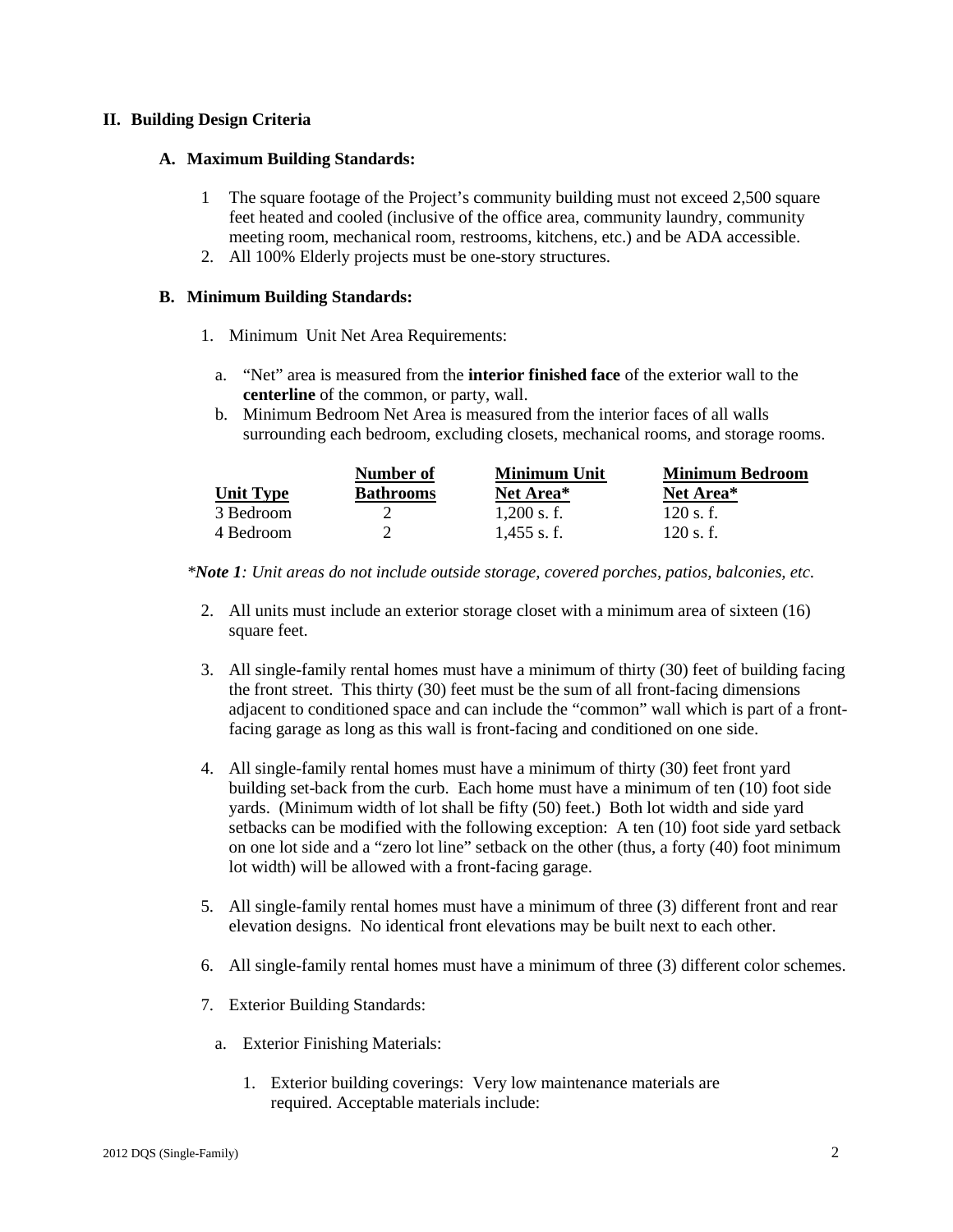#### **II. Building Design Criteria**

#### **A. Maximum Building Standards:**

- 1 The square footage of the Project's community building must not exceed 2,500 square feet heated and cooled (inclusive of the office area, community laundry, community meeting room, mechanical room, restrooms, kitchens, etc.) and be ADA accessible.
- 2. All 100% Elderly projects must be one-story structures.

#### **B. Minimum Building Standards:**

- 1. Minimum Unit Net Area Requirements:
	- a. "Net" area is measured from the **interior finished face** of the exterior wall to the **centerline** of the common, or party, wall.
	- b. Minimum Bedroom Net Area is measured from the interior faces of all walls surrounding each bedroom, excluding closets, mechanical rooms, and storage rooms.

|                  | Number of        | <b>Minimum Unit</b> | <b>Minimum Bedroom</b> |
|------------------|------------------|---------------------|------------------------|
| <b>Unit Type</b> | <b>Bathrooms</b> | Net Area*           | Net Area*              |
| 3 Bedroom        |                  | $1.200$ s. f.       | $120$ s. f.            |
| 4 Bedroom        |                  | $1.455$ s.f.        | 120 s.f.               |

*\*Note 1: Unit areas do not include outside storage, covered porches, patios, balconies, etc.* 

- 2. All units must include an exterior storage closet with a minimum area of sixteen (16) square feet.
- 3. All single-family rental homes must have a minimum of thirty (30) feet of building facing the front street. This thirty (30) feet must be the sum of all front-facing dimensions adjacent to conditioned space and can include the "common" wall which is part of a frontfacing garage as long as this wall is front-facing and conditioned on one side.
- 4. All single-family rental homes must have a minimum of thirty (30) feet front yard building set-back from the curb. Each home must have a minimum of ten (10) foot side yards. (Minimum width of lot shall be fifty (50) feet.) Both lot width and side yard setbacks can be modified with the following exception: A ten (10) foot side yard setback on one lot side and a "zero lot line" setback on the other (thus, a forty (40) foot minimum lot width) will be allowed with a front-facing garage.
- 5. All single-family rental homes must have a minimum of three (3) different front and rear elevation designs. No identical front elevations may be built next to each other.
- 6. All single-family rental homes must have a minimum of three (3) different color schemes.
- 7. Exterior Building Standards:
	- a. Exterior Finishing Materials:
		- 1. Exterior building coverings: Very low maintenance materials are required. Acceptable materials include: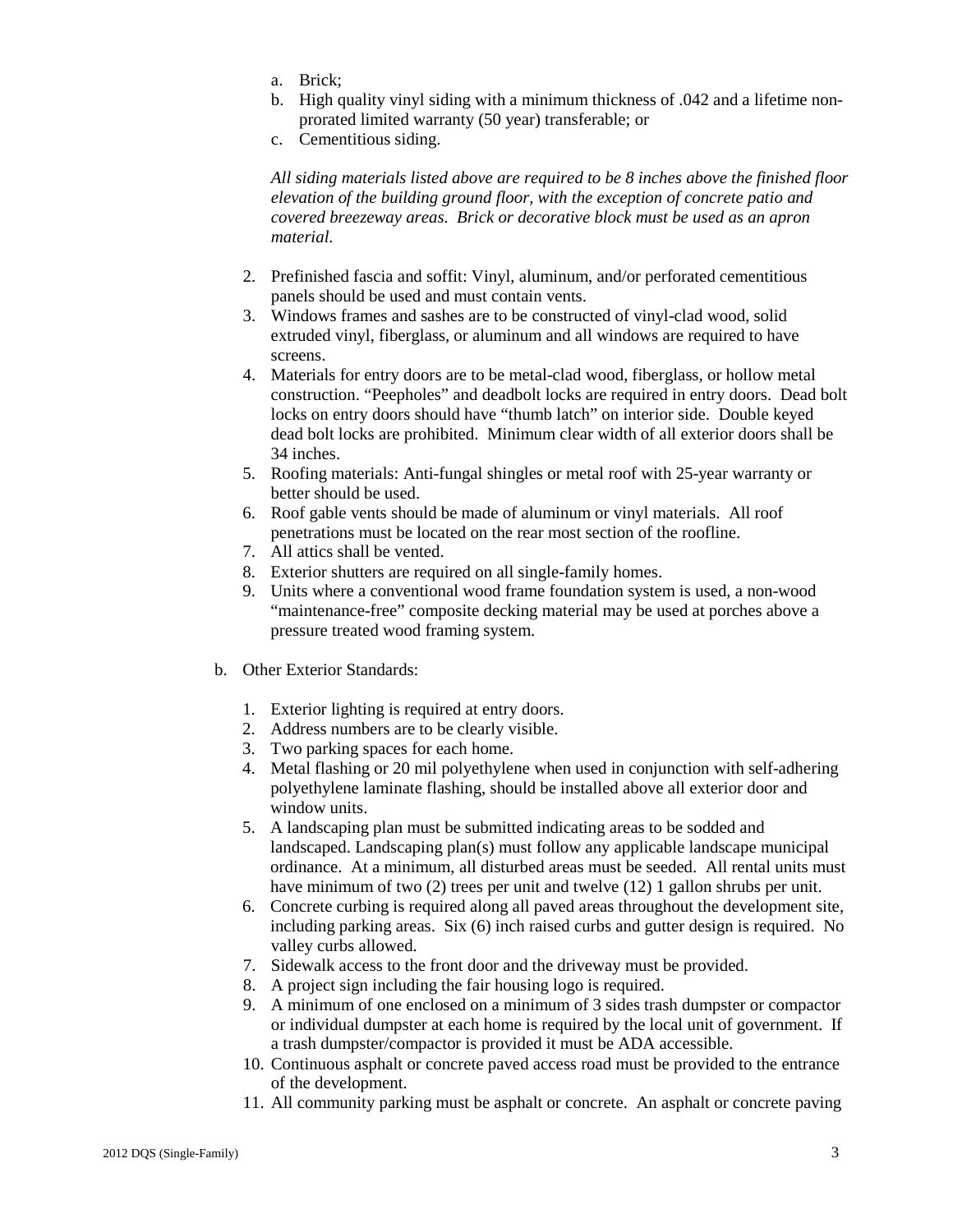- a. Brick;
- b. High quality vinyl siding with a minimum thickness of .042 and a lifetime nonprorated limited warranty (50 year) transferable; or
- c. Cementitious siding.

*All siding materials listed above are required to be 8 inches above the finished floor elevation of the building ground floor, with the exception of concrete patio and covered breezeway areas. Brick or decorative block must be used as an apron material.*

- 2. Prefinished fascia and soffit: Vinyl, aluminum, and/or perforated cementitious panels should be used and must contain vents.
- 3. Windows frames and sashes are to be constructed of vinyl-clad wood, solid extruded vinyl, fiberglass, or aluminum and all windows are required to have screens.
- 4. Materials for entry doors are to be metal-clad wood, fiberglass, or hollow metal construction. "Peepholes" and deadbolt locks are required in entry doors. Dead bolt locks on entry doors should have "thumb latch" on interior side. Double keyed dead bolt locks are prohibited. Minimum clear width of all exterior doors shall be 34 inches.
- 5. Roofing materials: Anti-fungal shingles or metal roof with 25-year warranty or better should be used.
- 6. Roof gable vents should be made of aluminum or vinyl materials. All roof penetrations must be located on the rear most section of the roofline.
- 7. All attics shall be vented.
- 8. Exterior shutters are required on all single-family homes.
- 9. Units where a conventional wood frame foundation system is used, a non-wood "maintenance-free" composite decking material may be used at porches above a pressure treated wood framing system.
- b. Other Exterior Standards:
	- 1. Exterior lighting is required at entry doors.
	- 2. Address numbers are to be clearly visible.
	- 3. Two parking spaces for each home.
	- 4. Metal flashing or 20 mil polyethylene when used in conjunction with self-adhering polyethylene laminate flashing, should be installed above all exterior door and window units.
	- 5. A landscaping plan must be submitted indicating areas to be sodded and landscaped. Landscaping plan(s) must follow any applicable landscape municipal ordinance. At a minimum, all disturbed areas must be seeded. All rental units must have minimum of two (2) trees per unit and twelve (12) 1 gallon shrubs per unit.
	- 6. Concrete curbing is required along all paved areas throughout the development site, including parking areas. Six (6) inch raised curbs and gutter design is required. No valley curbs allowed.
	- 7. Sidewalk access to the front door and the driveway must be provided.
	- 8. A project sign including the fair housing logo is required.
	- 9. A minimum of one enclosed on a minimum of 3 sides trash dumpster or compactor or individual dumpster at each home is required by the local unit of government. If a trash dumpster/compactor is provided it must be ADA accessible.
	- 10. Continuous asphalt or concrete paved access road must be provided to the entrance of the development.
	- 11. All community parking must be asphalt or concrete. An asphalt or concrete paving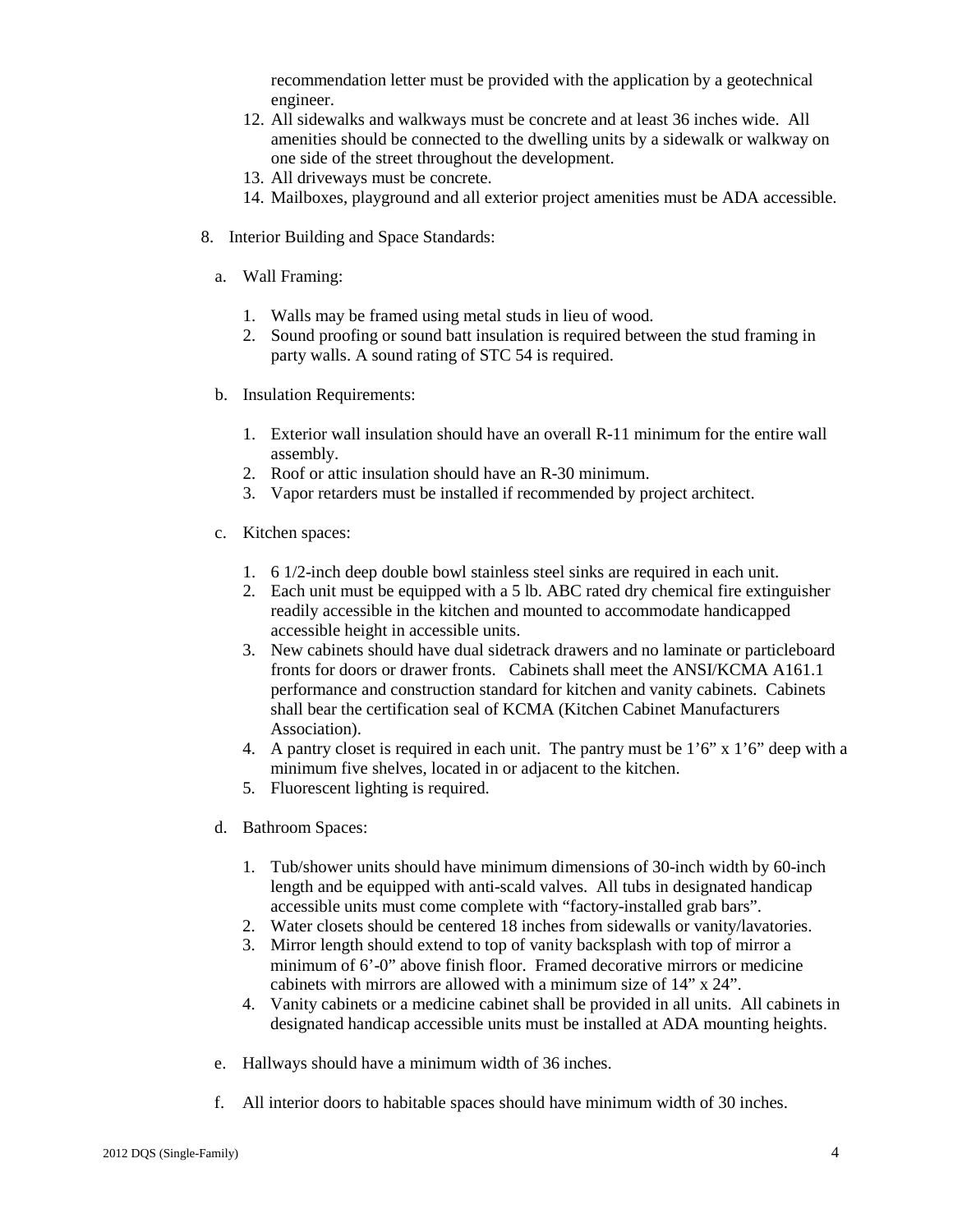recommendation letter must be provided with the application by a geotechnical engineer.

- 12. All sidewalks and walkways must be concrete and at least 36 inches wide. All amenities should be connected to the dwelling units by a sidewalk or walkway on one side of the street throughout the development.
- 13. All driveways must be concrete.
- 14. Mailboxes, playground and all exterior project amenities must be ADA accessible.
- 8. Interior Building and Space Standards:
	- a. Wall Framing:
		- 1. Walls may be framed using metal studs in lieu of wood.
		- 2. Sound proofing or sound batt insulation is required between the stud framing in party walls. A sound rating of STC 54 is required.
	- b. Insulation Requirements:
		- 1. Exterior wall insulation should have an overall R-11 minimum for the entire wall assembly.
		- 2. Roof or attic insulation should have an R-30 minimum.
		- 3. Vapor retarders must be installed if recommended by project architect.
	- c. Kitchen spaces:
		- 1. 6 1/2-inch deep double bowl stainless steel sinks are required in each unit.
		- 2. Each unit must be equipped with a 5 lb. ABC rated dry chemical fire extinguisher readily accessible in the kitchen and mounted to accommodate handicapped accessible height in accessible units.
		- 3. New cabinets should have dual sidetrack drawers and no laminate or particleboard fronts for doors or drawer fronts. Cabinets shall meet the ANSI/KCMA A161.1 performance and construction standard for kitchen and vanity cabinets. Cabinets shall bear the certification seal of KCMA (Kitchen Cabinet Manufacturers Association).
		- 4. A pantry closet is required in each unit. The pantry must be  $1'6''$  x  $1'6''$  deep with a minimum five shelves, located in or adjacent to the kitchen.
		- 5. Fluorescent lighting is required.
	- d. Bathroom Spaces:
		- 1. Tub/shower units should have minimum dimensions of 30-inch width by 60-inch length and be equipped with anti-scald valves. All tubs in designated handicap accessible units must come complete with "factory-installed grab bars".
		- 2. Water closets should be centered 18 inches from sidewalls or vanity/lavatories.
		- 3. Mirror length should extend to top of vanity backsplash with top of mirror a minimum of 6'-0" above finish floor. Framed decorative mirrors or medicine cabinets with mirrors are allowed with a minimum size of 14" x 24".
		- 4. Vanity cabinets or a medicine cabinet shall be provided in all units. All cabinets in designated handicap accessible units must be installed at ADA mounting heights.
	- e. Hallways should have a minimum width of 36 inches.
	- f. All interior doors to habitable spaces should have minimum width of 30 inches.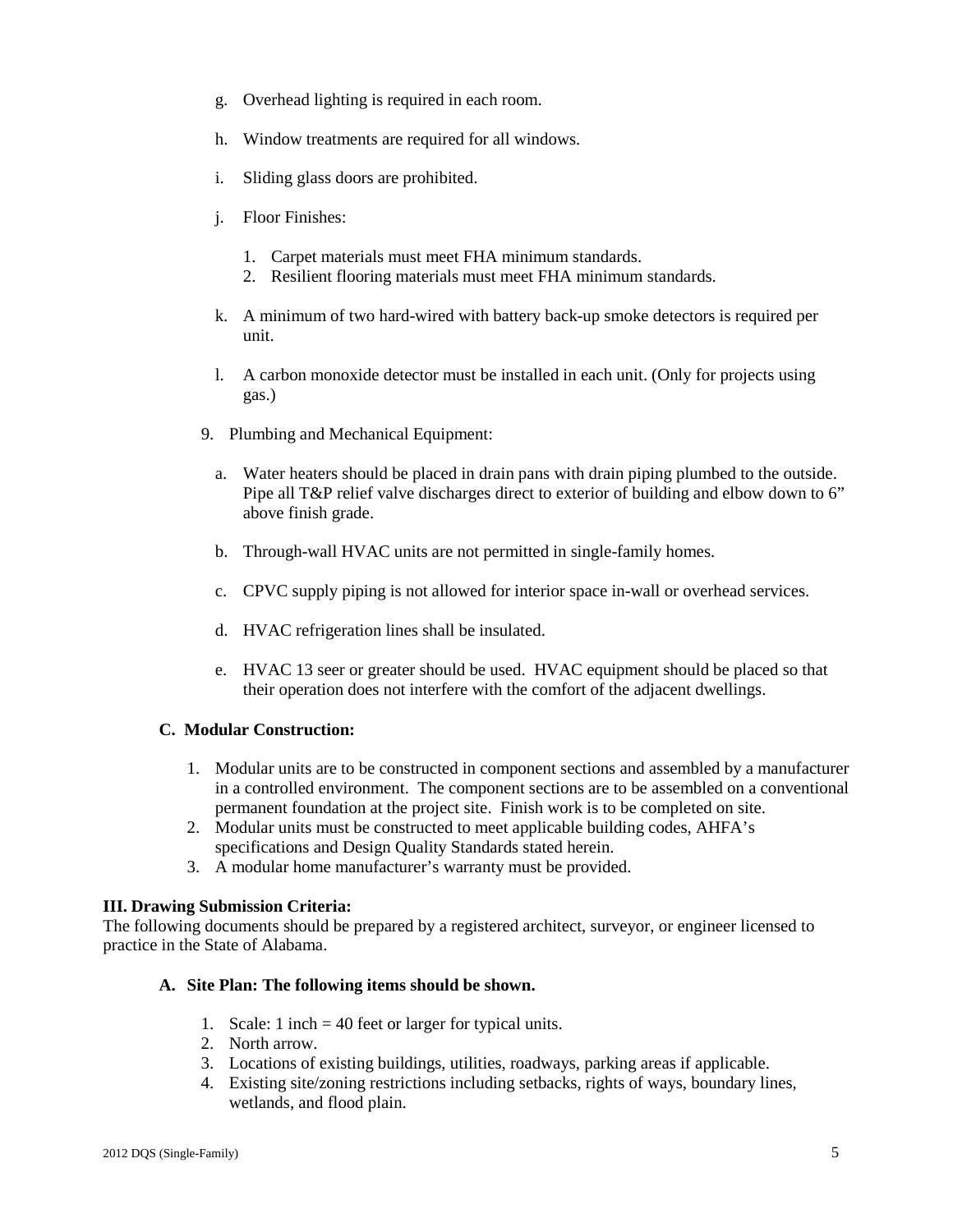- g. Overhead lighting is required in each room.
- h. Window treatments are required for all windows.
- i. Sliding glass doors are prohibited.
- j. Floor Finishes:
	- 1. Carpet materials must meet FHA minimum standards.
	- 2. Resilient flooring materials must meet FHA minimum standards.
- k. A minimum of two hard-wired with battery back-up smoke detectors is required per unit.
- l. A carbon monoxide detector must be installed in each unit. (Only for projects using gas.)
- 9. Plumbing and Mechanical Equipment:
	- a. Water heaters should be placed in drain pans with drain piping plumbed to the outside. Pipe all T&P relief valve discharges direct to exterior of building and elbow down to 6" above finish grade.
	- b. Through-wall HVAC units are not permitted in single-family homes.
	- c. CPVC supply piping is not allowed for interior space in-wall or overhead services.
	- d. HVAC refrigeration lines shall be insulated.
	- e. HVAC 13 seer or greater should be used. HVAC equipment should be placed so that their operation does not interfere with the comfort of the adjacent dwellings.

#### **C. Modular Construction:**

- 1. Modular units are to be constructed in component sections and assembled by a manufacturer in a controlled environment. The component sections are to be assembled on a conventional permanent foundation at the project site. Finish work is to be completed on site.
- 2. Modular units must be constructed to meet applicable building codes, AHFA's specifications and Design Quality Standards stated herein.
- 3. A modular home manufacturer's warranty must be provided.

#### **III. Drawing Submission Criteria:**

The following documents should be prepared by a registered architect, surveyor, or engineer licensed to practice in the State of Alabama.

#### **A. Site Plan: The following items should be shown.**

- 1. Scale: 1 inch = 40 feet or larger for typical units.
- 2. North arrow.
- 3. Locations of existing buildings, utilities, roadways, parking areas if applicable.
- 4. Existing site/zoning restrictions including setbacks, rights of ways, boundary lines, wetlands, and flood plain.